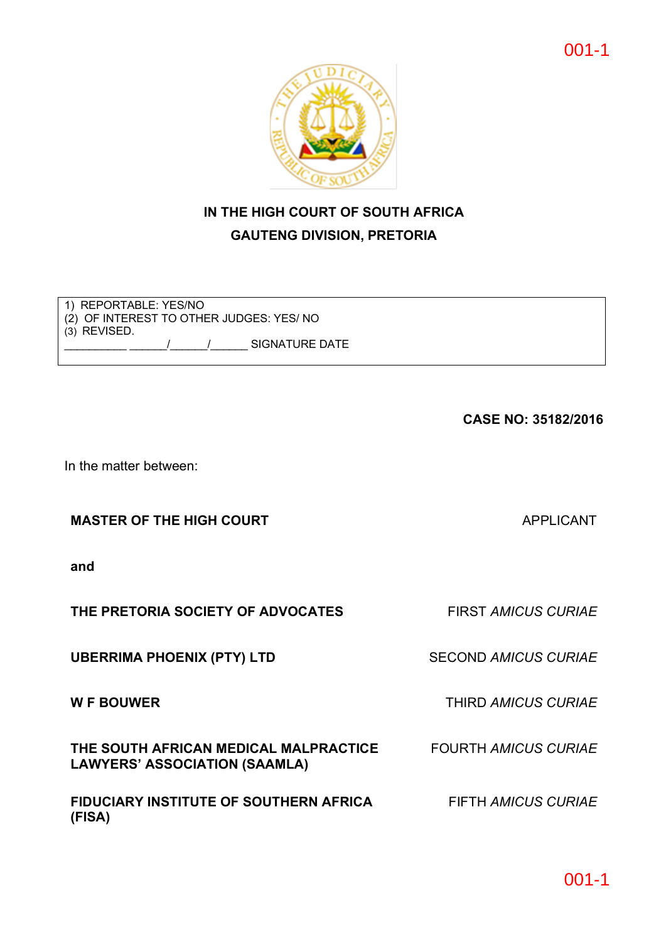# **IN THE HIGH COURT OF SOUTH AFRICA GAUTENG DIVISION, PRETORIA**

1) REPORTABLE: YES/NO (2) OF INTEREST TO OTHER JUDGES: YES/ NO (3) REVISED. / / / SIGNATURE DATE

**CASE NO: 35182/2016**

In the matter between:

**MASTER OF THE HIGH COURT APPLICANT** 

**and**

**THE PRETORIA SOCIETY OF ADVOCATES** FIRST *AMICUS CURIAE*

**UBERRIMA PHOENIX (PTY) LTD** SECOND *AMICUS CURIAE*

**W F BOUWER** THIRD *AMICUS CURIAE*

**THE SOUTH AFRICAN MEDICAL MALPRACTICE** FOURTH *AMICUS CURIAE* **LAWYERS' ASSOCIATION (SAAMLA)**

**FIDUCIARY INSTITUTE OF SOUTHERN AFRICA (FISA)**

FIFTH *AMICUS CURIAE*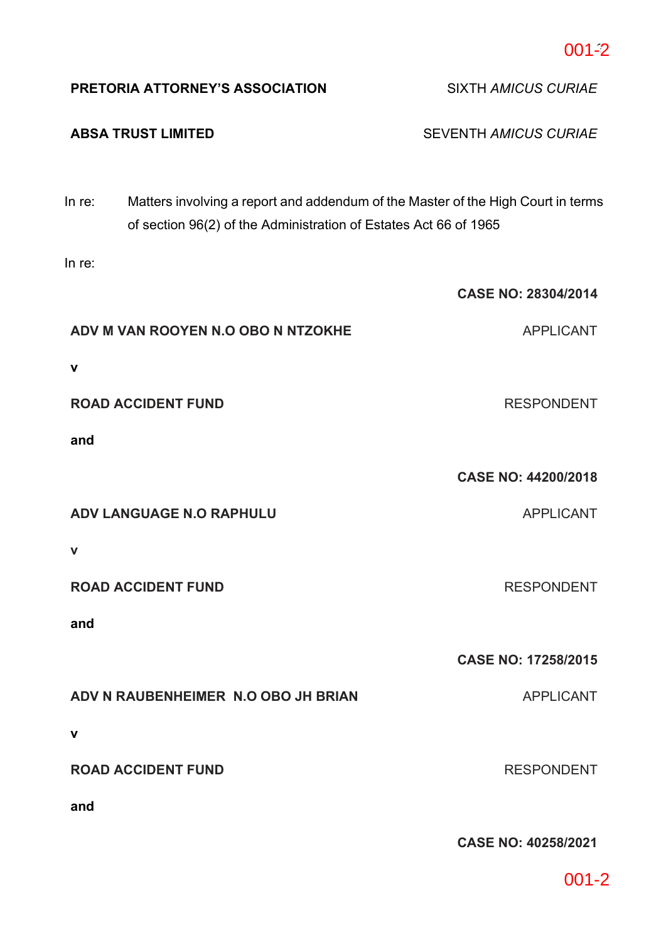| PRETORIA ATTORNEY'S ASSOCIATION     |                                                                  | <b>SIXTH AMICUS CURIAE</b>                                                       |
|-------------------------------------|------------------------------------------------------------------|----------------------------------------------------------------------------------|
| <b>ABSA TRUST LIMITED</b>           |                                                                  | <b>SEVENTH AMICUS CURIAE</b>                                                     |
| In re:                              | of section 96(2) of the Administration of Estates Act 66 of 1965 | Matters involving a report and addendum of the Master of the High Court in terms |
| In re:                              |                                                                  |                                                                                  |
|                                     |                                                                  | <b>CASE NO: 28304/2014</b>                                                       |
| ADV M VAN ROOYEN N.O OBO N NTZOKHE  |                                                                  | <b>APPLICANT</b>                                                                 |
| v                                   |                                                                  |                                                                                  |
| <b>ROAD ACCIDENT FUND</b>           |                                                                  | <b>RESPONDENT</b>                                                                |
| and                                 |                                                                  |                                                                                  |
|                                     |                                                                  | <b>CASE NO: 44200/2018</b>                                                       |
| ADV LANGUAGE N.O RAPHULU            |                                                                  | <b>APPLICANT</b>                                                                 |
| $\mathbf v$                         |                                                                  |                                                                                  |
| <b>ROAD ACCIDENT FUND</b>           |                                                                  | <b>RESPONDENT</b>                                                                |
| and                                 |                                                                  |                                                                                  |
|                                     |                                                                  | <b>CASE NO: 17258/2015</b>                                                       |
| ADV N RAUBENHEIMER N.O OBO JH BRIAN |                                                                  | <b>APPLICANT</b>                                                                 |
| v                                   |                                                                  |                                                                                  |
| <b>ROAD ACCIDENT FUND</b>           |                                                                  | <b>RESPONDENT</b>                                                                |
| and                                 |                                                                  |                                                                                  |
|                                     |                                                                  |                                                                                  |
|                                     |                                                                  | <b>CASE NO: 40258/2021</b>                                                       |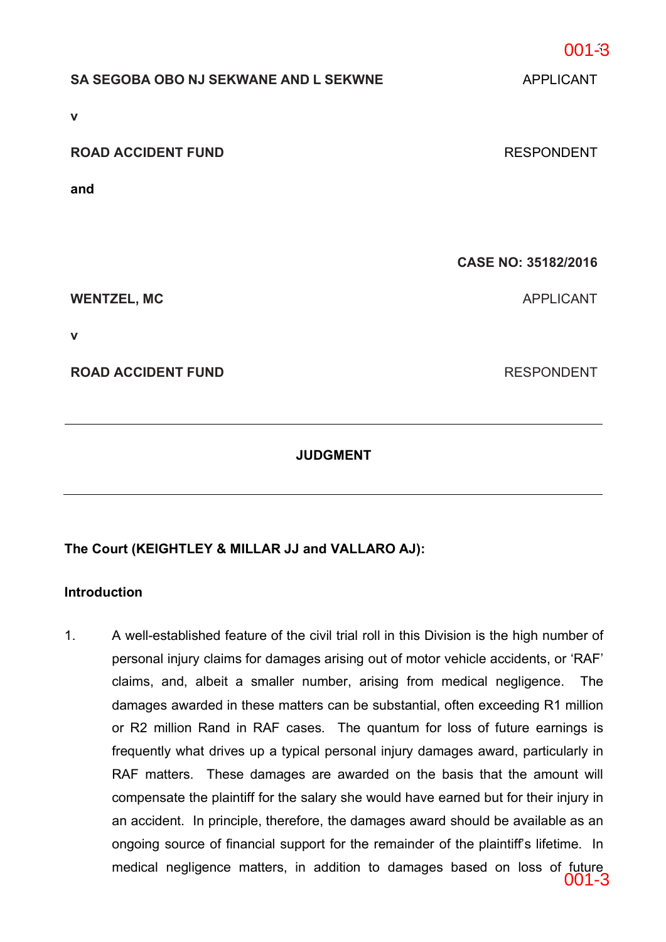| SA SEGOBA OBO NJ SEKWANE AND L SEKWNE | <b>APPLICANT</b>           |
|---------------------------------------|----------------------------|
| $\mathbf v$                           |                            |
| <b>ROAD ACCIDENT FUND</b>             | <b>RESPONDENT</b>          |
| and                                   |                            |
|                                       |                            |
|                                       | <b>CASE NO: 35182/2016</b> |
|                                       |                            |
| <b>WENTZEL, MC</b>                    | <b>APPLICANT</b>           |
| $\mathbf v$                           |                            |
| <b>ROAD ACCIDENT FUND</b>             | <b>RESPONDENT</b>          |

## **JUDGMENT**

## **The Court (KEIGHTLEY & MILLAR JJ and VALLARO AJ):**

## **Introduction**

1. A well-established feature of the civil trial roll in this Division is the high number of personal injury claims for damages arising out of motor vehicle accidents, or 'RAF' claims, and, albeit a smaller number, arising from medical negligence. The damages awarded in these matters can be substantial, often exceeding R1 million or R2 million Rand in RAF cases. The quantum for loss of future earnings is frequently what drives up a typical personal injury damages award, particularly in RAF matters. These damages are awarded on the basis that the amount will compensate the plaintiff for the salary she would have earned but for their injury in an accident. In principle, therefore, the damages award should be available as an ongoing source of financial support for the remainder of the plaintiff's lifetime. In medical negligence matters, in addition to damages based on loss of future 001-3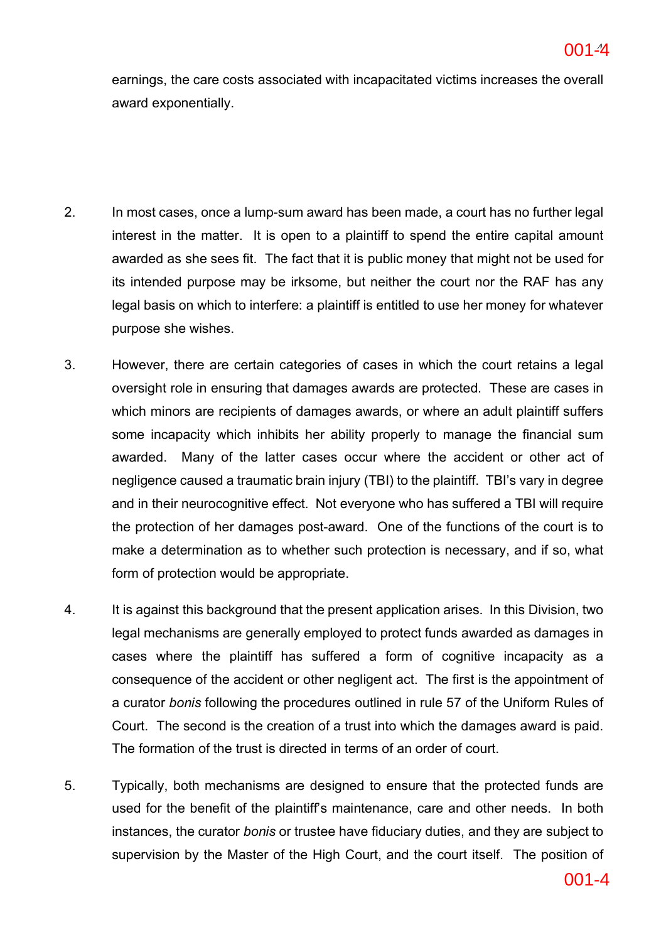earnings, the care costs associated with incapacitated victims increases the overall award exponentially.

- 2. In most cases, once a lump-sum award has been made, a court has no further legal interest in the matter. It is open to a plaintiff to spend the entire capital amount awarded as she sees fit. The fact that it is public money that might not be used for its intended purpose may be irksome, but neither the court nor the RAF has any legal basis on which to interfere: a plaintiff is entitled to use her money for whatever purpose she wishes.
- 3. However, there are certain categories of cases in which the court retains a legal oversight role in ensuring that damages awards are protected. These are cases in which minors are recipients of damages awards, or where an adult plaintiff suffers some incapacity which inhibits her ability properly to manage the financial sum awarded. Many of the latter cases occur where the accident or other act of negligence caused a traumatic brain injury (TBI) to the plaintiff. TBI's vary in degree and in their neurocognitive effect. Not everyone who has suffered a TBI will require the protection of her damages post-award. One of the functions of the court is to make a determination as to whether such protection is necessary, and if so, what form of protection would be appropriate.
- 4. It is against this background that the present application arises. In this Division, two legal mechanisms are generally employed to protect funds awarded as damages in cases where the plaintiff has suffered a form of cognitive incapacity as a consequence of the accident or other negligent act. The first is the appointment of a curator *bonis* following the procedures outlined in rule 57 of the Uniform Rules of Court. The second is the creation of a trust into which the damages award is paid. The formation of the trust is directed in terms of an order of court.
- 5. Typically, both mechanisms are designed to ensure that the protected funds are used for the benefit of the plaintiff's maintenance, care and other needs. In both instances, the curator *bonis* or trustee have fiduciary duties, and they are subject to supervision by the Master of the High Court, and the court itself. The position of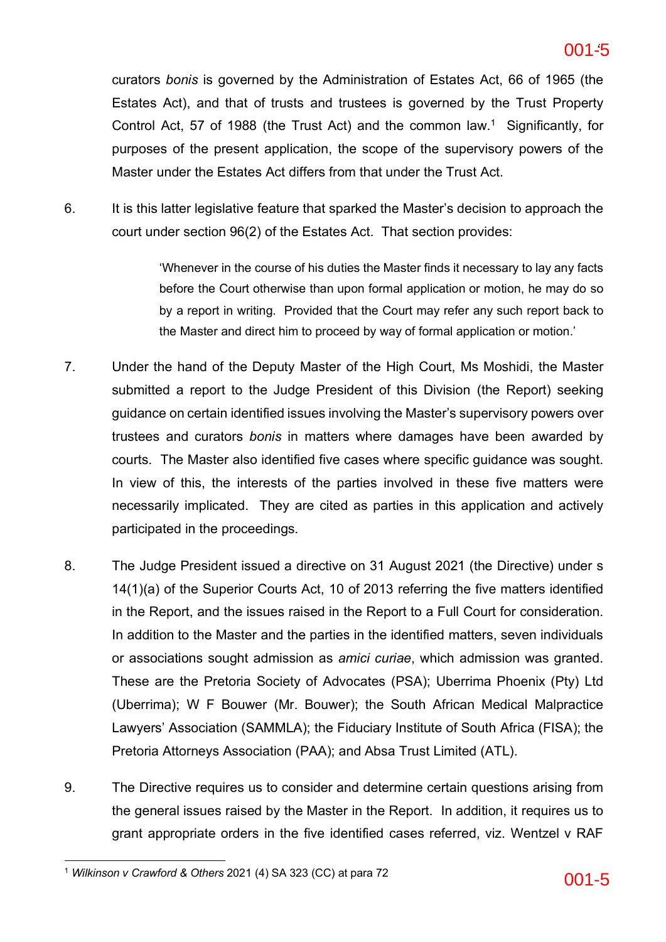curators *bonis* is governed by the Administration of Estates Act, 66 of 1965 (the Estates Act), and that of trusts and trustees is governed by the Trust Property Control Act, 57 of 1988 (the Trust Act) and the common law.<sup>1</sup> Significantly, for purposes of the present application, the scope of the supervisory powers of the Master under the Estates Act differs from that under the Trust Act.

6. It is this latter legislative feature that sparked the Master's decision to approach the court under section 96(2) of the Estates Act. That section provides:

> 'Whenever in the course of his duties the Master finds it necessary to lay any facts before the Court otherwise than upon formal application or motion, he may do so by a report in writing. Provided that the Court may refer any such report back to the Master and direct him to proceed by way of formal application or motion.'

- 7. Under the hand of the Deputy Master of the High Court, Ms Moshidi, the Master submitted a report to the Judge President of this Division (the Report) seeking guidance on certain identified issues involving the Master's supervisory powers over trustees and curators *bonis* in matters where damages have been awarded by courts. The Master also identified five cases where specific guidance was sought. In view of this, the interests of the parties involved in these five matters were necessarily implicated. They are cited as parties in this application and actively participated in the proceedings.
- 8. The Judge President issued a directive on 31 August 2021 (the Directive) under s 14(1)(a) of the Superior Courts Act, 10 of 2013 referring the five matters identified in the Report, and the issues raised in the Report to a Full Court for consideration. In addition to the Master and the parties in the identified matters, seven individuals or associations sought admission as *amici curiae*, which admission was granted. These are the Pretoria Society of Advocates (PSA); Uberrima Phoenix (Pty) Ltd (Uberrima); W F Bouwer (Mr. Bouwer); the South African Medical Malpractice Lawyers' Association (SAMMLA); the Fiduciary Institute of South Africa (FISA); the Pretoria Attorneys Association (PAA); and Absa Trust Limited (ATL).
- 9. The Directive requires us to consider and determine certain questions arising from the general issues raised by the Master in the Report. In addition, it requires us to grant appropriate orders in the five identified cases referred, viz. Wentzel v RAF

<sup>&</sup>lt;sup>1</sup> *Wilkinson v Crawford & Others* 2021 (4) SA 323 (CC) at para 72  $\overline{001}$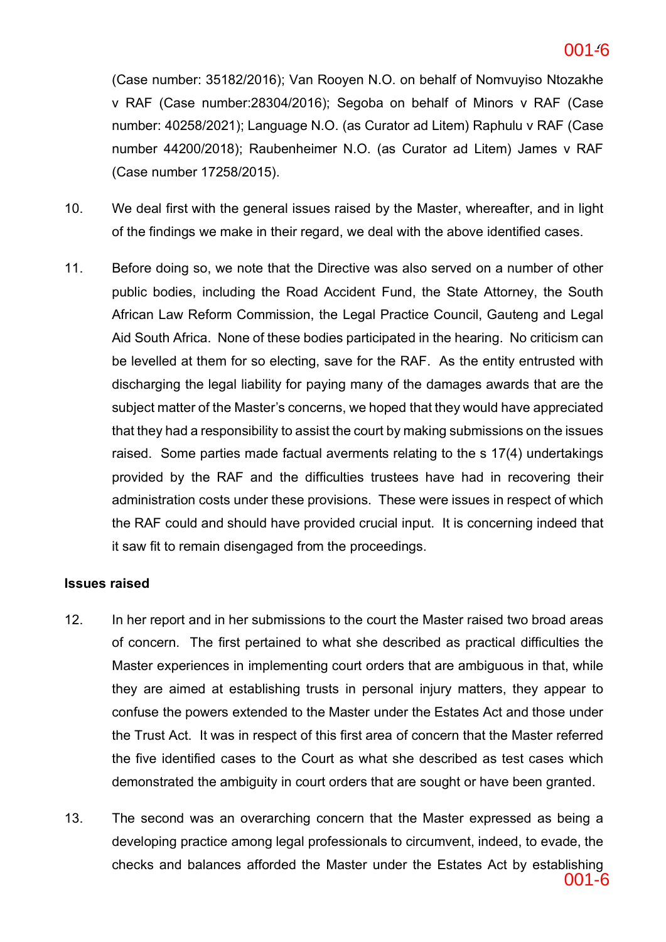#### **ac6c5141bd2642efb389a2a5978fa8b6-6** 6 001-6

(Case number: 35182/2016); Van Rooyen N.O. on behalf of Nomvuyiso Ntozakhe v RAF (Case number:28304/2016); Segoba on behalf of Minors v RAF (Case number: 40258/2021); Language N.O. (as Curator ad Litem) Raphulu v RAF (Case number 44200/2018); Raubenheimer N.O. (as Curator ad Litem) James v RAF (Case number 17258/2015).

- 10. We deal first with the general issues raised by the Master, whereafter, and in light of the findings we make in their regard, we deal with the above identified cases.
- 11. Before doing so, we note that the Directive was also served on a number of other public bodies, including the Road Accident Fund, the State Attorney, the South African Law Reform Commission, the Legal Practice Council, Gauteng and Legal Aid South Africa. None of these bodies participated in the hearing. No criticism can be levelled at them for so electing, save for the RAF. As the entity entrusted with discharging the legal liability for paying many of the damages awards that are the subject matter of the Master's concerns, we hoped that they would have appreciated that they had a responsibility to assist the court by making submissions on the issues raised. Some parties made factual averments relating to the s 17(4) undertakings provided by the RAF and the difficulties trustees have had in recovering their administration costs under these provisions. These were issues in respect of which the RAF could and should have provided crucial input. It is concerning indeed that it saw fit to remain disengaged from the proceedings.

## **Issues raised**

- 12. In her report and in her submissions to the court the Master raised two broad areas of concern. The first pertained to what she described as practical difficulties the Master experiences in implementing court orders that are ambiguous in that, while they are aimed at establishing trusts in personal injury matters, they appear to confuse the powers extended to the Master under the Estates Act and those under the Trust Act. It was in respect of this first area of concern that the Master referred the five identified cases to the Court as what she described as test cases which demonstrated the ambiguity in court orders that are sought or have been granted.
- 13. The second was an overarching concern that the Master expressed as being a developing practice among legal professionals to circumvent, indeed, to evade, the checks and balances afforded the Master under the Estates Act by establishing 001-6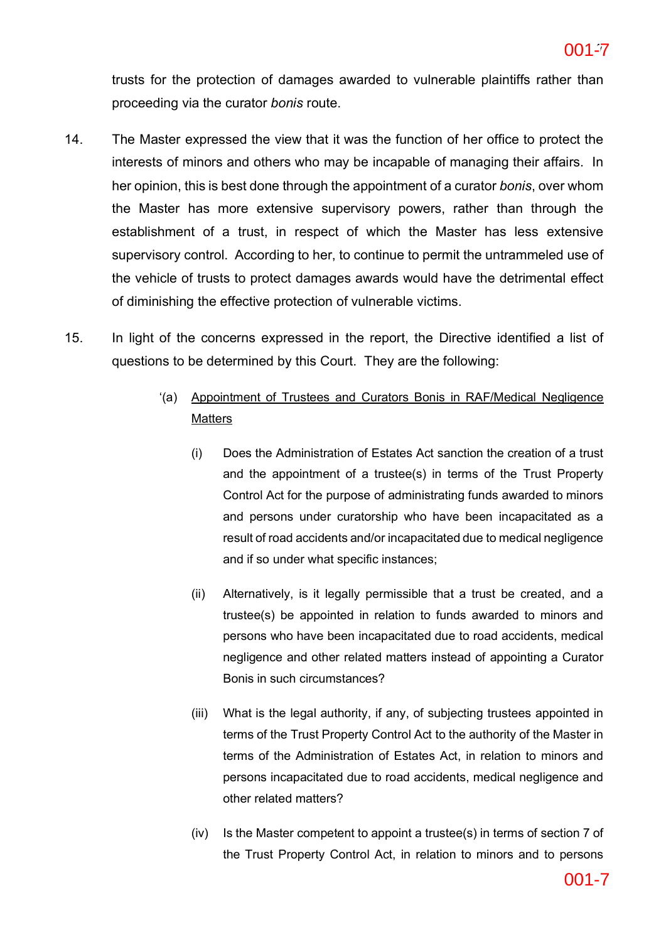trusts for the protection of damages awarded to vulnerable plaintiffs rather than proceeding via the curator *bonis* route.

- 14. The Master expressed the view that it was the function of her office to protect the interests of minors and others who may be incapable of managing their affairs. In her opinion, this is best done through the appointment of a curator *bonis*, over whom the Master has more extensive supervisory powers, rather than through the establishment of a trust, in respect of which the Master has less extensive supervisory control. According to her, to continue to permit the untrammeled use of the vehicle of trusts to protect damages awards would have the detrimental effect of diminishing the effective protection of vulnerable victims.
- 15. In light of the concerns expressed in the report, the Directive identified a list of questions to be determined by this Court. They are the following:

## '(a) Appointment of Trustees and Curators Bonis in RAF/Medical Negligence **Matters**

- (i) Does the Administration of Estates Act sanction the creation of a trust and the appointment of a trustee(s) in terms of the Trust Property Control Act for the purpose of administrating funds awarded to minors and persons under curatorship who have been incapacitated as a result of road accidents and/or incapacitated due to medical negligence and if so under what specific instances;
- (ii) Alternatively, is it legally permissible that a trust be created, and a trustee(s) be appointed in relation to funds awarded to minors and persons who have been incapacitated due to road accidents, medical negligence and other related matters instead of appointing a Curator Bonis in such circumstances?
- (iii) What is the legal authority, if any, of subjecting trustees appointed in terms of the Trust Property Control Act to the authority of the Master in terms of the Administration of Estates Act, in relation to minors and persons incapacitated due to road accidents, medical negligence and other related matters?
- (iv) Is the Master competent to appoint a trustee(s) in terms of section 7 of the Trust Property Control Act, in relation to minors and to persons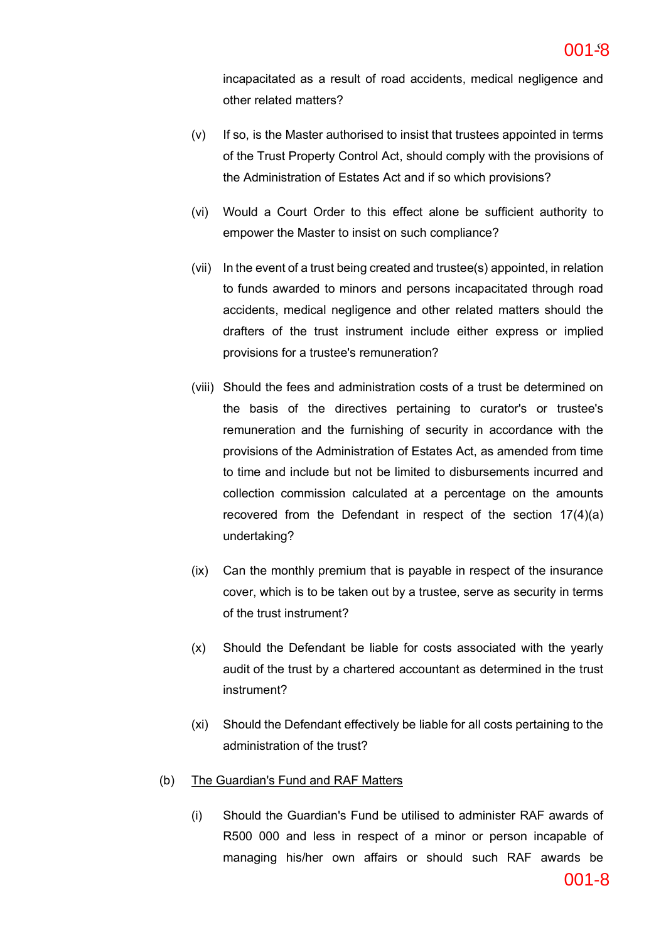incapacitated as a result of road accidents, medical negligence and other related matters?

- (v) If so, is the Master authorised to insist that trustees appointed in terms of the Trust Property Control Act, should comply with the provisions of the Administration of Estates Act and if so which provisions?
- (vi) Would a Court Order to this effect alone be sufficient authority to empower the Master to insist on such compliance?
- (vii) In the event of a trust being created and trustee(s) appointed, in relation to funds awarded to minors and persons incapacitated through road accidents, medical negligence and other related matters should the drafters of the trust instrument include either express or implied provisions for a trustee's remuneration?
- (viii) Should the fees and administration costs of a trust be determined on the basis of the directives pertaining to curator's or trustee's remuneration and the furnishing of security in accordance with the provisions of the Administration of Estates Act, as amended from time to time and include but not be limited to disbursements incurred and collection commission calculated at a percentage on the amounts recovered from the Defendant in respect of the section 17(4)(a) undertaking?
- (ix) Can the monthly premium that is payable in respect of the insurance cover, which is to be taken out by a trustee, serve as security in terms of the trust instrument?
- (x) Should the Defendant be liable for costs associated with the yearly audit of the trust by a chartered accountant as determined in the trust instrument?
- (xi) Should the Defendant effectively be liable for all costs pertaining to the administration of the trust?

### (b) The Guardian's Fund and RAF Matters

(i) Should the Guardian's Fund be utilised to administer RAF awards of R500 000 and less in respect of a minor or person incapable of managing his/her own affairs or should such RAF awards be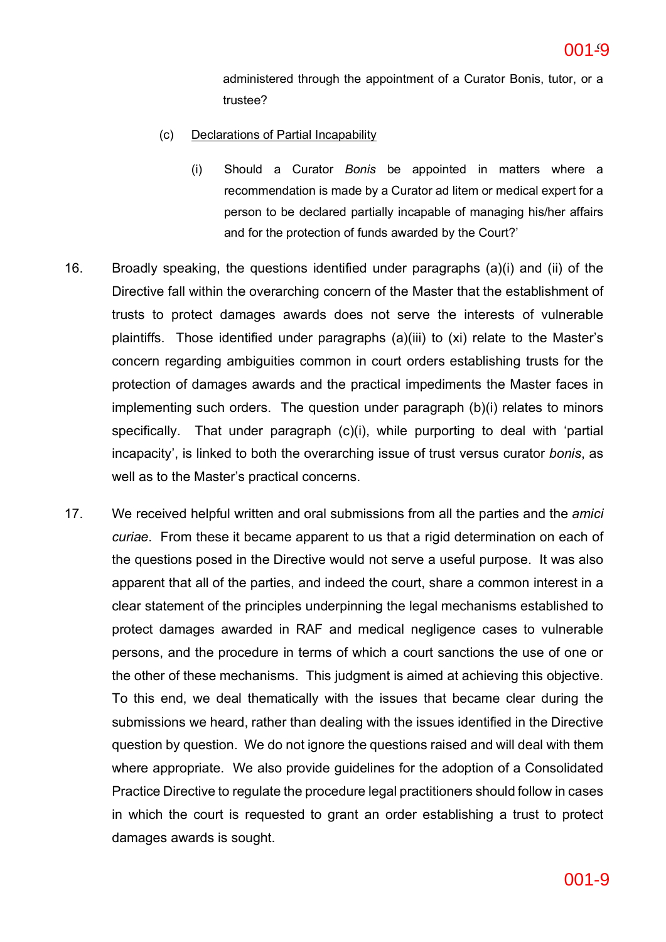administered through the appointment of a Curator Bonis, tutor, or a trustee?

- (c) Declarations of Partial Incapability
	- (i) Should a Curator *Bonis* be appointed in matters where a recommendation is made by a Curator ad litem or medical expert for a person to be declared partially incapable of managing his/her affairs and for the protection of funds awarded by the Court?'
- 16. Broadly speaking, the questions identified under paragraphs (a)(i) and (ii) of the Directive fall within the overarching concern of the Master that the establishment of trusts to protect damages awards does not serve the interests of vulnerable plaintiffs. Those identified under paragraphs (a)(iii) to (xi) relate to the Master's concern regarding ambiguities common in court orders establishing trusts for the protection of damages awards and the practical impediments the Master faces in implementing such orders. The question under paragraph (b)(i) relates to minors specifically. That under paragraph (c)(i), while purporting to deal with 'partial incapacity', is linked to both the overarching issue of trust versus curator *bonis*, as well as to the Master's practical concerns.
- 17. We received helpful written and oral submissions from all the parties and the *amici curiae*. From these it became apparent to us that a rigid determination on each of the questions posed in the Directive would not serve a useful purpose. It was also apparent that all of the parties, and indeed the court, share a common interest in a clear statement of the principles underpinning the legal mechanisms established to protect damages awarded in RAF and medical negligence cases to vulnerable persons, and the procedure in terms of which a court sanctions the use of one or the other of these mechanisms. This judgment is aimed at achieving this objective. To this end, we deal thematically with the issues that became clear during the submissions we heard, rather than dealing with the issues identified in the Directive question by question. We do not ignore the questions raised and will deal with them where appropriate. We also provide guidelines for the adoption of a Consolidated Practice Directive to regulate the procedure legal practitioners should follow in cases in which the court is requested to grant an order establishing a trust to protect damages awards is sought.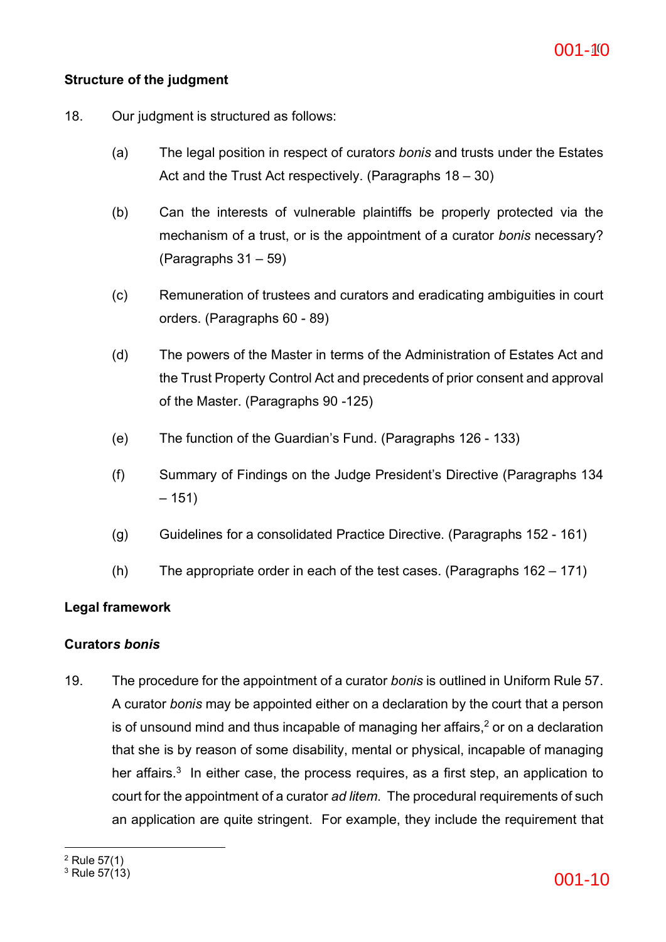## **Structure of the judgment**

- 18. Our judgment is structured as follows:
	- (a) The legal position in respect of curator*s bonis* and trusts under the Estates Act and the Trust Act respectively. (Paragraphs 18 – 30)
	- (b) Can the interests of vulnerable plaintiffs be properly protected via the mechanism of a trust, or is the appointment of a curator *bonis* necessary? (Paragraphs 31 – 59)
	- (c) Remuneration of trustees and curators and eradicating ambiguities in court orders. (Paragraphs 60 - 89)
	- (d) The powers of the Master in terms of the Administration of Estates Act and the Trust Property Control Act and precedents of prior consent and approval of the Master. (Paragraphs 90 -125)
	- (e) The function of the Guardian's Fund. (Paragraphs 126 133)
	- (f) Summary of Findings on the Judge President's Directive (Paragraphs 134  $-151)$
	- (g) Guidelines for a consolidated Practice Directive. (Paragraphs 152 161)
	- (h) The appropriate order in each of the test cases. (Paragraphs 162 171)

## **Legal framework**

## **Curator***s bonis*

19. The procedure for the appointment of a curator *bonis* is outlined in Uniform Rule 57. A curator *bonis* may be appointed either on a declaration by the court that a person is of unsound mind and thus incapable of managing her affairs, $<sup>2</sup>$  or on a declaration</sup> that she is by reason of some disability, mental or physical, incapable of managing her affairs. $3$  In either case, the process requires, as a first step, an application to court for the appointment of a curator *ad litem*. The procedural requirements of such an application are quite stringent. For example, they include the requirement that

 $^2$  Rule 57(1)<br> $^3$  Rule 57(13)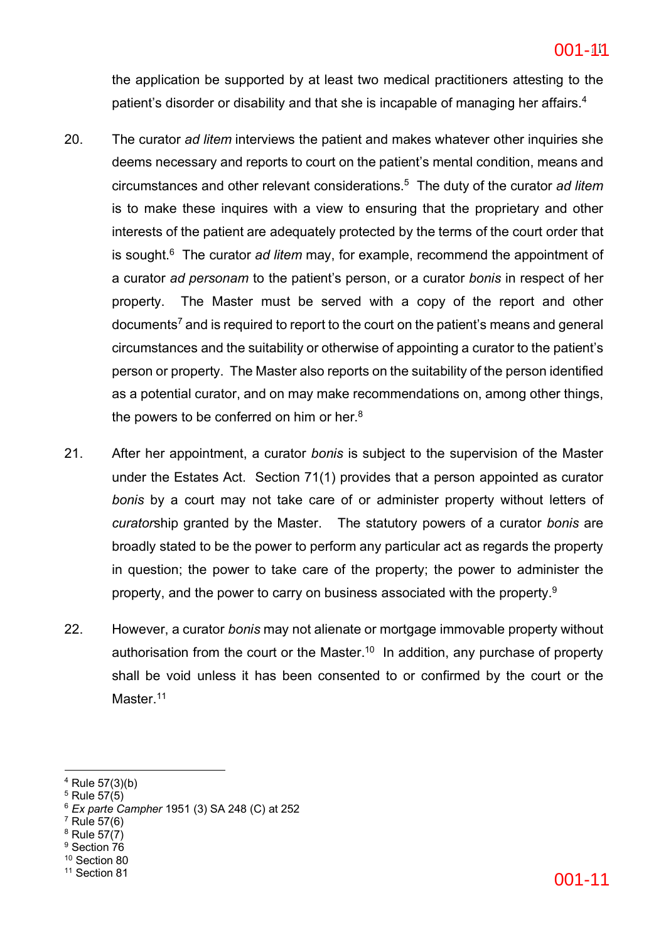the application be supported by at least two medical practitioners attesting to the patient's disorder or disability and that she is incapable of managing her affairs.<sup>4</sup>

- 20. The curator *ad litem* interviews the patient and makes whatever other inquiries she deems necessary and reports to court on the patient's mental condition, means and circumstances and other relevant considerations.5 The duty of the curator *ad litem* is to make these inquires with a view to ensuring that the proprietary and other interests of the patient are adequately protected by the terms of the court order that is sought.6 The curator *ad litem* may, for example, recommend the appointment of a curator *ad personam* to the patient's person, or a curator *bonis* in respect of her property. The Master must be served with a copy of the report and other documents7 and is required to report to the court on the patient's means and general circumstances and the suitability or otherwise of appointing a curator to the patient's person or property. The Master also reports on the suitability of the person identified as a potential curator, and on may make recommendations on, among other things, the powers to be conferred on him or her. $8$
- 21. After her appointment, a curator *bonis* is subject to the supervision of the Master under the Estates Act. Section 71(1) provides that a person appointed as curator *bonis* by a court may not take care of or administer property without letters of *curator*ship granted by the Master. The statutory powers of a curator *bonis* are broadly stated to be the power to perform any particular act as regards the property in question; the power to take care of the property; the power to administer the property, and the power to carry on business associated with the property.<sup>9</sup>
- 22. However, a curator *bonis* may not alienate or mortgage immovable property without authorisation from the court or the Master.<sup>10</sup> In addition, any purchase of property shall be void unless it has been consented to or confirmed by the court or the Master.<sup>11</sup>

- $7$  Rule 57(6)
- $8$  Rule 57 $(7)$
- <sup>9</sup> Section 76
- <sup>10</sup> Section 80
- 

 $4$  Rule 57(3)(b)

 $5$  Rule 57(5)

<sup>6</sup> *Ex parte Campher* 1951 (3) SA 248 (C) at 252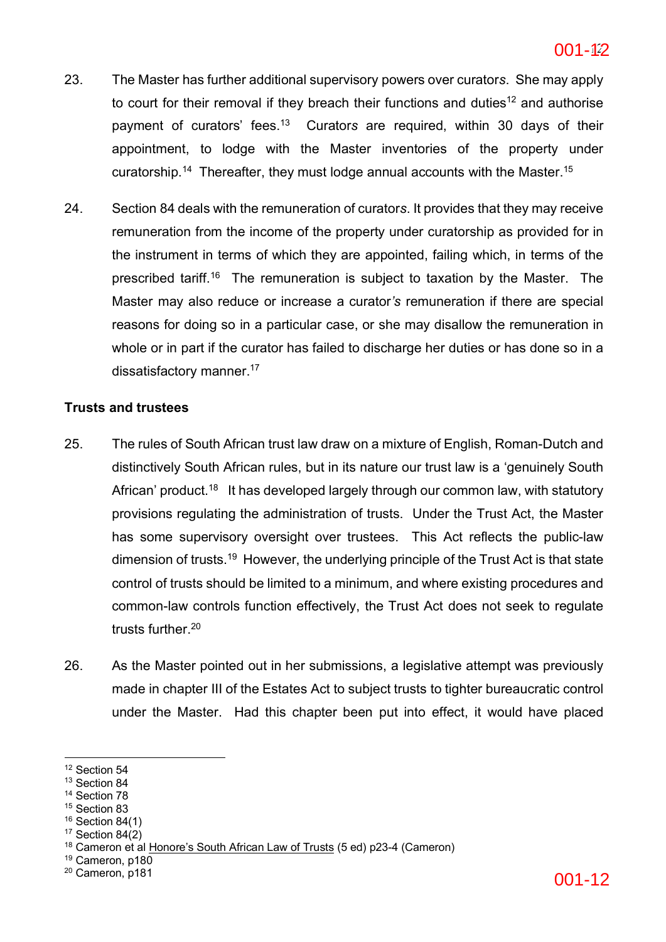- 23. The Master has further additional supervisory powers over curator*s*. She may apply to court for their removal if they breach their functions and duties<sup>12</sup> and authorise payment of curators' fees.13 Curator*s* are required, within 30 days of their appointment, to lodge with the Master inventories of the property under curatorship.14 Thereafter, they must lodge annual accounts with the Master.15
- 24. Section 84 deals with the remuneration of curator*s*. It provides that they may receive remuneration from the income of the property under curatorship as provided for in the instrument in terms of which they are appointed, failing which, in terms of the prescribed tariff.16 The remuneration is subject to taxation by the Master. The Master may also reduce or increase a curator*'s* remuneration if there are special reasons for doing so in a particular case, or she may disallow the remuneration in whole or in part if the curator has failed to discharge her duties or has done so in a dissatisfactory manner.<sup>17</sup>

## **Trusts and trustees**

- 25. The rules of South African trust law draw on a mixture of English, Roman-Dutch and distinctively South African rules, but in its nature our trust law is a 'genuinely South African' product.<sup>18</sup> It has developed largely through our common law, with statutory provisions regulating the administration of trusts. Under the Trust Act, the Master has some supervisory oversight over trustees. This Act reflects the public-law dimension of trusts.<sup>19</sup> However, the underlying principle of the Trust Act is that state control of trusts should be limited to a minimum, and where existing procedures and common-law controls function effectively, the Trust Act does not seek to regulate trusts further.20
- 26. As the Master pointed out in her submissions, a legislative attempt was previously made in chapter III of the Estates Act to subject trusts to tighter bureaucratic control under the Master. Had this chapter been put into effect, it would have placed

- <sup>13</sup> Section 84
- <sup>14</sup> Section 78
- <sup>15</sup> Section 83
- <sup>16</sup> Section 84(1)  $17$  Section 84 $(2)$
- 

<sup>19</sup> Cameron, p180

<sup>&</sup>lt;sup>12</sup> Section 54

<sup>&</sup>lt;sup>18</sup> Cameron et al Honore's South African Law of Trusts (5 ed) p23-4 (Cameron)

<sup>20</sup> Cameron, p181 001-12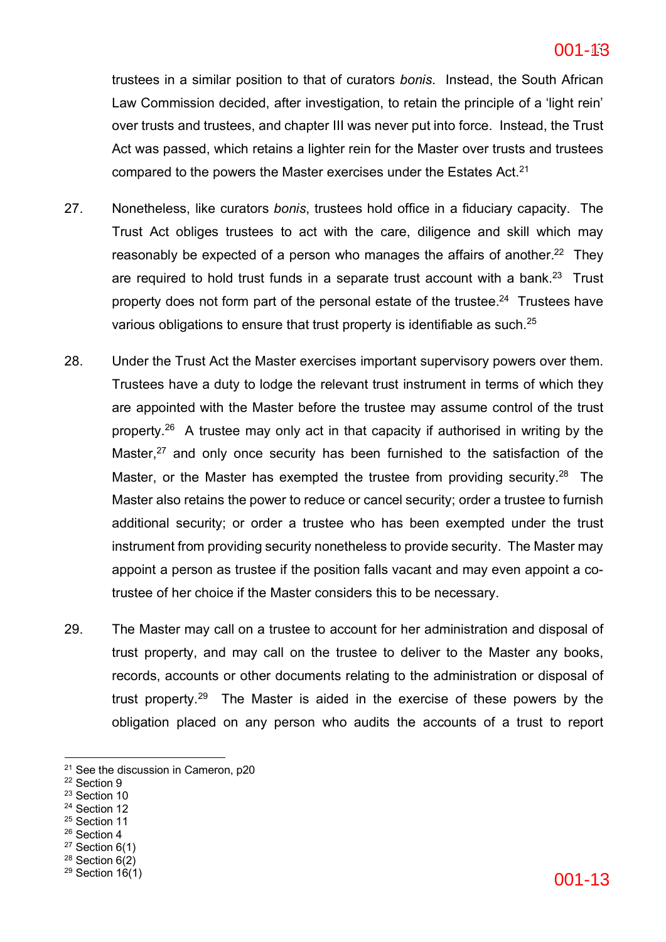trustees in a similar position to that of curators *bonis*. Instead, the South African Law Commission decided, after investigation, to retain the principle of a 'light rein' over trusts and trustees, and chapter III was never put into force. Instead, the Trust Act was passed, which retains a lighter rein for the Master over trusts and trustees compared to the powers the Master exercises under the Estates Act.<sup>21</sup>

- 27. Nonetheless, like curators *bonis*, trustees hold office in a fiduciary capacity. The Trust Act obliges trustees to act with the care, diligence and skill which may reasonably be expected of a person who manages the affairs of another.<sup>22</sup> They are required to hold trust funds in a separate trust account with a bank.<sup>23</sup> Trust property does not form part of the personal estate of the trustee.<sup>24</sup> Trustees have various obligations to ensure that trust property is identifiable as such.<sup>25</sup>
- 28. Under the Trust Act the Master exercises important supervisory powers over them. Trustees have a duty to lodge the relevant trust instrument in terms of which they are appointed with the Master before the trustee may assume control of the trust property.26 A trustee may only act in that capacity if authorised in writing by the Master, $27$  and only once security has been furnished to the satisfaction of the Master, or the Master has exempted the trustee from providing security.<sup>28</sup> The Master also retains the power to reduce or cancel security; order a trustee to furnish additional security; or order a trustee who has been exempted under the trust instrument from providing security nonetheless to provide security. The Master may appoint a person as trustee if the position falls vacant and may even appoint a cotrustee of her choice if the Master considers this to be necessary.
- 29. The Master may call on a trustee to account for her administration and disposal of trust property, and may call on the trustee to deliver to the Master any books, records, accounts or other documents relating to the administration or disposal of trust property.29 The Master is aided in the exercise of these powers by the obligation placed on any person who audits the accounts of a trust to report

- <sup>23</sup> Section 10
- <sup>24</sup> Section 12
- <sup>25</sup> Section 11
- <sup>26</sup> Section 4
- $27$  Section 6(1)
- <sup>28</sup> Section 6(2)<br><sup>29</sup> Section 16(1)

 $21$  See the discussion in Cameron, p20

<sup>22</sup> Section 9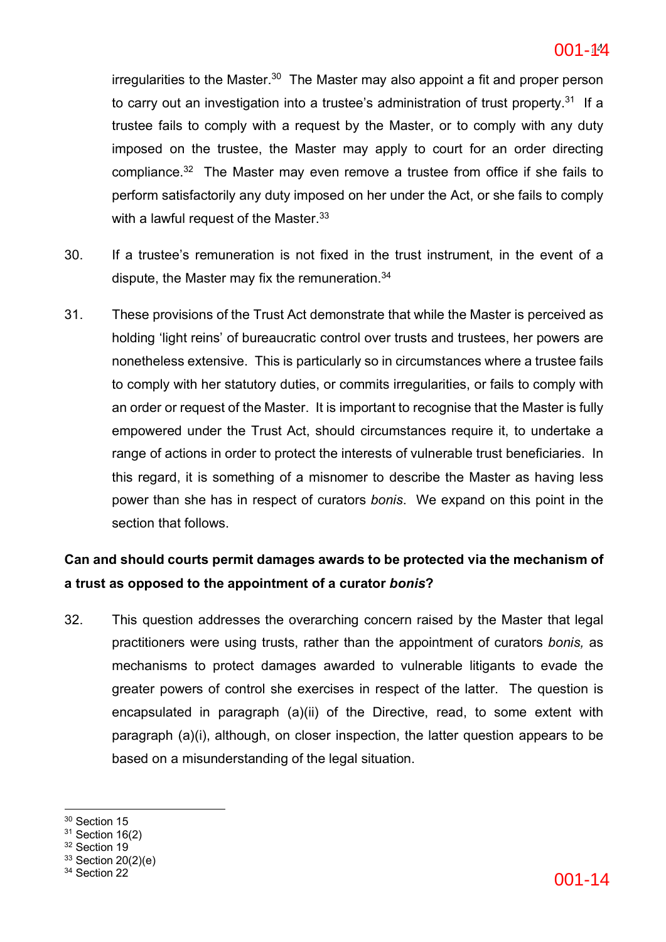irregularities to the Master.<sup>30</sup> The Master may also appoint a fit and proper person to carry out an investigation into a trustee's administration of trust property.<sup>31</sup> If a trustee fails to comply with a request by the Master, or to comply with any duty imposed on the trustee, the Master may apply to court for an order directing compliance.32 The Master may even remove a trustee from office if she fails to perform satisfactorily any duty imposed on her under the Act, or she fails to comply with a lawful request of the Master.<sup>33</sup>

- 30. If a trustee's remuneration is not fixed in the trust instrument, in the event of a dispute, the Master may fix the remuneration.<sup>34</sup>
- 31. These provisions of the Trust Act demonstrate that while the Master is perceived as holding 'light reins' of bureaucratic control over trusts and trustees, her powers are nonetheless extensive. This is particularly so in circumstances where a trustee fails to comply with her statutory duties, or commits irregularities, or fails to comply with an order or request of the Master. It is important to recognise that the Master is fully empowered under the Trust Act, should circumstances require it, to undertake a range of actions in order to protect the interests of vulnerable trust beneficiaries. In this regard, it is something of a misnomer to describe the Master as having less power than she has in respect of curators *bonis*. We expand on this point in the section that follows.

## **Can and should courts permit damages awards to be protected via the mechanism of a trust as opposed to the appointment of a curator** *bonis***?**

32. This question addresses the overarching concern raised by the Master that legal practitioners were using trusts, rather than the appointment of curators *bonis,* as mechanisms to protect damages awarded to vulnerable litigants to evade the greater powers of control she exercises in respect of the latter. The question is encapsulated in paragraph (a)(ii) of the Directive, read, to some extent with paragraph (a)(i), although, on closer inspection, the latter question appears to be based on a misunderstanding of the legal situation.

<sup>&</sup>lt;sup>30</sup> Section 15

 $31$  Section 16(2)

<sup>&</sup>lt;sup>32</sup> Section 19

 $33$  Section 20(2)(e)<br> $34$  Section 22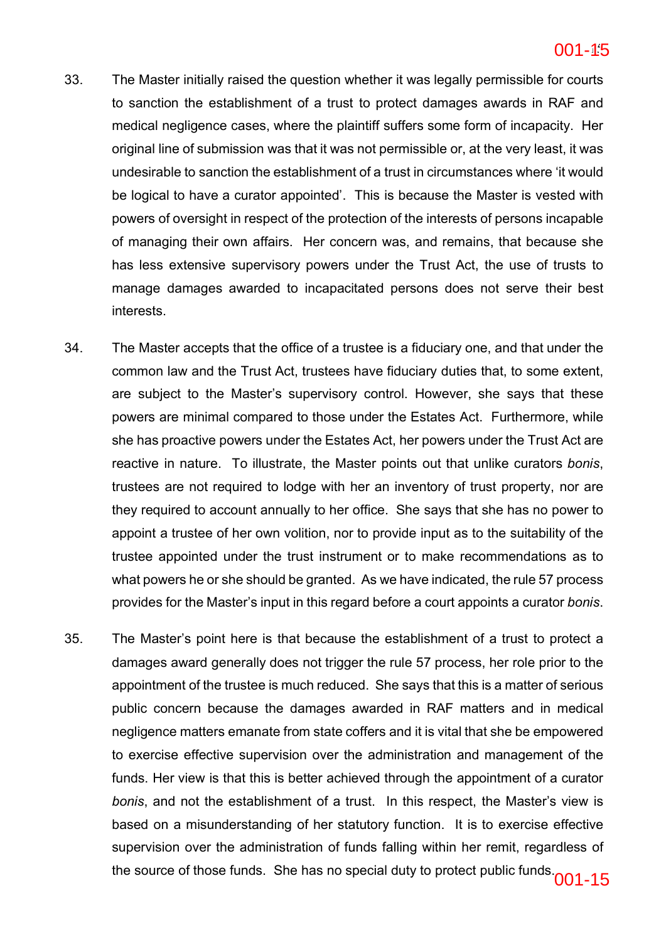- 33. The Master initially raised the question whether it was legally permissible for courts to sanction the establishment of a trust to protect damages awards in RAF and medical negligence cases, where the plaintiff suffers some form of incapacity. Her original line of submission was that it was not permissible or, at the very least, it was undesirable to sanction the establishment of a trust in circumstances where 'it would be logical to have a curator appointed'. This is because the Master is vested with powers of oversight in respect of the protection of the interests of persons incapable of managing their own affairs. Her concern was, and remains, that because she has less extensive supervisory powers under the Trust Act, the use of trusts to manage damages awarded to incapacitated persons does not serve their best interests.
- 34. The Master accepts that the office of a trustee is a fiduciary one, and that under the common law and the Trust Act, trustees have fiduciary duties that, to some extent, are subject to the Master's supervisory control. However, she says that these powers are minimal compared to those under the Estates Act. Furthermore, while she has proactive powers under the Estates Act, her powers under the Trust Act are reactive in nature. To illustrate, the Master points out that unlike curators *bonis*, trustees are not required to lodge with her an inventory of trust property, nor are they required to account annually to her office. She says that she has no power to appoint a trustee of her own volition, nor to provide input as to the suitability of the trustee appointed under the trust instrument or to make recommendations as to what powers he or she should be granted. As we have indicated, the rule 57 process provides for the Master's input in this regard before a court appoints a curator *bonis*.
- 35. The Master's point here is that because the establishment of a trust to protect a damages award generally does not trigger the rule 57 process, her role prior to the appointment of the trustee is much reduced. She says that this is a matter of serious public concern because the damages awarded in RAF matters and in medical negligence matters emanate from state coffers and it is vital that she be empowered to exercise effective supervision over the administration and management of the funds. Her view is that this is better achieved through the appointment of a curator *bonis*, and not the establishment of a trust. In this respect, the Master's view is based on a misunderstanding of her statutory function. It is to exercise effective supervision over the administration of funds falling within her remit, regardless of the source of those funds. She has no special duty to protect public funds. $001-15$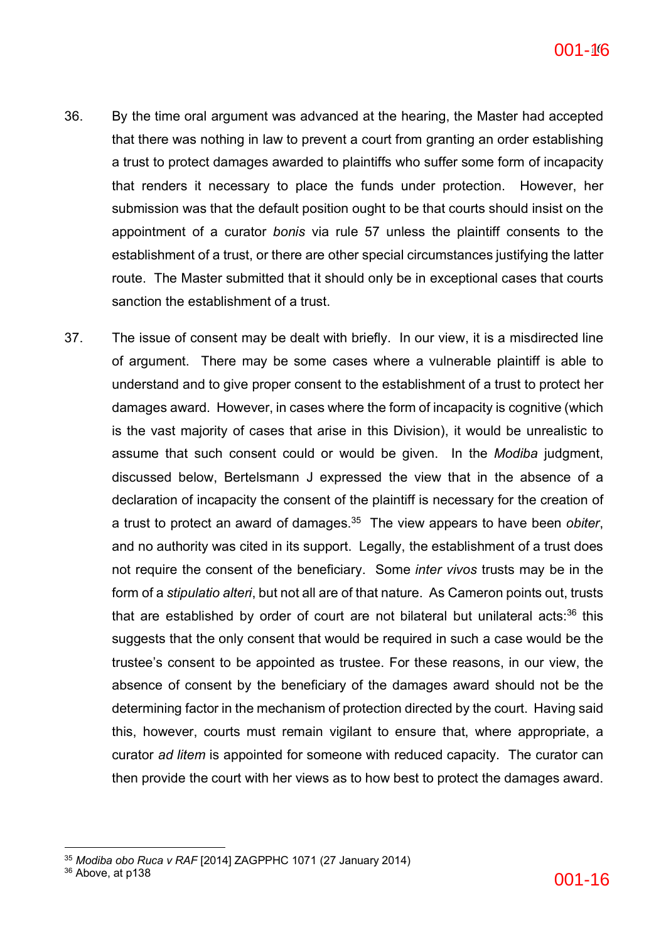- 36. By the time oral argument was advanced at the hearing, the Master had accepted that there was nothing in law to prevent a court from granting an order establishing a trust to protect damages awarded to plaintiffs who suffer some form of incapacity that renders it necessary to place the funds under protection. However, her submission was that the default position ought to be that courts should insist on the appointment of a curator *bonis* via rule 57 unless the plaintiff consents to the establishment of a trust, or there are other special circumstances justifying the latter route. The Master submitted that it should only be in exceptional cases that courts sanction the establishment of a trust.
- 37. The issue of consent may be dealt with briefly. In our view, it is a misdirected line of argument. There may be some cases where a vulnerable plaintiff is able to understand and to give proper consent to the establishment of a trust to protect her damages award. However, in cases where the form of incapacity is cognitive (which is the vast majority of cases that arise in this Division), it would be unrealistic to assume that such consent could or would be given. In the *Modiba* judgment, discussed below, Bertelsmann J expressed the view that in the absence of a declaration of incapacity the consent of the plaintiff is necessary for the creation of a trust to protect an award of damages.35 The view appears to have been *obiter*, and no authority was cited in its support. Legally, the establishment of a trust does not require the consent of the beneficiary. Some *inter vivos* trusts may be in the form of a *stipulatio alteri*, but not all are of that nature. As Cameron points out, trusts that are established by order of court are not bilateral but unilateral acts: $36$  this suggests that the only consent that would be required in such a case would be the trustee's consent to be appointed as trustee. For these reasons, in our view, the absence of consent by the beneficiary of the damages award should not be the determining factor in the mechanism of protection directed by the court. Having said this, however, courts must remain vigilant to ensure that, where appropriate, a curator *ad litem* is appointed for someone with reduced capacity. The curator can then provide the court with her views as to how best to protect the damages award.

 $36$  Above, at p138  $001$  –  $16$ 

<sup>35</sup> *Modiba obo Ruca v RAF* [2014] ZAGPPHC 1071 (27 January 2014)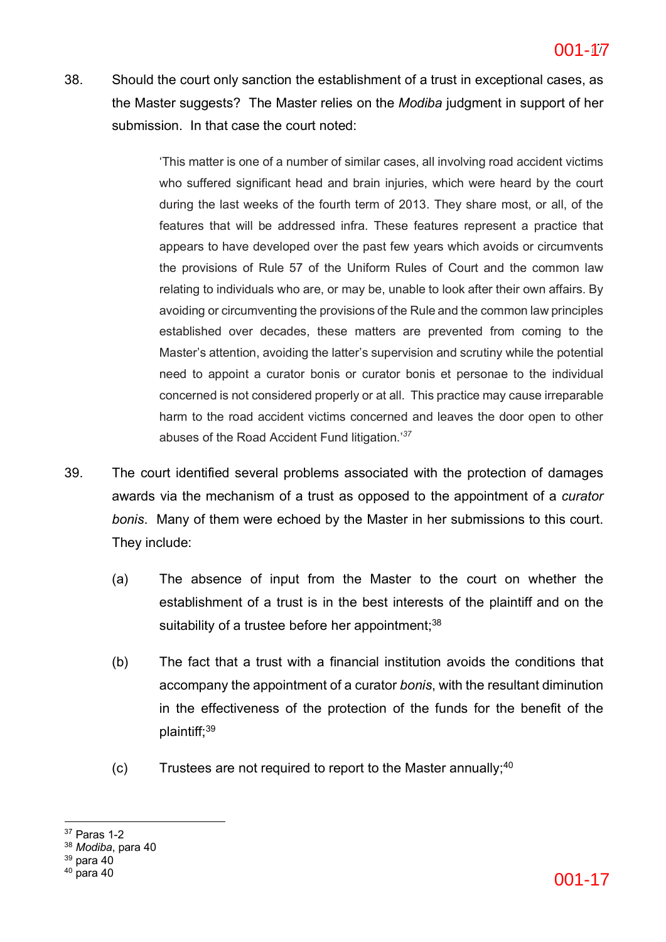38. Should the court only sanction the establishment of a trust in exceptional cases, as the Master suggests? The Master relies on the *Modiba* judgment in support of her submission. In that case the court noted:

> 'This matter is one of a number of similar cases, all involving road accident victims who suffered significant head and brain injuries, which were heard by the court during the last weeks of the fourth term of 2013. They share most, or all, of the features that will be addressed infra. These features represent a practice that appears to have developed over the past few years which avoids or circumvents the provisions of Rule 57 of the Uniform Rules of Court and the common law relating to individuals who are, or may be, unable to look after their own affairs. By avoiding or circumventing the provisions of the Rule and the common law principles established over decades, these matters are prevented from coming to the Master's attention, avoiding the latter's supervision and scrutiny while the potential need to appoint a curator bonis or curator bonis et personae to the individual concerned is not considered properly or at all. This practice may cause irreparable harm to the road accident victims concerned and leaves the door open to other abuses of the Road Accident Fund litigation.'*<sup>37</sup>*

- 39. The court identified several problems associated with the protection of damages awards via the mechanism of a trust as opposed to the appointment of a *curator bonis*. Many of them were echoed by the Master in her submissions to this court. They include:
	- (a) The absence of input from the Master to the court on whether the establishment of a trust is in the best interests of the plaintiff and on the suitability of a trustee before her appointment: 38
	- (b) The fact that a trust with a financial institution avoids the conditions that accompany the appointment of a curator *bonis*, with the resultant diminution in the effectiveness of the protection of the funds for the benefit of the plaintiff;39
	- $(c)$  Trustees are not required to report to the Master annually;  $40$

 $37$  Paras 1-2

<sup>38</sup> *Modiba*, para 40

 $39$  para 40<br> $40$  para 40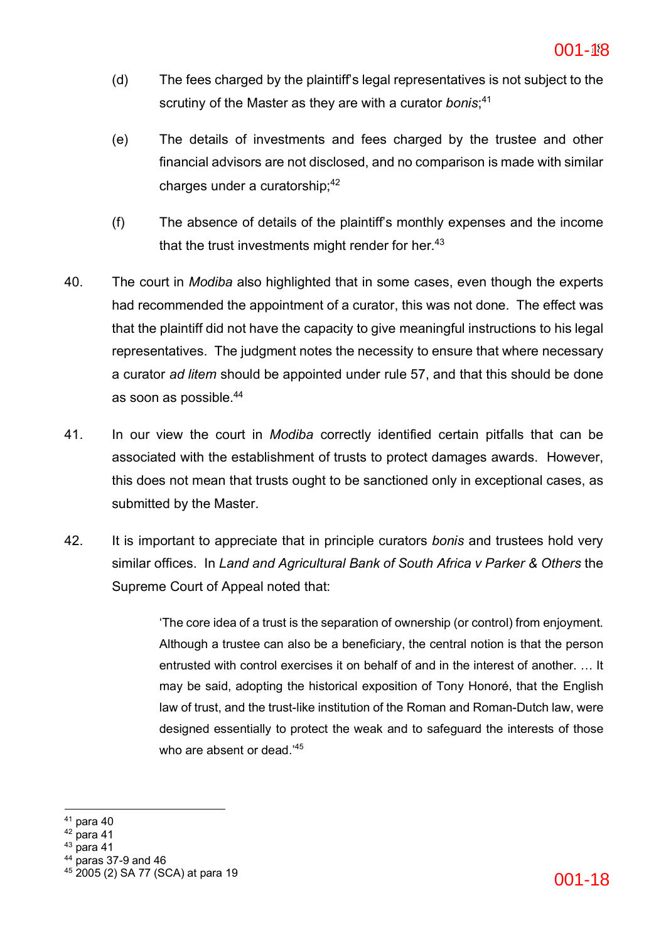- (d) The fees charged by the plaintiff's legal representatives is not subject to the scrutiny of the Master as they are with a curator *bonis*; 41
- (e) The details of investments and fees charged by the trustee and other financial advisors are not disclosed, and no comparison is made with similar charges under a curatorship; $42$
- (f) The absence of details of the plaintiff's monthly expenses and the income that the trust investments might render for her. $43$
- 40. The court in *Modiba* also highlighted that in some cases, even though the experts had recommended the appointment of a curator, this was not done. The effect was that the plaintiff did not have the capacity to give meaningful instructions to his legal representatives. The judgment notes the necessity to ensure that where necessary a curator *ad litem* should be appointed under rule 57, and that this should be done as soon as possible.44
- 41. In our view the court in *Modiba* correctly identified certain pitfalls that can be associated with the establishment of trusts to protect damages awards. However, this does not mean that trusts ought to be sanctioned only in exceptional cases, as submitted by the Master.
- 42. It is important to appreciate that in principle curators *bonis* and trustees hold very similar offices. In *Land and Agricultural Bank of South Africa v Parker & Others* the Supreme Court of Appeal noted that:

'The core idea of a trust is the separation of ownership (or control) from enjoyment. Although a trustee can also be a beneficiary, the central notion is that the person entrusted with control exercises it on behalf of and in the interest of another. … It may be said, adopting the historical exposition of Tony Honoré, that the English law of trust, and the trust-like institution of the Roman and Roman-Dutch law, were designed essentially to protect the weak and to safeguard the interests of those who are absent or dead.<sup>45</sup>

- $42$  para 41
- $43$  para 41
- <sup>44</sup> paras 37-9 and 46

 $41$  para 40

<sup>&</sup>lt;sup>45</sup> 2005 (2) SA 77 (SCA) at para 19  $0.1 - 18$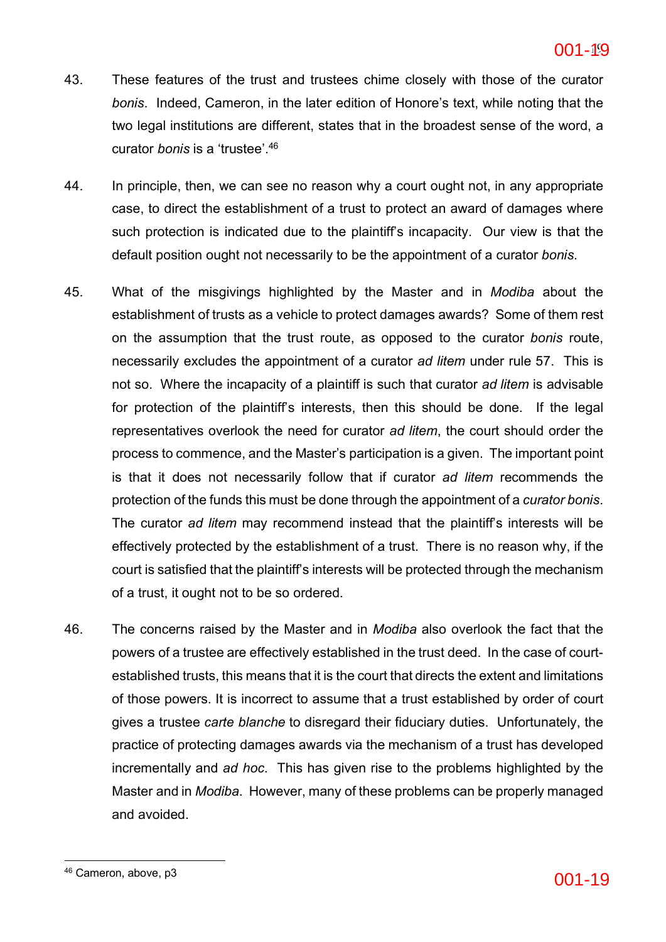- 43. These features of the trust and trustees chime closely with those of the curator *bonis*. Indeed, Cameron, in the later edition of Honore's text, while noting that the two legal institutions are different, states that in the broadest sense of the word, a curator *bonis* is a 'trustee'. 46
- 44. In principle, then, we can see no reason why a court ought not, in any appropriate case, to direct the establishment of a trust to protect an award of damages where such protection is indicated due to the plaintiff's incapacity. Our view is that the default position ought not necessarily to be the appointment of a curator *bonis*.
- 45. What of the misgivings highlighted by the Master and in *Modiba* about the establishment of trusts as a vehicle to protect damages awards? Some of them rest on the assumption that the trust route, as opposed to the curator *bonis* route, necessarily excludes the appointment of a curator *ad litem* under rule 57. This is not so. Where the incapacity of a plaintiff is such that curator *ad litem* is advisable for protection of the plaintiff's interests, then this should be done. If the legal representatives overlook the need for curator *ad litem*, the court should order the process to commence, and the Master's participation is a given. The important point is that it does not necessarily follow that if curator *ad litem* recommends the protection of the funds this must be done through the appointment of a *curator bonis*. The curator *ad litem* may recommend instead that the plaintiff's interests will be effectively protected by the establishment of a trust. There is no reason why, if the court is satisfied that the plaintiff's interests will be protected through the mechanism of a trust, it ought not to be so ordered.
- 46. The concerns raised by the Master and in *Modiba* also overlook the fact that the powers of a trustee are effectively established in the trust deed. In the case of courtestablished trusts, this means that it is the court that directs the extent and limitations of those powers. It is incorrect to assume that a trust established by order of court gives a trustee *carte blanche* to disregard their fiduciary duties. Unfortunately, the practice of protecting damages awards via the mechanism of a trust has developed incrementally and *ad hoc*. This has given rise to the problems highlighted by the Master and in *Modiba*. However, many of these problems can be properly managed and avoided.

 $46$  Cameron, above, p3 001-19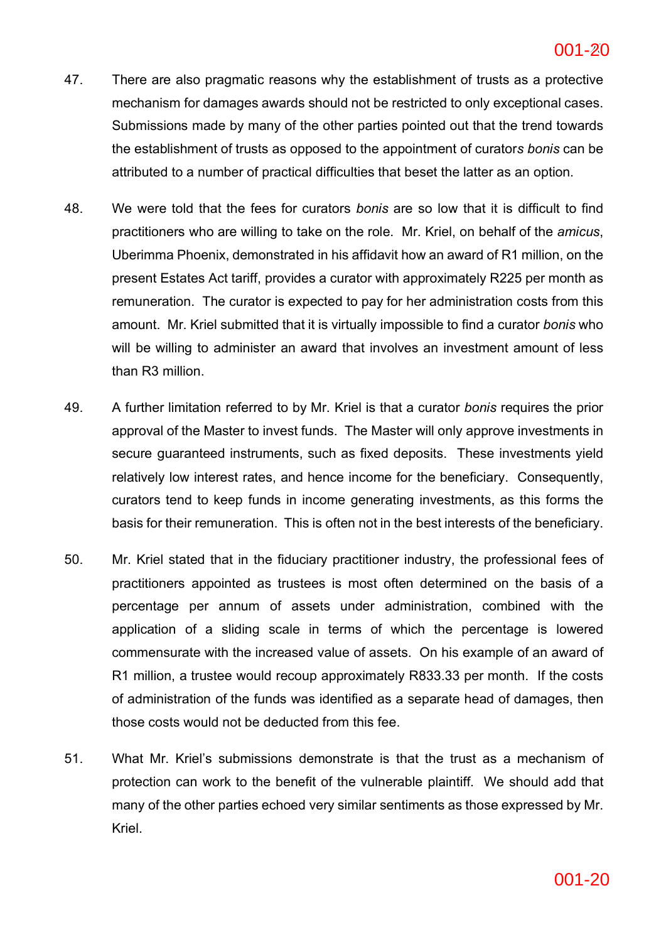- 47. There are also pragmatic reasons why the establishment of trusts as a protective mechanism for damages awards should not be restricted to only exceptional cases. Submissions made by many of the other parties pointed out that the trend towards the establishment of trusts as opposed to the appointment of curator*s bonis* can be attributed to a number of practical difficulties that beset the latter as an option.
- 48. We were told that the fees for curators *bonis* are so low that it is difficult to find practitioners who are willing to take on the role. Mr. Kriel, on behalf of the *amicus*, Uberimma Phoenix, demonstrated in his affidavit how an award of R1 million, on the present Estates Act tariff, provides a curator with approximately R225 per month as remuneration. The curator is expected to pay for her administration costs from this amount. Mr. Kriel submitted that it is virtually impossible to find a curator *bonis* who will be willing to administer an award that involves an investment amount of less than R3 million.
- 49. A further limitation referred to by Mr. Kriel is that a curator *bonis* requires the prior approval of the Master to invest funds. The Master will only approve investments in secure guaranteed instruments, such as fixed deposits. These investments yield relatively low interest rates, and hence income for the beneficiary. Consequently, curators tend to keep funds in income generating investments, as this forms the basis for their remuneration. This is often not in the best interests of the beneficiary.
- 50. Mr. Kriel stated that in the fiduciary practitioner industry, the professional fees of practitioners appointed as trustees is most often determined on the basis of a percentage per annum of assets under administration, combined with the application of a sliding scale in terms of which the percentage is lowered commensurate with the increased value of assets. On his example of an award of R1 million, a trustee would recoup approximately R833.33 per month. If the costs of administration of the funds was identified as a separate head of damages, then those costs would not be deducted from this fee.
- 51. What Mr. Kriel's submissions demonstrate is that the trust as a mechanism of protection can work to the benefit of the vulnerable plaintiff. We should add that many of the other parties echoed very similar sentiments as those expressed by Mr. Kriel.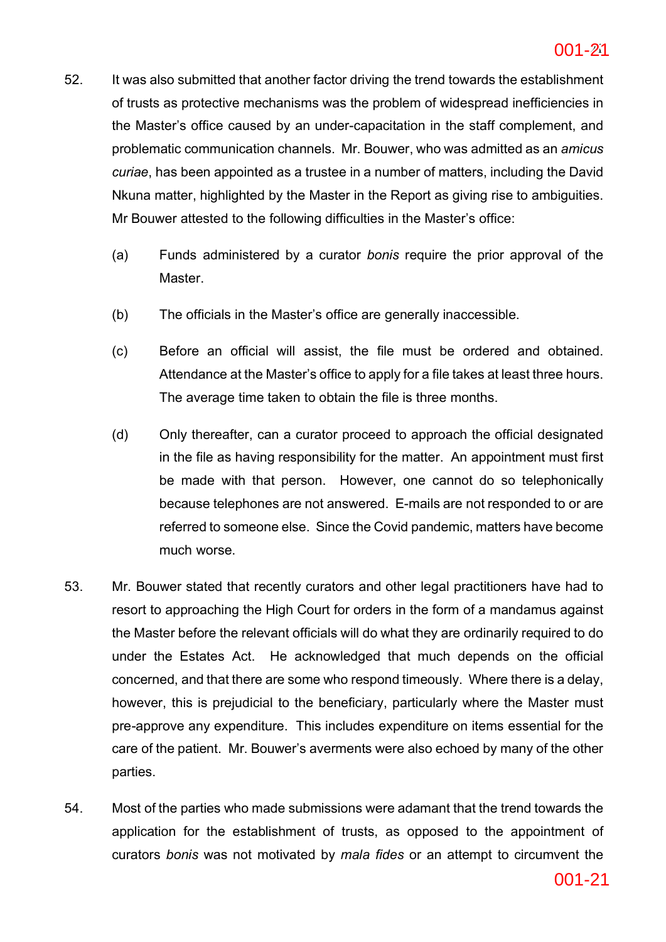- 52. It was also submitted that another factor driving the trend towards the establishment of trusts as protective mechanisms was the problem of widespread inefficiencies in the Master's office caused by an under-capacitation in the staff complement, and problematic communication channels. Mr. Bouwer, who was admitted as an *amicus curiae*, has been appointed as a trustee in a number of matters, including the David Nkuna matter, highlighted by the Master in the Report as giving rise to ambiguities. Mr Bouwer attested to the following difficulties in the Master's office:
	- (a) Funds administered by a curator *bonis* require the prior approval of the Master.
	- (b) The officials in the Master's office are generally inaccessible.
	- (c) Before an official will assist, the file must be ordered and obtained. Attendance at the Master's office to apply for a file takes at least three hours. The average time taken to obtain the file is three months.
	- (d) Only thereafter, can a curator proceed to approach the official designated in the file as having responsibility for the matter. An appointment must first be made with that person. However, one cannot do so telephonically because telephones are not answered. E-mails are not responded to or are referred to someone else. Since the Covid pandemic, matters have become much worse.
- 53. Mr. Bouwer stated that recently curators and other legal practitioners have had to resort to approaching the High Court for orders in the form of a mandamus against the Master before the relevant officials will do what they are ordinarily required to do under the Estates Act. He acknowledged that much depends on the official concerned, and that there are some who respond timeously. Where there is a delay, however, this is prejudicial to the beneficiary, particularly where the Master must pre-approve any expenditure. This includes expenditure on items essential for the care of the patient. Mr. Bouwer's averments were also echoed by many of the other parties.
- 54. Most of the parties who made submissions were adamant that the trend towards the application for the establishment of trusts, as opposed to the appointment of curators *bonis* was not motivated by *mala fides* or an attempt to circumvent the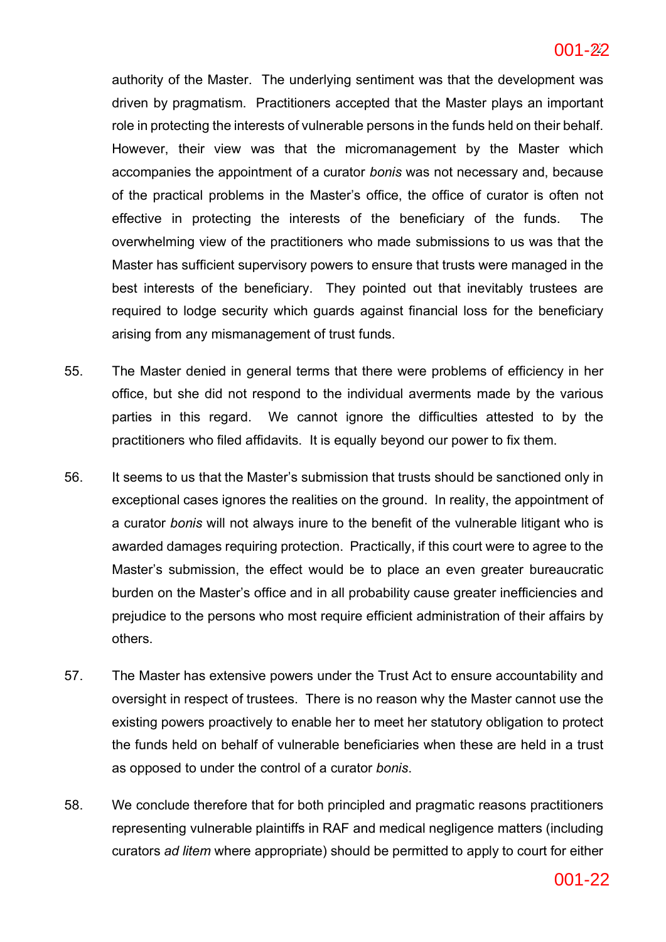authority of the Master. The underlying sentiment was that the development was driven by pragmatism. Practitioners accepted that the Master plays an important role in protecting the interests of vulnerable persons in the funds held on their behalf. However, their view was that the micromanagement by the Master which accompanies the appointment of a curator *bonis* was not necessary and, because of the practical problems in the Master's office, the office of curator is often not effective in protecting the interests of the beneficiary of the funds. The overwhelming view of the practitioners who made submissions to us was that the Master has sufficient supervisory powers to ensure that trusts were managed in the best interests of the beneficiary. They pointed out that inevitably trustees are required to lodge security which guards against financial loss for the beneficiary arising from any mismanagement of trust funds.

- 55. The Master denied in general terms that there were problems of efficiency in her office, but she did not respond to the individual averments made by the various parties in this regard. We cannot ignore the difficulties attested to by the practitioners who filed affidavits. It is equally beyond our power to fix them.
- 56. It seems to us that the Master's submission that trusts should be sanctioned only in exceptional cases ignores the realities on the ground. In reality, the appointment of a curator *bonis* will not always inure to the benefit of the vulnerable litigant who is awarded damages requiring protection. Practically, if this court were to agree to the Master's submission, the effect would be to place an even greater bureaucratic burden on the Master's office and in all probability cause greater inefficiencies and prejudice to the persons who most require efficient administration of their affairs by others.
- 57. The Master has extensive powers under the Trust Act to ensure accountability and oversight in respect of trustees. There is no reason why the Master cannot use the existing powers proactively to enable her to meet her statutory obligation to protect the funds held on behalf of vulnerable beneficiaries when these are held in a trust as opposed to under the control of a curator *bonis*.
- 58. We conclude therefore that for both principled and pragmatic reasons practitioners representing vulnerable plaintiffs in RAF and medical negligence matters (including curators *ad litem* where appropriate) should be permitted to apply to court for either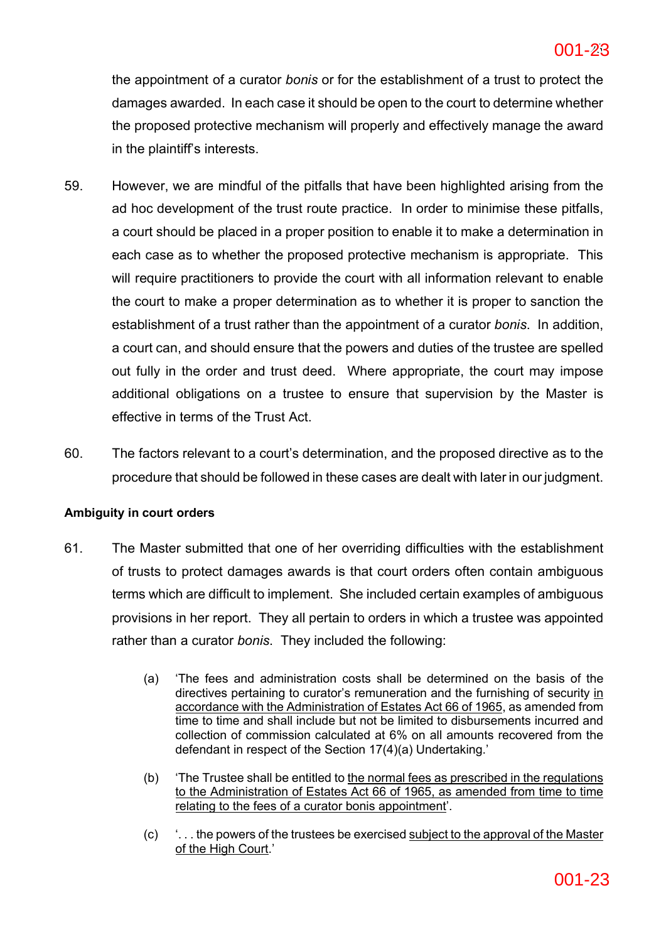the appointment of a curator *bonis* or for the establishment of a trust to protect the damages awarded. In each case it should be open to the court to determine whether the proposed protective mechanism will properly and effectively manage the award in the plaintiff's interests.

- 59. However, we are mindful of the pitfalls that have been highlighted arising from the ad hoc development of the trust route practice. In order to minimise these pitfalls, a court should be placed in a proper position to enable it to make a determination in each case as to whether the proposed protective mechanism is appropriate. This will require practitioners to provide the court with all information relevant to enable the court to make a proper determination as to whether it is proper to sanction the establishment of a trust rather than the appointment of a curator *bonis*. In addition, a court can, and should ensure that the powers and duties of the trustee are spelled out fully in the order and trust deed. Where appropriate, the court may impose additional obligations on a trustee to ensure that supervision by the Master is effective in terms of the Trust Act.
- 60. The factors relevant to a court's determination, and the proposed directive as to the procedure that should be followed in these cases are dealt with later in our judgment.

## **Ambiguity in court orders**

- 61. The Master submitted that one of her overriding difficulties with the establishment of trusts to protect damages awards is that court orders often contain ambiguous terms which are difficult to implement. She included certain examples of ambiguous provisions in her report. They all pertain to orders in which a trustee was appointed rather than a curator *bonis*. They included the following:
	- (a) 'The fees and administration costs shall be determined on the basis of the directives pertaining to curator's remuneration and the furnishing of security in accordance with the Administration of Estates Act 66 of 1965, as amended from time to time and shall include but not be limited to disbursements incurred and collection of commission calculated at 6% on all amounts recovered from the defendant in respect of the Section 17(4)(a) Undertaking.'
	- (b) 'The Trustee shall be entitled to the normal fees as prescribed in the regulations to the Administration of Estates Act 66 of 1965, as amended from time to time relating to the fees of a curator bonis appointment'.
	- (c) '. . . the powers of the trustees be exercised subject to the approval of the Master of the High Court.'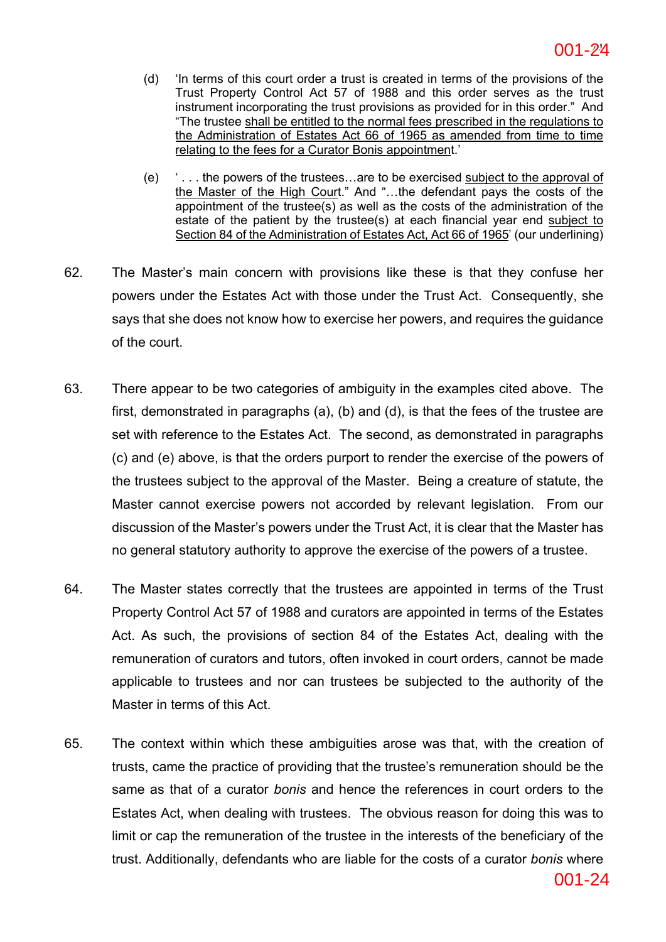- (d) 'In terms of this court order a trust is created in terms of the provisions of the Trust Property Control Act 57 of 1988 and this order serves as the trust instrument incorporating the trust provisions as provided for in this order." And "The trustee shall be entitled to the normal fees prescribed in the regulations to the Administration of Estates Act 66 of 1965 as amended from time to time relating to the fees for a Curator Bonis appointment.'
- (e) ' . . . the powers of the trustees…are to be exercised subject to the approval of the Master of the High Court." And "…the defendant pays the costs of the appointment of the trustee(s) as well as the costs of the administration of the estate of the patient by the trustee(s) at each financial year end subject to Section 84 of the Administration of Estates Act, Act 66 of 1965' (our underlining)
- 62. The Master's main concern with provisions like these is that they confuse her powers under the Estates Act with those under the Trust Act. Consequently, she says that she does not know how to exercise her powers, and requires the guidance of the court.
- 63. There appear to be two categories of ambiguity in the examples cited above. The first, demonstrated in paragraphs (a), (b) and (d), is that the fees of the trustee are set with reference to the Estates Act. The second, as demonstrated in paragraphs (c) and (e) above, is that the orders purport to render the exercise of the powers of the trustees subject to the approval of the Master. Being a creature of statute, the Master cannot exercise powers not accorded by relevant legislation. From our discussion of the Master's powers under the Trust Act, it is clear that the Master has no general statutory authority to approve the exercise of the powers of a trustee.
- 64. The Master states correctly that the trustees are appointed in terms of the Trust Property Control Act 57 of 1988 and curators are appointed in terms of the Estates Act. As such, the provisions of section 84 of the Estates Act, dealing with the remuneration of curators and tutors, often invoked in court orders, cannot be made applicable to trustees and nor can trustees be subjected to the authority of the Master in terms of this Act.
- 65. The context within which these ambiguities arose was that, with the creation of trusts, came the practice of providing that the trustee's remuneration should be the same as that of a curator *bonis* and hence the references in court orders to the Estates Act, when dealing with trustees. The obvious reason for doing this was to limit or cap the remuneration of the trustee in the interests of the beneficiary of the trust. Additionally, defendants who are liable for the costs of a curator *bonis* where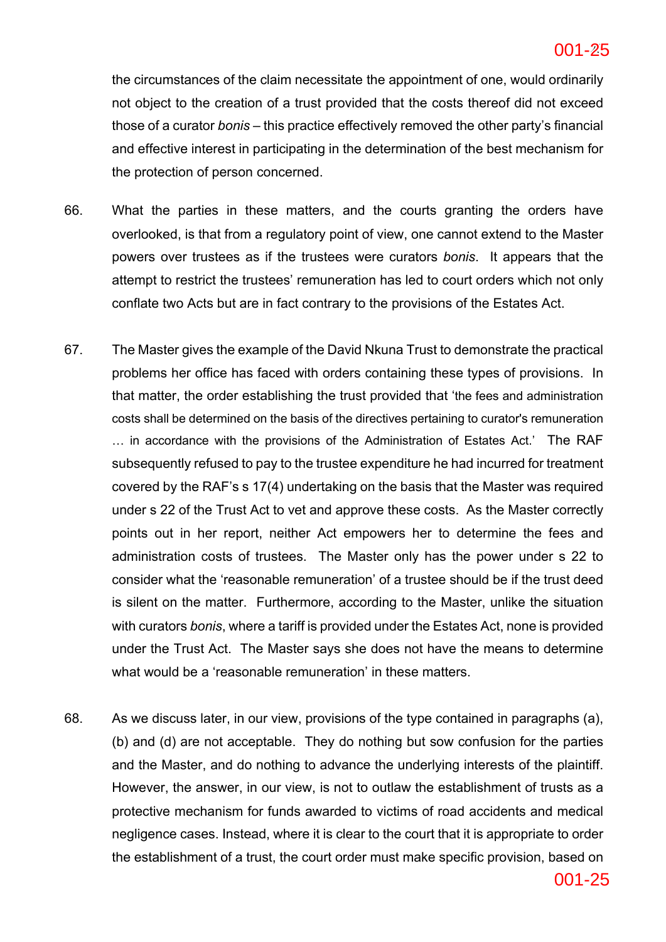#### **ac6c5141bd2642efb389a2a5978fa8b6-25** 25 001-25

the circumstances of the claim necessitate the appointment of one, would ordinarily not object to the creation of a trust provided that the costs thereof did not exceed those of a curator *bonis* – this practice effectively removed the other party's financial and effective interest in participating in the determination of the best mechanism for the protection of person concerned.

- 66. What the parties in these matters, and the courts granting the orders have overlooked, is that from a regulatory point of view, one cannot extend to the Master powers over trustees as if the trustees were curators *bonis*. It appears that the attempt to restrict the trustees' remuneration has led to court orders which not only conflate two Acts but are in fact contrary to the provisions of the Estates Act.
- 67. The Master gives the example of the David Nkuna Trust to demonstrate the practical problems her office has faced with orders containing these types of provisions. In that matter, the order establishing the trust provided that 'the fees and administration costs shall be determined on the basis of the directives pertaining to curator's remuneration … in accordance with the provisions of the Administration of Estates Act.' The RAF subsequently refused to pay to the trustee expenditure he had incurred for treatment covered by the RAF's s 17(4) undertaking on the basis that the Master was required under s 22 of the Trust Act to vet and approve these costs. As the Master correctly points out in her report, neither Act empowers her to determine the fees and administration costs of trustees. The Master only has the power under s 22 to consider what the 'reasonable remuneration' of a trustee should be if the trust deed is silent on the matter. Furthermore, according to the Master, unlike the situation with curators *bonis*, where a tariff is provided under the Estates Act, none is provided under the Trust Act. The Master says she does not have the means to determine what would be a 'reasonable remuneration' in these matters.
- 68. As we discuss later, in our view, provisions of the type contained in paragraphs (a), (b) and (d) are not acceptable. They do nothing but sow confusion for the parties and the Master, and do nothing to advance the underlying interests of the plaintiff. However, the answer, in our view, is not to outlaw the establishment of trusts as a protective mechanism for funds awarded to victims of road accidents and medical negligence cases. Instead, where it is clear to the court that it is appropriate to order the establishment of a trust, the court order must make specific provision, based on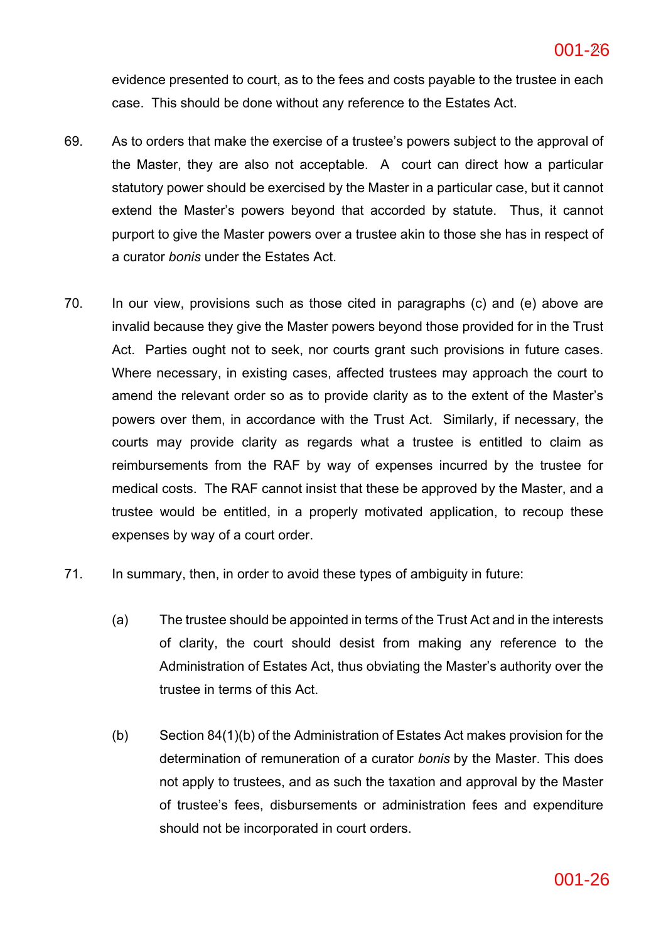evidence presented to court, as to the fees and costs payable to the trustee in each case. This should be done without any reference to the Estates Act.

- 69. As to orders that make the exercise of a trustee's powers subject to the approval of the Master, they are also not acceptable. A court can direct how a particular statutory power should be exercised by the Master in a particular case, but it cannot extend the Master's powers beyond that accorded by statute. Thus, it cannot purport to give the Master powers over a trustee akin to those she has in respect of a curator *bonis* under the Estates Act.
- 70. In our view, provisions such as those cited in paragraphs (c) and (e) above are invalid because they give the Master powers beyond those provided for in the Trust Act. Parties ought not to seek, nor courts grant such provisions in future cases. Where necessary, in existing cases, affected trustees may approach the court to amend the relevant order so as to provide clarity as to the extent of the Master's powers over them, in accordance with the Trust Act. Similarly, if necessary, the courts may provide clarity as regards what a trustee is entitled to claim as reimbursements from the RAF by way of expenses incurred by the trustee for medical costs. The RAF cannot insist that these be approved by the Master, and a trustee would be entitled, in a properly motivated application, to recoup these expenses by way of a court order.
- 71. In summary, then, in order to avoid these types of ambiguity in future:
	- (a) The trustee should be appointed in terms of the Trust Act and in the interests of clarity, the court should desist from making any reference to the Administration of Estates Act, thus obviating the Master's authority over the trustee in terms of this Act.
	- (b) Section 84(1)(b) of the Administration of Estates Act makes provision for the determination of remuneration of a curator *bonis* by the Master. This does not apply to trustees, and as such the taxation and approval by the Master of trustee's fees, disbursements or administration fees and expenditure should not be incorporated in court orders.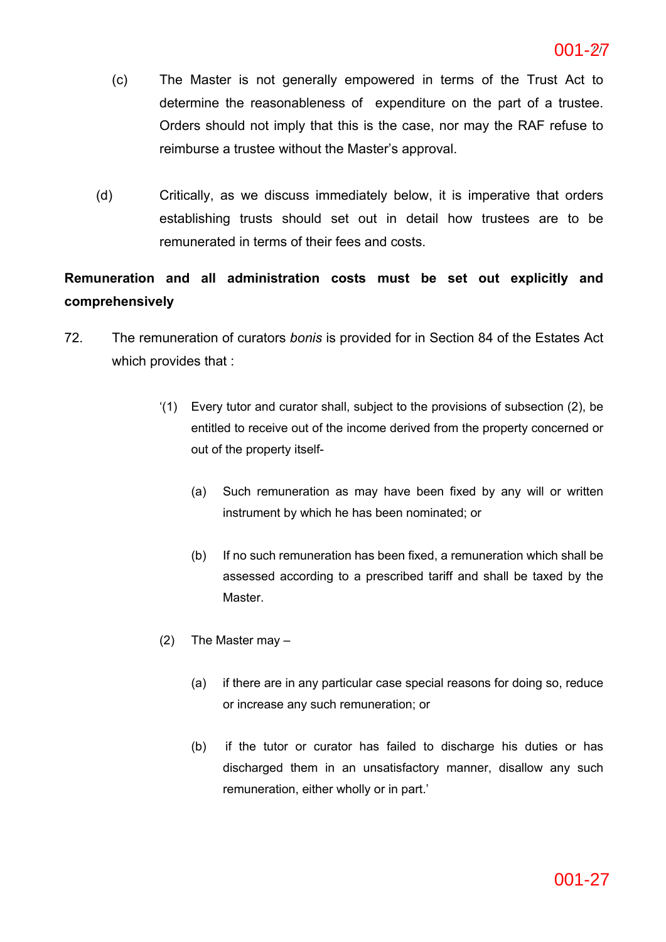- (c) The Master is not generally empowered in terms of the Trust Act to determine the reasonableness of expenditure on the part of a trustee. Orders should not imply that this is the case, nor may the RAF refuse to reimburse a trustee without the Master's approval.
- (d) Critically, as we discuss immediately below, it is imperative that orders establishing trusts should set out in detail how trustees are to be remunerated in terms of their fees and costs.

## **Remuneration and all administration costs must be set out explicitly and comprehensively**

- 72. The remuneration of curators *bonis* is provided for in Section 84 of the Estates Act which provides that :
	- '(1) Every tutor and curator shall, subject to the provisions of subsection (2), be entitled to receive out of the income derived from the property concerned or out of the property itself-
		- (a) Such remuneration as may have been fixed by any will or written instrument by which he has been nominated; or
		- (b) If no such remuneration has been fixed, a remuneration which shall be assessed according to a prescribed tariff and shall be taxed by the Master.
	- (2) The Master may
		- (a) if there are in any particular case special reasons for doing so, reduce or increase any such remuneration; or
		- (b) if the tutor or curator has failed to discharge his duties or has discharged them in an unsatisfactory manner, disallow any such remuneration, either wholly or in part.'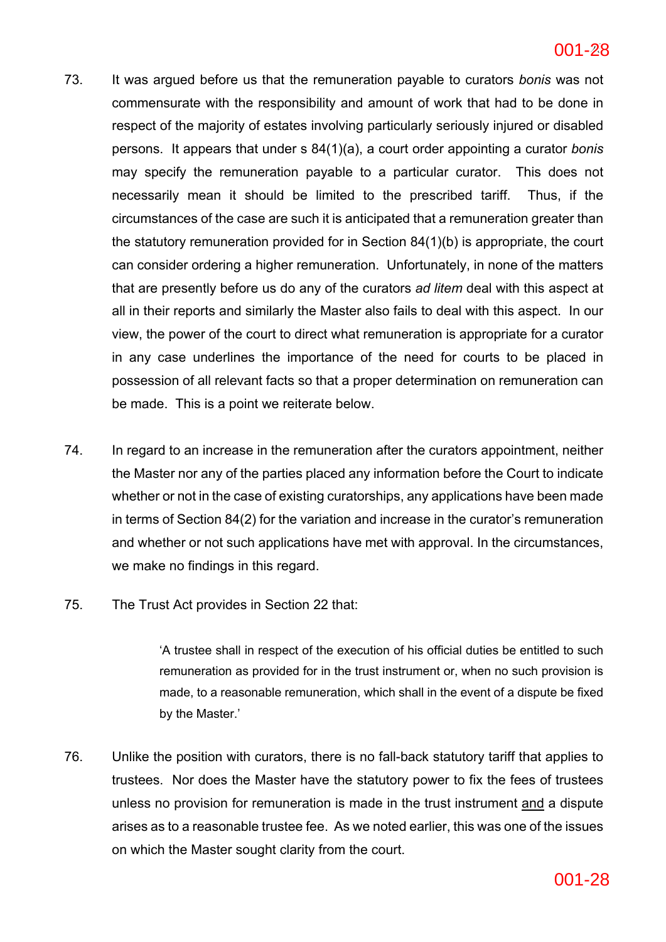#### **ac6c5141bd2642efb389a2a5978fa8b6-28** 28 001-28

- 73. It was argued before us that the remuneration payable to curators *bonis* was not commensurate with the responsibility and amount of work that had to be done in respect of the majority of estates involving particularly seriously injured or disabled persons. It appears that under s 84(1)(a), a court order appointing a curator *bonis* may specify the remuneration payable to a particular curator. This does not necessarily mean it should be limited to the prescribed tariff. Thus, if the circumstances of the case are such it is anticipated that a remuneration greater than the statutory remuneration provided for in Section 84(1)(b) is appropriate, the court can consider ordering a higher remuneration. Unfortunately, in none of the matters that are presently before us do any of the curators *ad litem* deal with this aspect at all in their reports and similarly the Master also fails to deal with this aspect. In our view, the power of the court to direct what remuneration is appropriate for a curator in any case underlines the importance of the need for courts to be placed in possession of all relevant facts so that a proper determination on remuneration can be made. This is a point we reiterate below.
- 74. In regard to an increase in the remuneration after the curators appointment, neither the Master nor any of the parties placed any information before the Court to indicate whether or not in the case of existing curatorships, any applications have been made in terms of Section 84(2) for the variation and increase in the curator's remuneration and whether or not such applications have met with approval. In the circumstances, we make no findings in this regard.
- 75. The Trust Act provides in Section 22 that:

'A trustee shall in respect of the execution of his official duties be entitled to such remuneration as provided for in the trust instrument or, when no such provision is made, to a reasonable remuneration, which shall in the event of a dispute be fixed by the Master.'

76. Unlike the position with curators, there is no fall-back statutory tariff that applies to trustees. Nor does the Master have the statutory power to fix the fees of trustees unless no provision for remuneration is made in the trust instrument and a dispute arises as to a reasonable trustee fee. As we noted earlier, this was one of the issues on which the Master sought clarity from the court.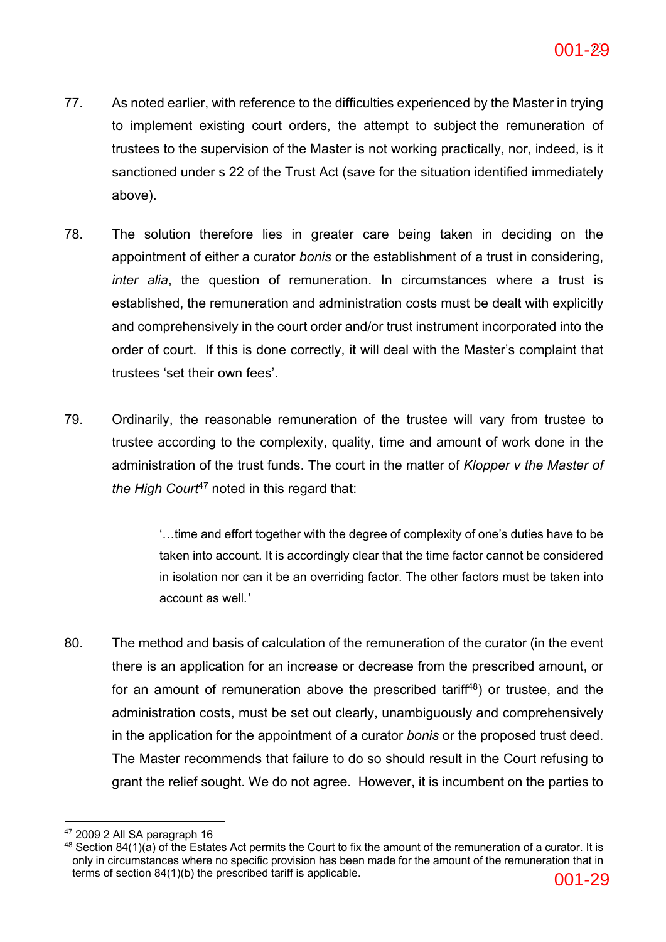- 77. As noted earlier, with reference to the difficulties experienced by the Master in trying to implement existing court orders, the attempt to subject the remuneration of trustees to the supervision of the Master is not working practically, nor, indeed, is it sanctioned under s 22 of the Trust Act (save for the situation identified immediately above).
- 78. The solution therefore lies in greater care being taken in deciding on the appointment of either a curator *bonis* or the establishment of a trust in considering, *inter alia*, the question of remuneration. In circumstances where a trust is established, the remuneration and administration costs must be dealt with explicitly and comprehensively in the court order and/or trust instrument incorporated into the order of court. If this is done correctly, it will deal with the Master's complaint that trustees 'set their own fees'.
- 79. Ordinarily, the reasonable remuneration of the trustee will vary from trustee to trustee according to the complexity, quality, time and amount of work done in the administration of the trust funds. The court in the matter of *Klopper v the Master of the High Court*<sup>47</sup> noted in this regard that:

'…time and effort together with the degree of complexity of one's duties have to be taken into account. It is accordingly clear that the time factor cannot be considered in isolation nor can it be an overriding factor. The other factors must be taken into account as well.*'*

80. The method and basis of calculation of the remuneration of the curator (in the event there is an application for an increase or decrease from the prescribed amount, or for an amount of remuneration above the prescribed tariff $48$ ) or trustee, and the administration costs, must be set out clearly, unambiguously and comprehensively in the application for the appointment of a curator *bonis* or the proposed trust deed. The Master recommends that failure to do so should result in the Court refusing to grant the relief sought. We do not agree. However, it is incumbent on the parties to

<sup>47</sup> 2009 2 All SA paragraph 16

 $48$  Section 84(1)(a) of the Estates Act permits the Court to fix the amount of the remuneration of a curator. It is only in circumstances where no specific provision has been made for the amount of the remuneration that in terms of section 84(1)(b) the prescribed tariff is applicable.  $0.01-29$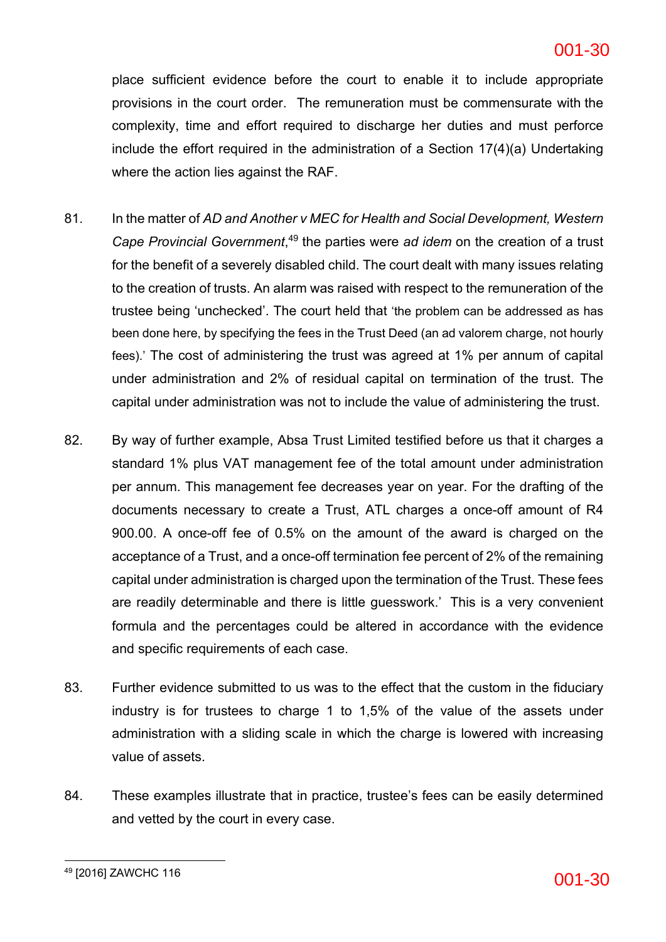#### **ac6c5141bd2642efb389a2a5978fa8b6-30** 30 001-30

place sufficient evidence before the court to enable it to include appropriate provisions in the court order. The remuneration must be commensurate with the complexity, time and effort required to discharge her duties and must perforce include the effort required in the administration of a Section 17(4)(a) Undertaking where the action lies against the RAF.

- 81. In the matter of *AD and Another v MEC for Health and Social Development, Western Cape Provincial Government*, <sup>49</sup> the parties were *ad idem* on the creation of a trust for the benefit of a severely disabled child. The court dealt with many issues relating to the creation of trusts. An alarm was raised with respect to the remuneration of the trustee being 'unchecked'. The court held that 'the problem can be addressed as has been done here, by specifying the fees in the Trust Deed (an ad valorem charge, not hourly fees).' The cost of administering the trust was agreed at 1% per annum of capital under administration and 2% of residual capital on termination of the trust. The capital under administration was not to include the value of administering the trust.
- 82. By way of further example, Absa Trust Limited testified before us that it charges a standard 1% plus VAT management fee of the total amount under administration per annum. This management fee decreases year on year. For the drafting of the documents necessary to create a Trust, ATL charges a once-off amount of R4 900.00. A once-off fee of 0.5% on the amount of the award is charged on the acceptance of a Trust, and a once-off termination fee percent of 2% of the remaining capital under administration is charged upon the termination of the Trust. These fees are readily determinable and there is little guesswork.' This is a very convenient formula and the percentages could be altered in accordance with the evidence and specific requirements of each case.
- 83. Further evidence submitted to us was to the effect that the custom in the fiduciary industry is for trustees to charge 1 to 1,5% of the value of the assets under administration with a sliding scale in which the charge is lowered with increasing value of assets.
- 84. These examples illustrate that in practice, trustee's fees can be easily determined and vetted by the court in every case.

 $^{49}$  [2016] ZAWCHC 116  $001$ -30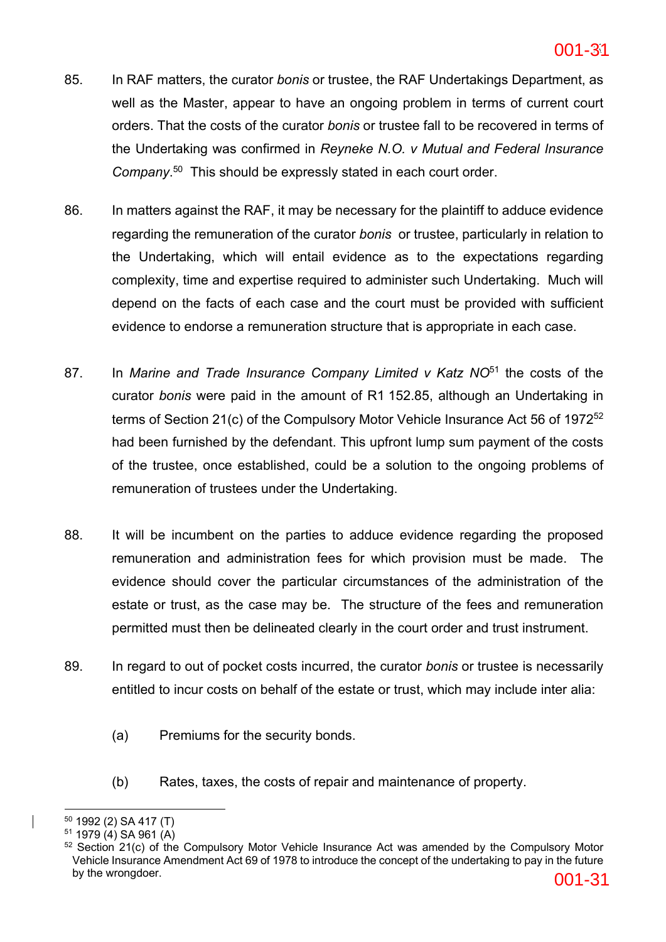- 85. In RAF matters, the curator *bonis* or trustee, the RAF Undertakings Department, as well as the Master, appear to have an ongoing problem in terms of current court orders. That the costs of the curator *bonis* or trustee fall to be recovered in terms of the Undertaking was confirmed in *Reyneke N.O. v Mutual and Federal Insurance Company*. 50 This should be expressly stated in each court order.
- 86. In matters against the RAF, it may be necessary for the plaintiff to adduce evidence regarding the remuneration of the curator *bonis* or trustee, particularly in relation to the Undertaking, which will entail evidence as to the expectations regarding complexity, time and expertise required to administer such Undertaking. Much will depend on the facts of each case and the court must be provided with sufficient evidence to endorse a remuneration structure that is appropriate in each case.
- 87. In *Marine and Trade Insurance Company Limited v Katz NO*<sup>51</sup> the costs of the curator *bonis* were paid in the amount of R1 152.85, although an Undertaking in terms of Section 21(c) of the Compulsory Motor Vehicle Insurance Act 56 of 197252 had been furnished by the defendant. This upfront lump sum payment of the costs of the trustee, once established, could be a solution to the ongoing problems of remuneration of trustees under the Undertaking.
- 88. It will be incumbent on the parties to adduce evidence regarding the proposed remuneration and administration fees for which provision must be made. The evidence should cover the particular circumstances of the administration of the estate or trust, as the case may be. The structure of the fees and remuneration permitted must then be delineated clearly in the court order and trust instrument.
- 89. In regard to out of pocket costs incurred, the curator *bonis* or trustee is necessarily entitled to incur costs on behalf of the estate or trust, which may include inter alia:
	- (a) Premiums for the security bonds.
	- (b) Rates, taxes, the costs of repair and maintenance of property.

<sup>50</sup> 1992 (2) SA 417 (T)

 $51$  1979 (4) SA 961 (A)

<sup>&</sup>lt;sup>52</sup> Section 21(c) of the Compulsory Motor Vehicle Insurance Act was amended by the Compulsory Motor Vehicle Insurance Amendment Act 69 of 1978 to introduce the concept of the undertaking to pay in the future by the wrongdoer.  $001-31$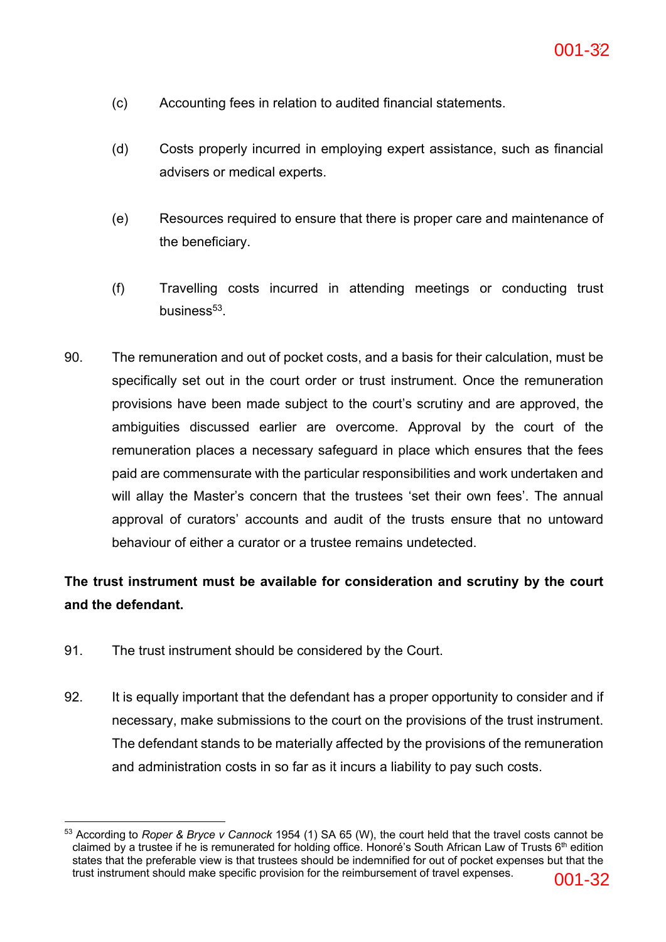- (c) Accounting fees in relation to audited financial statements.
- (d) Costs properly incurred in employing expert assistance, such as financial advisers or medical experts.
- (e) Resources required to ensure that there is proper care and maintenance of the beneficiary.
- (f) Travelling costs incurred in attending meetings or conducting trust business $53$
- 90. The remuneration and out of pocket costs, and a basis for their calculation, must be specifically set out in the court order or trust instrument. Once the remuneration provisions have been made subject to the court's scrutiny and are approved, the ambiguities discussed earlier are overcome. Approval by the court of the remuneration places a necessary safeguard in place which ensures that the fees paid are commensurate with the particular responsibilities and work undertaken and will allay the Master's concern that the trustees 'set their own fees'. The annual approval of curators' accounts and audit of the trusts ensure that no untoward behaviour of either a curator or a trustee remains undetected.

## **The trust instrument must be available for consideration and scrutiny by the court and the defendant.**

- 91. The trust instrument should be considered by the Court.
- 92. It is equally important that the defendant has a proper opportunity to consider and if necessary, make submissions to the court on the provisions of the trust instrument. The defendant stands to be materially affected by the provisions of the remuneration and administration costs in so far as it incurs a liability to pay such costs.

<sup>53</sup> According to *Roper & Bryce v Cannock* 1954 (1) SA 65 (W), the court held that the travel costs cannot be claimed by a trustee if he is remunerated for holding office. Honoré's South African Law of Trusts 6th edition states that the preferable view is that trustees should be indemnified for out of pocket expenses but that the trust instrument should make specific provision for the reimbursement of travel expenses. 001-32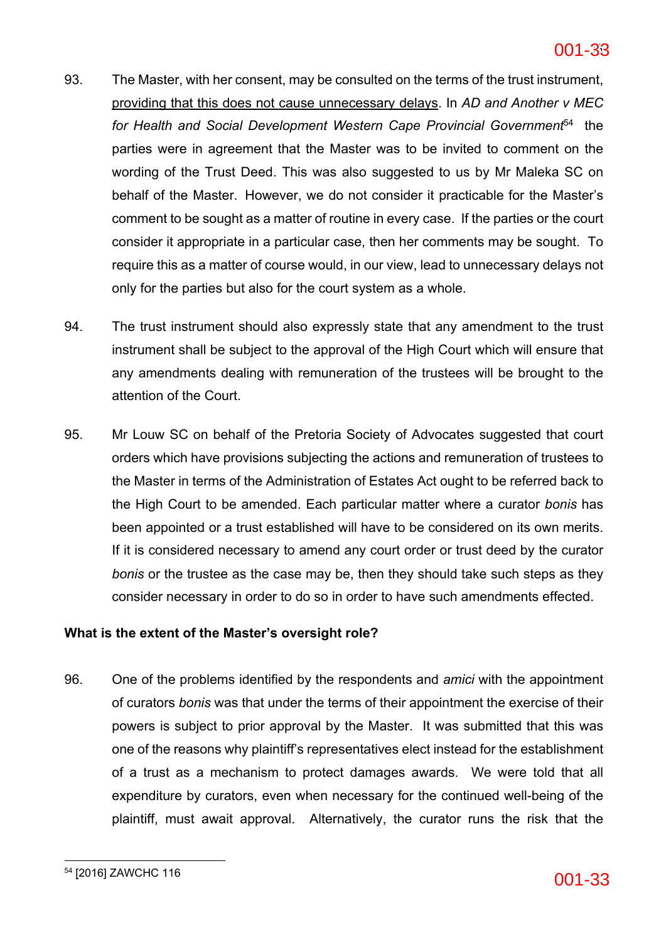- 93. The Master, with her consent, may be consulted on the terms of the trust instrument, providing that this does not cause unnecessary delays. In *AD and Another v MEC for Health and Social Development Western Cape Provincial Government*54 the parties were in agreement that the Master was to be invited to comment on the wording of the Trust Deed. This was also suggested to us by Mr Maleka SC on behalf of the Master. However, we do not consider it practicable for the Master's comment to be sought as a matter of routine in every case. If the parties or the court consider it appropriate in a particular case, then her comments may be sought. To require this as a matter of course would, in our view, lead to unnecessary delays not only for the parties but also for the court system as a whole.
- 94. The trust instrument should also expressly state that any amendment to the trust instrument shall be subject to the approval of the High Court which will ensure that any amendments dealing with remuneration of the trustees will be brought to the attention of the Court.
- 95. Mr Louw SC on behalf of the Pretoria Society of Advocates suggested that court orders which have provisions subjecting the actions and remuneration of trustees to the Master in terms of the Administration of Estates Act ought to be referred back to the High Court to be amended. Each particular matter where a curator *bonis* has been appointed or a trust established will have to be considered on its own merits. If it is considered necessary to amend any court order or trust deed by the curator *bonis* or the trustee as the case may be, then they should take such steps as they consider necessary in order to do so in order to have such amendments effected.

## **What is the extent of the Master's oversight role?**

96. One of the problems identified by the respondents and *amici* with the appointment of curators *bonis* was that under the terms of their appointment the exercise of their powers is subject to prior approval by the Master. It was submitted that this was one of the reasons why plaintiff's representatives elect instead for the establishment of a trust as a mechanism to protect damages awards. We were told that all expenditure by curators, even when necessary for the continued well-being of the plaintiff, must await approval. Alternatively, the curator runs the risk that the

 $^{54}$  [2016] ZAWCHC 116  $\overline{001}$ -33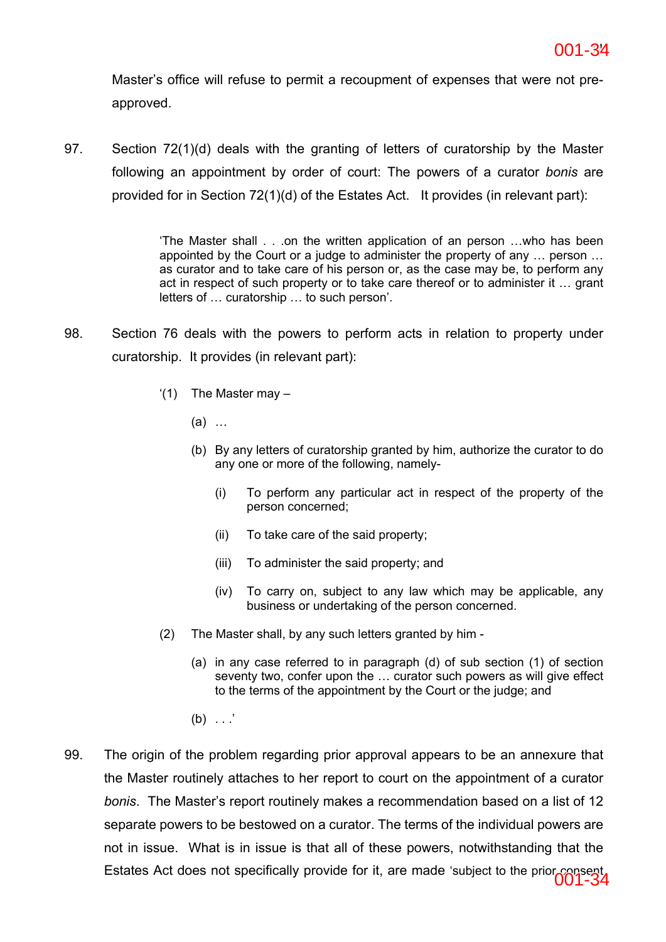Master's office will refuse to permit a recoupment of expenses that were not preapproved.

97. Section 72(1)(d) deals with the granting of letters of curatorship by the Master following an appointment by order of court: The powers of a curator *bonis* are provided for in Section 72(1)(d) of the Estates Act. It provides (in relevant part):

> 'The Master shall . . .on the written application of an person …who has been appointed by the Court or a judge to administer the property of any … person … as curator and to take care of his person or, as the case may be, to perform any act in respect of such property or to take care thereof or to administer it … grant letters of … curatorship … to such person'.

- 98. Section 76 deals with the powers to perform acts in relation to property under curatorship. It provides (in relevant part):
	- $(1)$  The Master may  $-$ 
		- (a) …
		- (b) By any letters of curatorship granted by him, authorize the curator to do any one or more of the following, namely-
			- (i) To perform any particular act in respect of the property of the person concerned;
			- (ii) To take care of the said property;
			- (iii) To administer the said property; and
			- (iv) To carry on, subject to any law which may be applicable, any business or undertaking of the person concerned.
	- (2) The Master shall, by any such letters granted by him
		- (a) in any case referred to in paragraph (d) of sub section (1) of section seventy two, confer upon the … curator such powers as will give effect to the terms of the appointment by the Court or the judge; and
		- $(b) \ldots$
- 99. The origin of the problem regarding prior approval appears to be an annexure that the Master routinely attaches to her report to court on the appointment of a curator *bonis*. The Master's report routinely makes a recommendation based on a list of 12 separate powers to be bestowed on a curator. The terms of the individual powers are not in issue. What is in issue is that all of these powers, notwithstanding that the Estates Act does not specifically provide for it, are made 'subject to the prior consent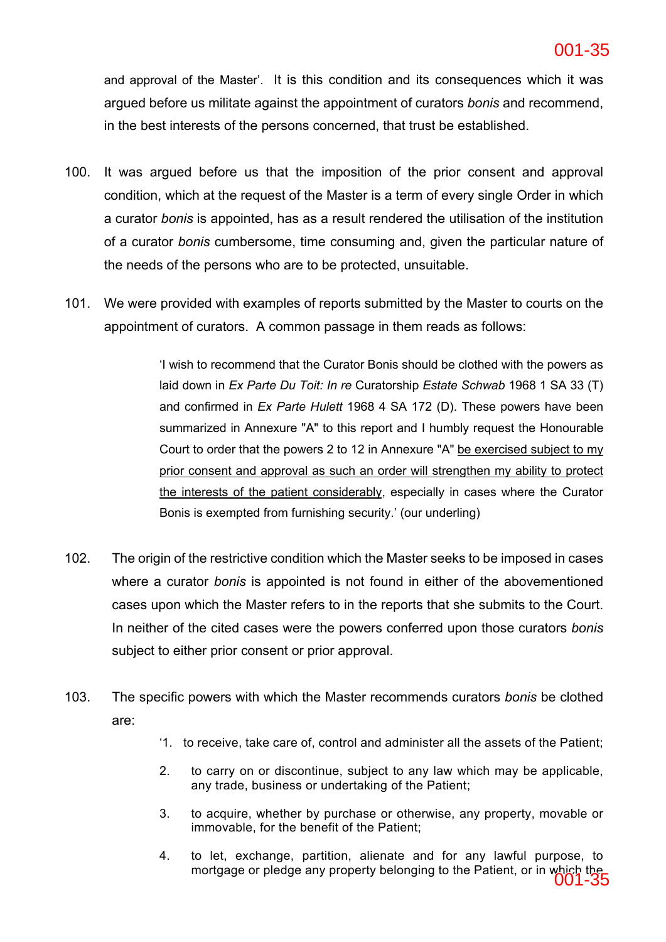and approval of the Master'. It is this condition and its consequences which it was argued before us militate against the appointment of curators *bonis* and recommend, in the best interests of the persons concerned, that trust be established.

- 100. It was argued before us that the imposition of the prior consent and approval condition, which at the request of the Master is a term of every single Order in which a curator *bonis* is appointed, has as a result rendered the utilisation of the institution of a curator *bonis* cumbersome, time consuming and, given the particular nature of the needs of the persons who are to be protected, unsuitable.
- 101. We were provided with examples of reports submitted by the Master to courts on the appointment of curators. A common passage in them reads as follows:

'I wish to recommend that the Curator Bonis should be clothed with the powers as laid down in *Ex Parte Du Toit: In re* Curatorship *Estate Schwab* 1968 1 SA 33 (T) and confirmed in *Ex Parte Hulett* 1968 4 SA 172 (D). These powers have been summarized in Annexure "A" to this report and I humbly request the Honourable Court to order that the powers 2 to 12 in Annexure "A" be exercised subject to my prior consent and approval as such an order will strengthen my ability to protect the interests of the patient considerably, especially in cases where the Curator Bonis is exempted from furnishing security.' (our underling)

- 102. The origin of the restrictive condition which the Master seeks to be imposed in cases where a curator *bonis* is appointed is not found in either of the abovementioned cases upon which the Master refers to in the reports that she submits to the Court. In neither of the cited cases were the powers conferred upon those curators *bonis* subject to either prior consent or prior approval.
- 103. The specific powers with which the Master recommends curators *bonis* be clothed are:
	- '1. to receive, take care of, control and administer all the assets of the Patient;
	- 2. to carry on or discontinue, subject to any law which may be applicable, any trade, business or undertaking of the Patient;
	- 3. to acquire, whether by purchase or otherwise, any property, movable or immovable, for the benefit of the Patient;
	- 4. to let, exchange, partition, alienate and for any lawful purpose, to mortgage or pledge any property belonging to the Patient, or in which the 001-35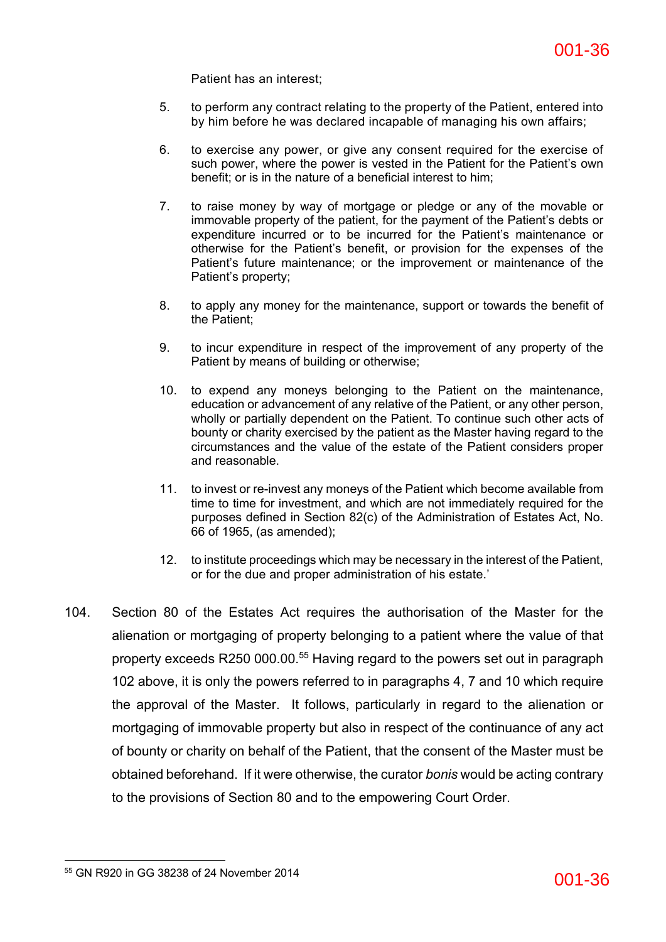Patient has an interest;

- 5. to perform any contract relating to the property of the Patient, entered into by him before he was declared incapable of managing his own affairs;
- 6. to exercise any power, or give any consent required for the exercise of such power, where the power is vested in the Patient for the Patient's own benefit; or is in the nature of a beneficial interest to him;
- 7. to raise money by way of mortgage or pledge or any of the movable or immovable property of the patient, for the payment of the Patient's debts or expenditure incurred or to be incurred for the Patient's maintenance or otherwise for the Patient's benefit, or provision for the expenses of the Patient's future maintenance; or the improvement or maintenance of the Patient's property;
- 8. to apply any money for the maintenance, support or towards the benefit of the Patient;
- 9. to incur expenditure in respect of the improvement of any property of the Patient by means of building or otherwise;
- 10. to expend any moneys belonging to the Patient on the maintenance, education or advancement of any relative of the Patient, or any other person, wholly or partially dependent on the Patient. To continue such other acts of bounty or charity exercised by the patient as the Master having regard to the circumstances and the value of the estate of the Patient considers proper and reasonable.
- 11. to invest or re-invest any moneys of the Patient which become available from time to time for investment, and which are not immediately required for the purposes defined in Section 82(c) of the Administration of Estates Act, No. 66 of 1965, (as amended);
- 12. to institute proceedings which may be necessary in the interest of the Patient, or for the due and proper administration of his estate.'
- 104. Section 80 of the Estates Act requires the authorisation of the Master for the alienation or mortgaging of property belonging to a patient where the value of that property exceeds R250 000.00.55 Having regard to the powers set out in paragraph 102 above, it is only the powers referred to in paragraphs 4, 7 and 10 which require the approval of the Master. It follows, particularly in regard to the alienation or mortgaging of immovable property but also in respect of the continuance of any act of bounty or charity on behalf of the Patient, that the consent of the Master must be obtained beforehand. If it were otherwise, the curator *bonis* would be acting contrary to the provisions of Section 80 and to the empowering Court Order.

<sup>&</sup>lt;sup>55</sup> GN R920 in GG 38238 of 24 November 2014 **001-36**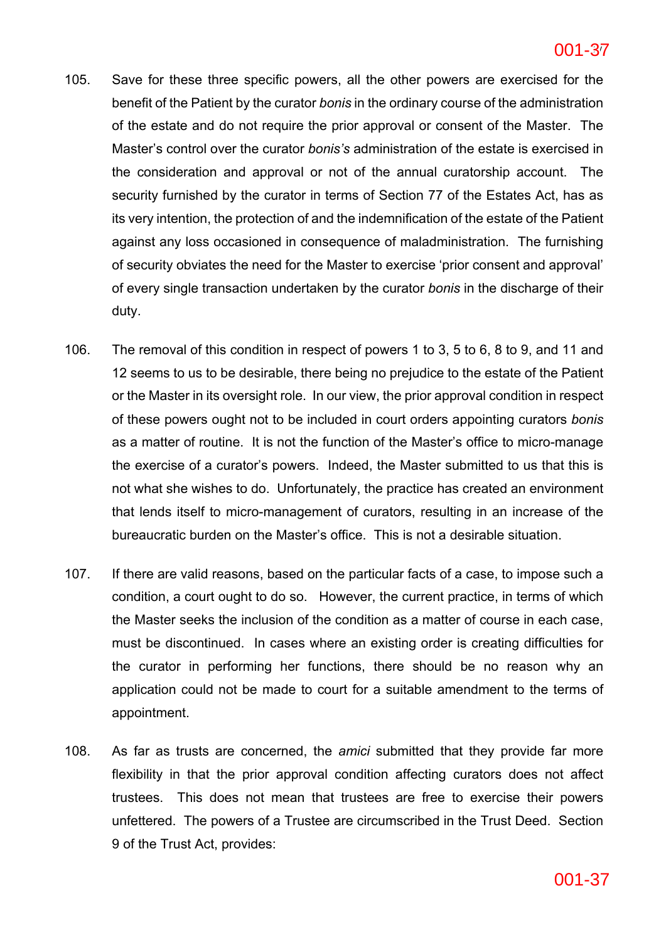- 105. Save for these three specific powers, all the other powers are exercised for the benefit of the Patient by the curator *bonis* in the ordinary course of the administration of the estate and do not require the prior approval or consent of the Master. The Master's control over the curator *bonis's* administration of the estate is exercised in the consideration and approval or not of the annual curatorship account. The security furnished by the curator in terms of Section 77 of the Estates Act, has as its very intention, the protection of and the indemnification of the estate of the Patient against any loss occasioned in consequence of maladministration. The furnishing of security obviates the need for the Master to exercise 'prior consent and approval' of every single transaction undertaken by the curator *bonis* in the discharge of their duty.
- 106. The removal of this condition in respect of powers 1 to 3, 5 to 6, 8 to 9, and 11 and 12 seems to us to be desirable, there being no prejudice to the estate of the Patient or the Master in its oversight role. In our view, the prior approval condition in respect of these powers ought not to be included in court orders appointing curators *bonis* as a matter of routine. It is not the function of the Master's office to micro-manage the exercise of a curator's powers. Indeed, the Master submitted to us that this is not what she wishes to do. Unfortunately, the practice has created an environment that lends itself to micro-management of curators, resulting in an increase of the bureaucratic burden on the Master's office. This is not a desirable situation.
- 107. If there are valid reasons, based on the particular facts of a case, to impose such a condition, a court ought to do so. However, the current practice, in terms of which the Master seeks the inclusion of the condition as a matter of course in each case, must be discontinued. In cases where an existing order is creating difficulties for the curator in performing her functions, there should be no reason why an application could not be made to court for a suitable amendment to the terms of appointment.
- 108. As far as trusts are concerned, the *amici* submitted that they provide far more flexibility in that the prior approval condition affecting curators does not affect trustees. This does not mean that trustees are free to exercise their powers unfettered. The powers of a Trustee are circumscribed in the Trust Deed. Section 9 of the Trust Act, provides: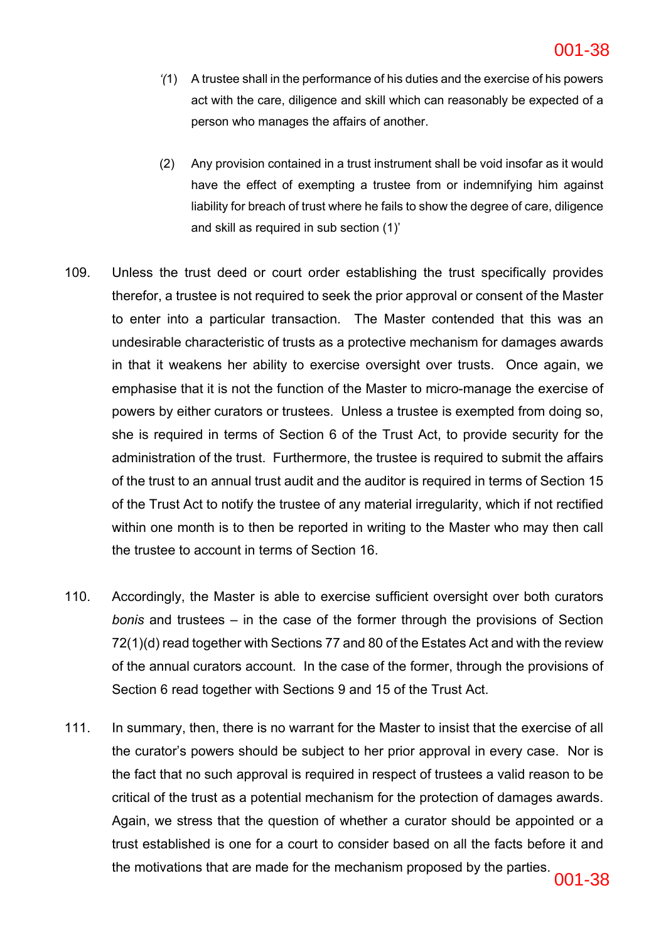- *'(*1) A trustee shall in the performance of his duties and the exercise of his powers act with the care, diligence and skill which can reasonably be expected of a person who manages the affairs of another.
- (2) Any provision contained in a trust instrument shall be void insofar as it would have the effect of exempting a trustee from or indemnifying him against liability for breach of trust where he fails to show the degree of care, diligence and skill as required in sub section (1)'
- 109. Unless the trust deed or court order establishing the trust specifically provides therefor, a trustee is not required to seek the prior approval or consent of the Master to enter into a particular transaction. The Master contended that this was an undesirable characteristic of trusts as a protective mechanism for damages awards in that it weakens her ability to exercise oversight over trusts. Once again, we emphasise that it is not the function of the Master to micro-manage the exercise of powers by either curators or trustees. Unless a trustee is exempted from doing so, she is required in terms of Section 6 of the Trust Act, to provide security for the administration of the trust. Furthermore, the trustee is required to submit the affairs of the trust to an annual trust audit and the auditor is required in terms of Section 15 of the Trust Act to notify the trustee of any material irregularity, which if not rectified within one month is to then be reported in writing to the Master who may then call the trustee to account in terms of Section 16.
- 110. Accordingly, the Master is able to exercise sufficient oversight over both curators *bonis* and trustees – in the case of the former through the provisions of Section 72(1)(d) read together with Sections 77 and 80 of the Estates Act and with the review of the annual curators account. In the case of the former, through the provisions of Section 6 read together with Sections 9 and 15 of the Trust Act.
- 111. In summary, then, there is no warrant for the Master to insist that the exercise of all the curator's powers should be subject to her prior approval in every case. Nor is the fact that no such approval is required in respect of trustees a valid reason to be critical of the trust as a potential mechanism for the protection of damages awards. Again, we stress that the question of whether a curator should be appointed or a trust established is one for a court to consider based on all the facts before it and the motivations that are made for the mechanism proposed by the parties.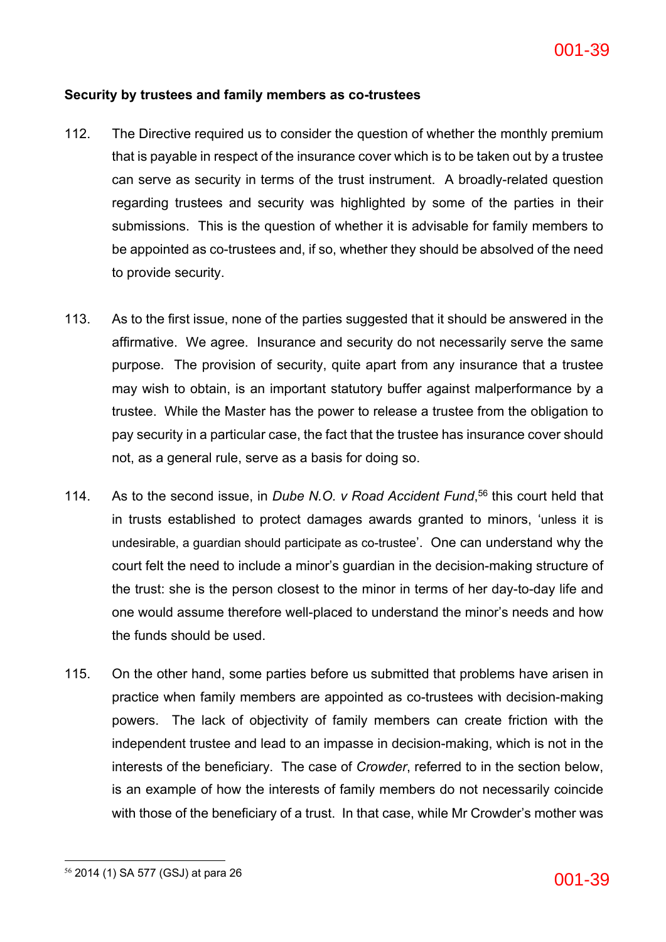## **Security by trustees and family members as co-trustees**

- 112. The Directive required us to consider the question of whether the monthly premium that is payable in respect of the insurance cover which is to be taken out by a trustee can serve as security in terms of the trust instrument. A broadly-related question regarding trustees and security was highlighted by some of the parties in their submissions. This is the question of whether it is advisable for family members to be appointed as co-trustees and, if so, whether they should be absolved of the need to provide security.
- 113. As to the first issue, none of the parties suggested that it should be answered in the affirmative. We agree. Insurance and security do not necessarily serve the same purpose. The provision of security, quite apart from any insurance that a trustee may wish to obtain, is an important statutory buffer against malperformance by a trustee. While the Master has the power to release a trustee from the obligation to pay security in a particular case, the fact that the trustee has insurance cover should not, as a general rule, serve as a basis for doing so.
- 114. As to the second issue, in *Dube N.O. v Road Accident Fund*, <sup>56</sup> this court held that in trusts established to protect damages awards granted to minors, 'unless it is undesirable, a guardian should participate as co-trustee'. One can understand why the court felt the need to include a minor's guardian in the decision-making structure of the trust: she is the person closest to the minor in terms of her day-to-day life and one would assume therefore well-placed to understand the minor's needs and how the funds should be used.
- 115. On the other hand, some parties before us submitted that problems have arisen in practice when family members are appointed as co-trustees with decision-making powers. The lack of objectivity of family members can create friction with the independent trustee and lead to an impasse in decision-making, which is not in the interests of the beneficiary. The case of *Crowder*, referred to in the section below, is an example of how the interests of family members do not necessarily coincide with those of the beneficiary of a trust. In that case, while Mr Crowder's mother was

<sup>&</sup>lt;sup>56</sup> 2014 (1) SA 577 (GSJ) at para 26 **001-39**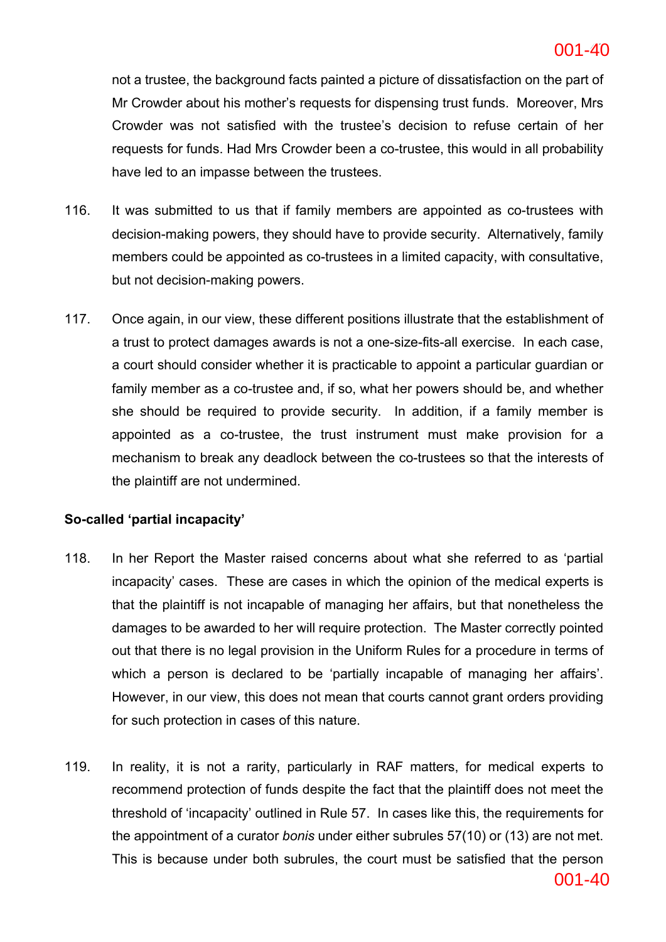### **ac6c5141bd2642efb389a2a5978fa8b6-40** 40 001-40

not a trustee, the background facts painted a picture of dissatisfaction on the part of Mr Crowder about his mother's requests for dispensing trust funds. Moreover, Mrs Crowder was not satisfied with the trustee's decision to refuse certain of her requests for funds. Had Mrs Crowder been a co-trustee, this would in all probability have led to an impasse between the trustees.

- 116. It was submitted to us that if family members are appointed as co-trustees with decision-making powers, they should have to provide security. Alternatively, family members could be appointed as co-trustees in a limited capacity, with consultative, but not decision-making powers.
- 117. Once again, in our view, these different positions illustrate that the establishment of a trust to protect damages awards is not a one-size-fits-all exercise. In each case, a court should consider whether it is practicable to appoint a particular guardian or family member as a co-trustee and, if so, what her powers should be, and whether she should be required to provide security. In addition, if a family member is appointed as a co-trustee, the trust instrument must make provision for a mechanism to break any deadlock between the co-trustees so that the interests of the plaintiff are not undermined.

## **So-called 'partial incapacity'**

- 118. In her Report the Master raised concerns about what she referred to as 'partial incapacity' cases. These are cases in which the opinion of the medical experts is that the plaintiff is not incapable of managing her affairs, but that nonetheless the damages to be awarded to her will require protection. The Master correctly pointed out that there is no legal provision in the Uniform Rules for a procedure in terms of which a person is declared to be 'partially incapable of managing her affairs'. However, in our view, this does not mean that courts cannot grant orders providing for such protection in cases of this nature.
- 119. In reality, it is not a rarity, particularly in RAF matters, for medical experts to recommend protection of funds despite the fact that the plaintiff does not meet the threshold of 'incapacity' outlined in Rule 57. In cases like this, the requirements for the appointment of a curator *bonis* under either subrules 57(10) or (13) are not met. This is because under both subrules, the court must be satisfied that the person

001-40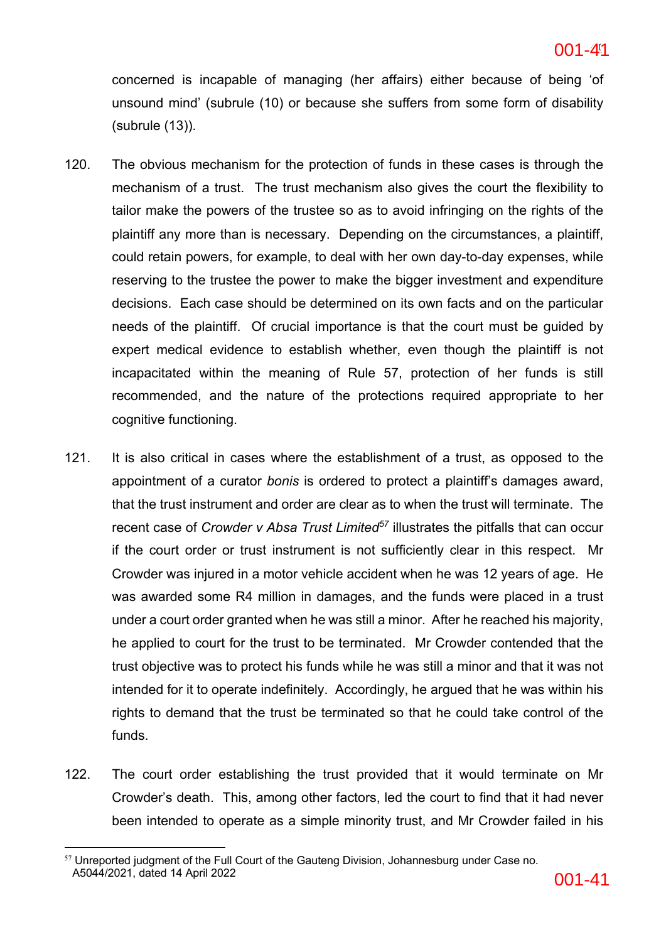concerned is incapable of managing (her affairs) either because of being 'of unsound mind' (subrule (10) or because she suffers from some form of disability (subrule (13)).

- 120. The obvious mechanism for the protection of funds in these cases is through the mechanism of a trust. The trust mechanism also gives the court the flexibility to tailor make the powers of the trustee so as to avoid infringing on the rights of the plaintiff any more than is necessary. Depending on the circumstances, a plaintiff, could retain powers, for example, to deal with her own day-to-day expenses, while reserving to the trustee the power to make the bigger investment and expenditure decisions. Each case should be determined on its own facts and on the particular needs of the plaintiff. Of crucial importance is that the court must be guided by expert medical evidence to establish whether, even though the plaintiff is not incapacitated within the meaning of Rule 57, protection of her funds is still recommended, and the nature of the protections required appropriate to her cognitive functioning.
- 121. It is also critical in cases where the establishment of a trust, as opposed to the appointment of a curator *bonis* is ordered to protect a plaintiff's damages award, that the trust instrument and order are clear as to when the trust will terminate. The recent case of *Crowder v Absa Trust Limited*<sup>57</sup> illustrates the pitfalls that can occur if the court order or trust instrument is not sufficiently clear in this respect. Mr Crowder was injured in a motor vehicle accident when he was 12 years of age. He was awarded some R4 million in damages, and the funds were placed in a trust under a court order granted when he was still a minor. After he reached his majority, he applied to court for the trust to be terminated. Mr Crowder contended that the trust objective was to protect his funds while he was still a minor and that it was not intended for it to operate indefinitely. Accordingly, he argued that he was within his rights to demand that the trust be terminated so that he could take control of the funds.
- 122. The court order establishing the trust provided that it would terminate on Mr Crowder's death. This, among other factors, led the court to find that it had never been intended to operate as a simple minority trust, and Mr Crowder failed in his

 $57$  Unreported judgment of the Full Court of the Gauteng Division, Johannesburg under Case no. A5044/2021, dated 14 April 2022 **001-41**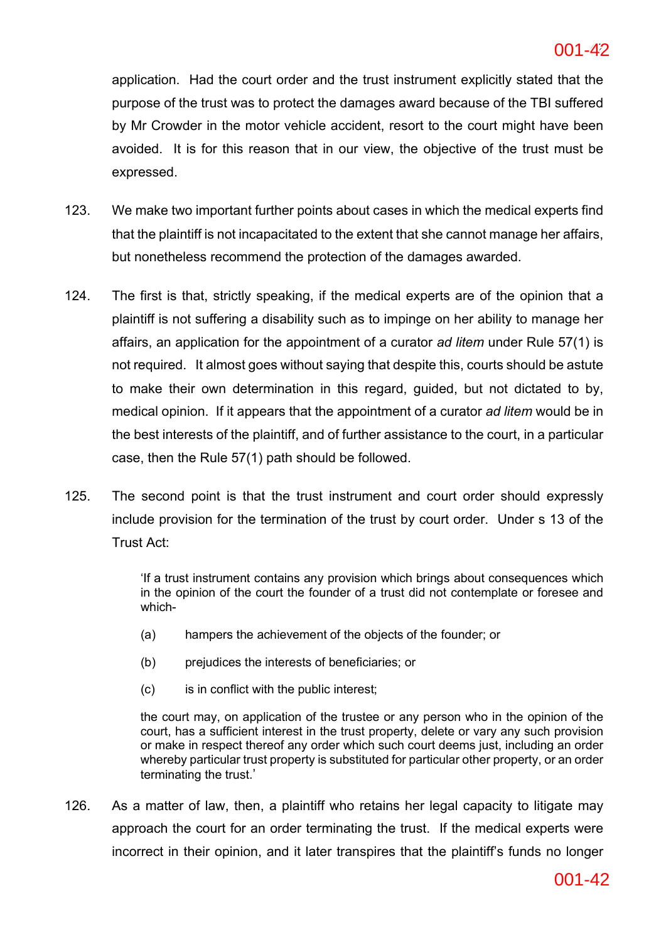application. Had the court order and the trust instrument explicitly stated that the purpose of the trust was to protect the damages award because of the TBI suffered by Mr Crowder in the motor vehicle accident, resort to the court might have been avoided. It is for this reason that in our view, the objective of the trust must be expressed.

- 123. We make two important further points about cases in which the medical experts find that the plaintiff is not incapacitated to the extent that she cannot manage her affairs, but nonetheless recommend the protection of the damages awarded.
- 124. The first is that, strictly speaking, if the medical experts are of the opinion that a plaintiff is not suffering a disability such as to impinge on her ability to manage her affairs, an application for the appointment of a curator *ad litem* under Rule 57(1) is not required. It almost goes without saying that despite this, courts should be astute to make their own determination in this regard, guided, but not dictated to by, medical opinion. If it appears that the appointment of a curator *ad litem* would be in the best interests of the plaintiff, and of further assistance to the court, in a particular case, then the Rule 57(1) path should be followed.
- 125. The second point is that the trust instrument and court order should expressly include provision for the termination of the trust by court order. Under s 13 of the Trust Act:

'If a trust instrument contains any provision which brings about consequences which in the opinion of the court the founder of a trust did not contemplate or foresee and which-

- (a) hampers the achievement of the objects of the founder; or
- (b) prejudices the interests of beneficiaries; or
- (c) is in conflict with the public interest;

the court may, on application of the trustee or any person who in the opinion of the court, has a sufficient interest in the trust property, delete or vary any such provision or make in respect thereof any order which such court deems just, including an order whereby particular trust property is substituted for particular other property, or an order terminating the trust.'

126. As a matter of law, then, a plaintiff who retains her legal capacity to litigate may approach the court for an order terminating the trust. If the medical experts were incorrect in their opinion, and it later transpires that the plaintiff's funds no longer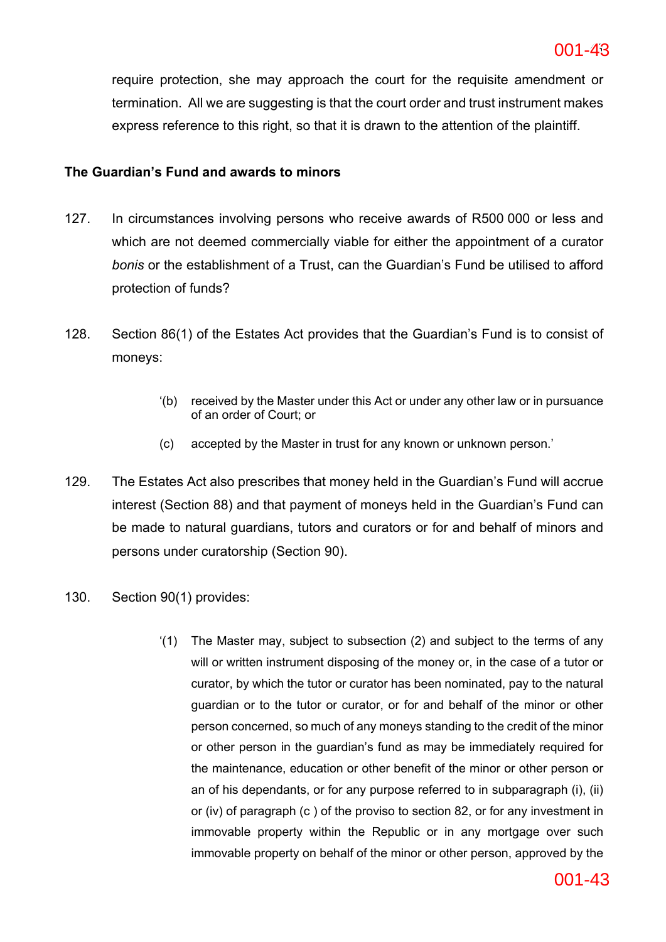require protection, she may approach the court for the requisite amendment or termination. All we are suggesting is that the court order and trust instrument makes express reference to this right, so that it is drawn to the attention of the plaintiff.

## **The Guardian's Fund and awards to minors**

- 127. In circumstances involving persons who receive awards of R500 000 or less and which are not deemed commercially viable for either the appointment of a curator *bonis* or the establishment of a Trust, can the Guardian's Fund be utilised to afford protection of funds?
- 128. Section 86(1) of the Estates Act provides that the Guardian's Fund is to consist of moneys:
	- '(b) received by the Master under this Act or under any other law or in pursuance of an order of Court; or
	- (c) accepted by the Master in trust for any known or unknown person.'
- 129. The Estates Act also prescribes that money held in the Guardian's Fund will accrue interest (Section 88) and that payment of moneys held in the Guardian's Fund can be made to natural guardians, tutors and curators or for and behalf of minors and persons under curatorship (Section 90).
- 130. Section 90(1) provides:
	- '(1) The Master may, subject to subsection (2) and subject to the terms of any will or written instrument disposing of the money or, in the case of a tutor or curator, by which the tutor or curator has been nominated, pay to the natural guardian or to the tutor or curator, or for and behalf of the minor or other person concerned, so much of any moneys standing to the credit of the minor or other person in the guardian's fund as may be immediately required for the maintenance, education or other benefit of the minor or other person or an of his dependants, or for any purpose referred to in subparagraph (i), (ii) or (iv) of paragraph (c ) of the proviso to section 82, or for any investment in immovable property within the Republic or in any mortgage over such immovable property on behalf of the minor or other person, approved by the

## 001-43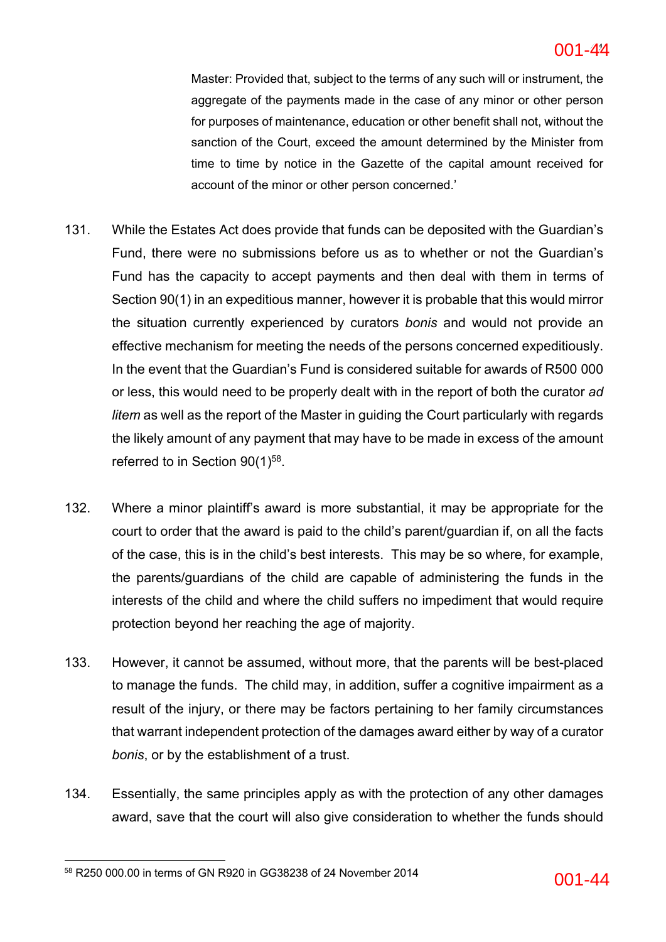### **ac6c5141bd2642efb389a2a5978fa8b6-44** 44 001-44

Master: Provided that, subject to the terms of any such will or instrument, the aggregate of the payments made in the case of any minor or other person for purposes of maintenance, education or other benefit shall not, without the sanction of the Court, exceed the amount determined by the Minister from time to time by notice in the Gazette of the capital amount received for account of the minor or other person concerned.'

- 131. While the Estates Act does provide that funds can be deposited with the Guardian's Fund, there were no submissions before us as to whether or not the Guardian's Fund has the capacity to accept payments and then deal with them in terms of Section 90(1) in an expeditious manner, however it is probable that this would mirror the situation currently experienced by curators *bonis* and would not provide an effective mechanism for meeting the needs of the persons concerned expeditiously. In the event that the Guardian's Fund is considered suitable for awards of R500 000 or less, this would need to be properly dealt with in the report of both the curator *ad litem* as well as the report of the Master in guiding the Court particularly with regards the likely amount of any payment that may have to be made in excess of the amount referred to in Section  $90(1)^{58}$ .
- 132. Where a minor plaintiff's award is more substantial, it may be appropriate for the court to order that the award is paid to the child's parent/guardian if, on all the facts of the case, this is in the child's best interests. This may be so where, for example, the parents/guardians of the child are capable of administering the funds in the interests of the child and where the child suffers no impediment that would require protection beyond her reaching the age of majority.
- 133. However, it cannot be assumed, without more, that the parents will be best-placed to manage the funds. The child may, in addition, suffer a cognitive impairment as a result of the injury, or there may be factors pertaining to her family circumstances that warrant independent protection of the damages award either by way of a curator *bonis*, or by the establishment of a trust.
- 134. Essentially, the same principles apply as with the protection of any other damages award, save that the court will also give consideration to whether the funds should

<sup>&</sup>lt;sup>58</sup> R250 000.00 in terms of GN R920 in GG38238 of 24 November 2014  $001$ -44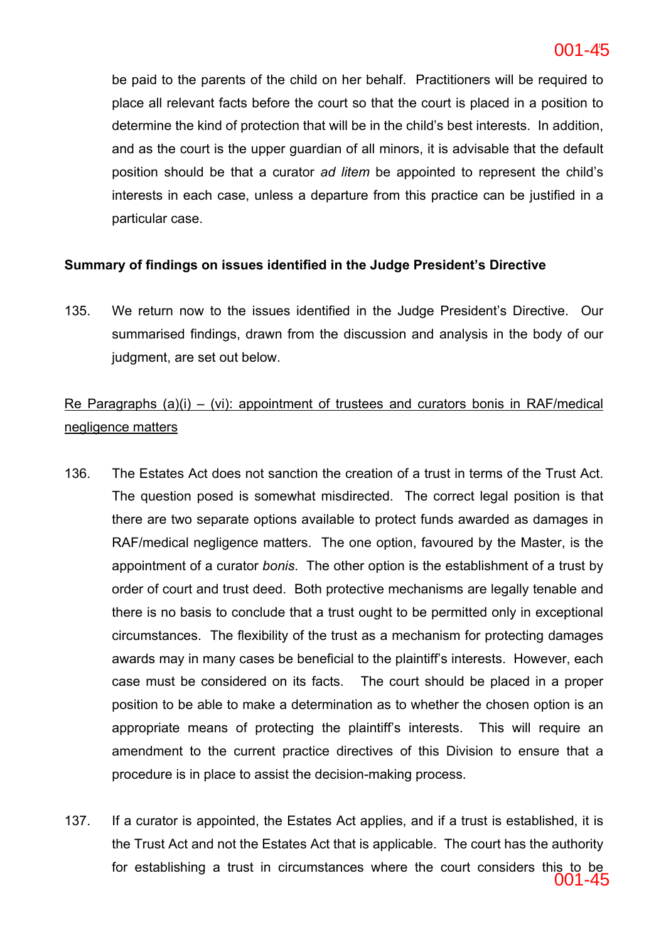be paid to the parents of the child on her behalf. Practitioners will be required to place all relevant facts before the court so that the court is placed in a position to determine the kind of protection that will be in the child's best interests. In addition, and as the court is the upper guardian of all minors, it is advisable that the default position should be that a curator *ad litem* be appointed to represent the child's interests in each case, unless a departure from this practice can be justified in a particular case.

## **Summary of findings on issues identified in the Judge President's Directive**

135. We return now to the issues identified in the Judge President's Directive. Our summarised findings, drawn from the discussion and analysis in the body of our judgment, are set out below.

## Re Paragraphs  $(a)(i) - (vi)$ : appointment of trustees and curators bonis in RAF/medical negligence matters

- 136. The Estates Act does not sanction the creation of a trust in terms of the Trust Act. The question posed is somewhat misdirected. The correct legal position is that there are two separate options available to protect funds awarded as damages in RAF/medical negligence matters. The one option, favoured by the Master, is the appointment of a curator *bonis*. The other option is the establishment of a trust by order of court and trust deed. Both protective mechanisms are legally tenable and there is no basis to conclude that a trust ought to be permitted only in exceptional circumstances. The flexibility of the trust as a mechanism for protecting damages awards may in many cases be beneficial to the plaintiff's interests. However, each case must be considered on its facts. The court should be placed in a proper position to be able to make a determination as to whether the chosen option is an appropriate means of protecting the plaintiff's interests. This will require an amendment to the current practice directives of this Division to ensure that a procedure is in place to assist the decision-making process.
- 137. If a curator is appointed, the Estates Act applies, and if a trust is established, it is the Trust Act and not the Estates Act that is applicable. The court has the authority for establishing a trust in circumstances where the court considers this to be 001-45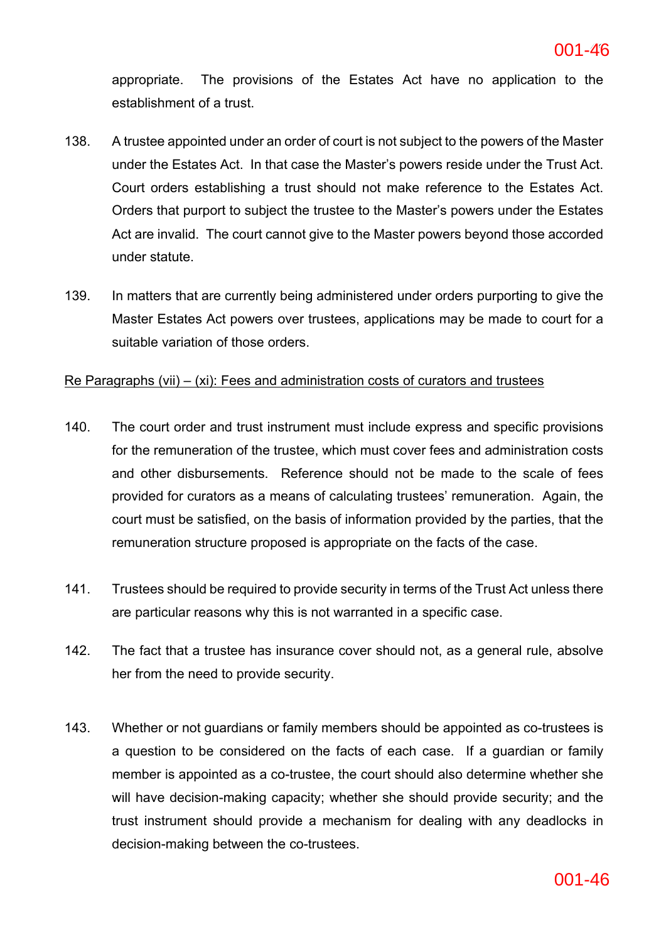appropriate. The provisions of the Estates Act have no application to the establishment of a trust.

- 138. A trustee appointed under an order of court is not subject to the powers of the Master under the Estates Act. In that case the Master's powers reside under the Trust Act. Court orders establishing a trust should not make reference to the Estates Act. Orders that purport to subject the trustee to the Master's powers under the Estates Act are invalid. The court cannot give to the Master powers beyond those accorded under statute.
- 139. In matters that are currently being administered under orders purporting to give the Master Estates Act powers over trustees, applications may be made to court for a suitable variation of those orders.

## Re Paragraphs (vii)  $-$  (xi): Fees and administration costs of curators and trustees

- 140. The court order and trust instrument must include express and specific provisions for the remuneration of the trustee, which must cover fees and administration costs and other disbursements. Reference should not be made to the scale of fees provided for curators as a means of calculating trustees' remuneration. Again, the court must be satisfied, on the basis of information provided by the parties, that the remuneration structure proposed is appropriate on the facts of the case.
- 141. Trustees should be required to provide security in terms of the Trust Act unless there are particular reasons why this is not warranted in a specific case.
- 142. The fact that a trustee has insurance cover should not, as a general rule, absolve her from the need to provide security.
- 143. Whether or not guardians or family members should be appointed as co-trustees is a question to be considered on the facts of each case. If a guardian or family member is appointed as a co-trustee, the court should also determine whether she will have decision-making capacity; whether she should provide security; and the trust instrument should provide a mechanism for dealing with any deadlocks in decision-making between the co-trustees.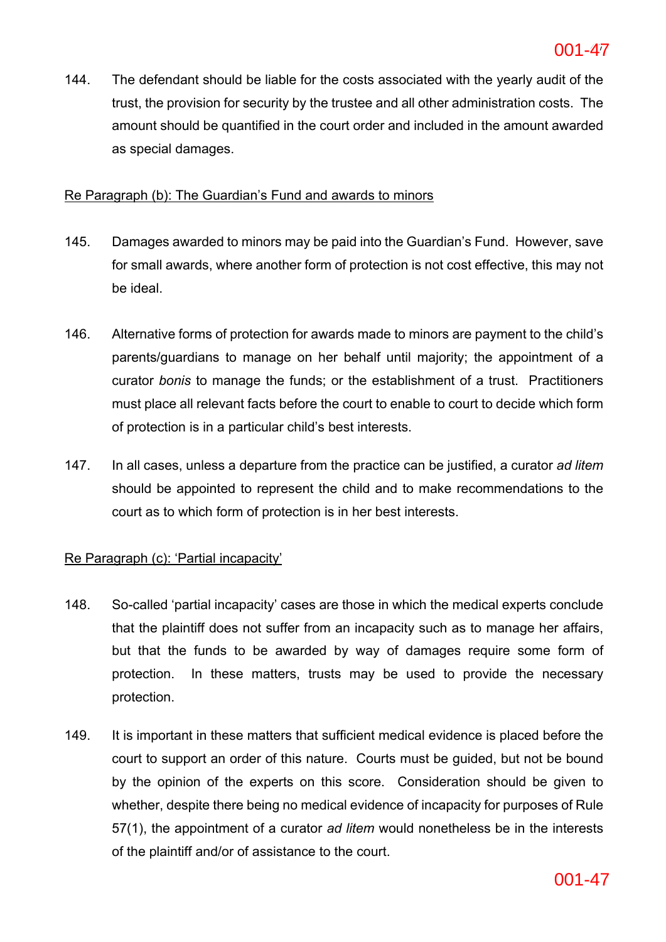144. The defendant should be liable for the costs associated with the yearly audit of the trust, the provision for security by the trustee and all other administration costs. The amount should be quantified in the court order and included in the amount awarded as special damages.

## Re Paragraph (b): The Guardian's Fund and awards to minors

- 145. Damages awarded to minors may be paid into the Guardian's Fund. However, save for small awards, where another form of protection is not cost effective, this may not be ideal.
- 146. Alternative forms of protection for awards made to minors are payment to the child's parents/guardians to manage on her behalf until majority; the appointment of a curator *bonis* to manage the funds; or the establishment of a trust. Practitioners must place all relevant facts before the court to enable to court to decide which form of protection is in a particular child's best interests.
- 147. In all cases, unless a departure from the practice can be justified, a curator *ad litem* should be appointed to represent the child and to make recommendations to the court as to which form of protection is in her best interests.

## Re Paragraph (c): 'Partial incapacity'

- 148. So-called 'partial incapacity' cases are those in which the medical experts conclude that the plaintiff does not suffer from an incapacity such as to manage her affairs, but that the funds to be awarded by way of damages require some form of protection. In these matters, trusts may be used to provide the necessary protection.
- 149. It is important in these matters that sufficient medical evidence is placed before the court to support an order of this nature. Courts must be guided, but not be bound by the opinion of the experts on this score. Consideration should be given to whether, despite there being no medical evidence of incapacity for purposes of Rule 57(1), the appointment of a curator *ad litem* would nonetheless be in the interests of the plaintiff and/or of assistance to the court.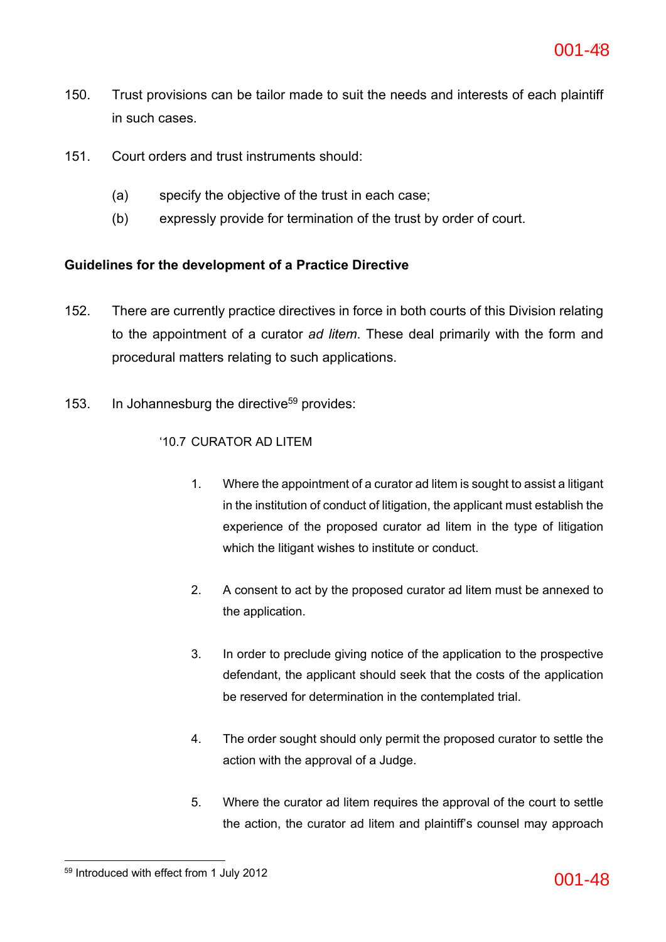- 150. Trust provisions can be tailor made to suit the needs and interests of each plaintiff in such cases.
- 151. Court orders and trust instruments should:
	- (a) specify the objective of the trust in each case;
	- (b) expressly provide for termination of the trust by order of court.

## **Guidelines for the development of a Practice Directive**

- 152. There are currently practice directives in force in both courts of this Division relating to the appointment of a curator *ad litem*. These deal primarily with the form and procedural matters relating to such applications.
- 153. In Johannesburg the directive<sup>59</sup> provides:

## '10.7 CURATOR AD LITEM

- 1. Where the appointment of a curator ad litem is sought to assist a litigant in the institution of conduct of litigation, the applicant must establish the experience of the proposed curator ad litem in the type of litigation which the litigant wishes to institute or conduct.
- 2. A consent to act by the proposed curator ad litem must be annexed to the application.
- 3. In order to preclude giving notice of the application to the prospective defendant, the applicant should seek that the costs of the application be reserved for determination in the contemplated trial.
- 4. The order sought should only permit the proposed curator to settle the action with the approval of a Judge.
- 5. Where the curator ad litem requires the approval of the court to settle the action, the curator ad litem and plaintiff's counsel may approach

 $59$  Introduced with effect from 1 July 2012  $001-48$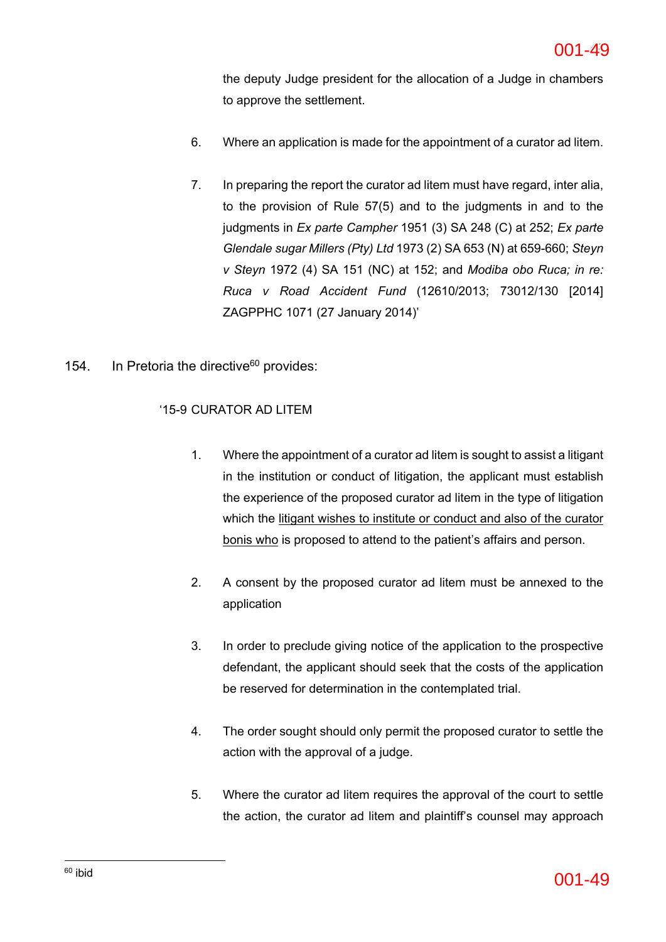the deputy Judge president for the allocation of a Judge in chambers to approve the settlement.

- 6. Where an application is made for the appointment of a curator ad litem.
- 7. In preparing the report the curator ad litem must have regard, inter alia, to the provision of Rule 57(5) and to the judgments in and to the judgments in *Ex parte Campher* 1951 (3) SA 248 (C) at 252; *Ex parte Glendale sugar Millers (Pty) Ltd* 1973 (2) SA 653 (N) at 659-660; *Steyn v Steyn* 1972 (4) SA 151 (NC) at 152; and *Modiba obo Ruca; in re: Ruca v Road Accident Fund* (12610/2013; 73012/130 [2014] ZAGPPHC 1071 (27 January 2014)'
- 154. In Pretoria the directive<sup>60</sup> provides:

## '15-9 CURATOR AD LITEM

- 1. Where the appointment of a curator ad litem is sought to assist a litigant in the institution or conduct of litigation, the applicant must establish the experience of the proposed curator ad litem in the type of litigation which the litigant wishes to institute or conduct and also of the curator bonis who is proposed to attend to the patient's affairs and person.
- 2. A consent by the proposed curator ad litem must be annexed to the application
- 3. In order to preclude giving notice of the application to the prospective defendant, the applicant should seek that the costs of the application be reserved for determination in the contemplated trial.
- 4. The order sought should only permit the proposed curator to settle the action with the approval of a judge.
- 5. Where the curator ad litem requires the approval of the court to settle the action, the curator ad litem and plaintiff's counsel may approach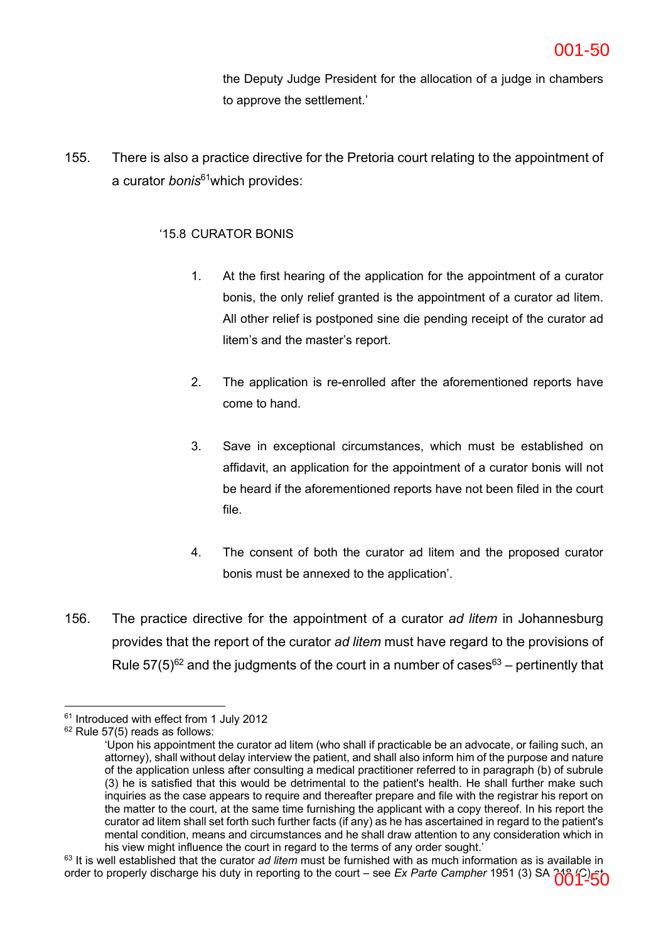the Deputy Judge President for the allocation of a judge in chambers to approve the settlement.'

155. There is also a practice directive for the Pretoria court relating to the appointment of a curator *bonis*61which provides:

## '15.8 CURATOR BONIS

- 1. At the first hearing of the application for the appointment of a curator bonis, the only relief granted is the appointment of a curator ad litem. All other relief is postponed sine die pending receipt of the curator ad litem's and the master's report.
- 2. The application is re-enrolled after the aforementioned reports have come to hand.
- 3. Save in exceptional circumstances, which must be established on affidavit, an application for the appointment of a curator bonis will not be heard if the aforementioned reports have not been filed in the court file.
- 4. The consent of both the curator ad litem and the proposed curator bonis must be annexed to the application'.
- 156. The practice directive for the appointment of a curator *ad litem* in Johannesburg provides that the report of the curator *ad litem* must have regard to the provisions of Rule  $57(5)^{62}$  and the judgments of the court in a number of cases<sup>63</sup> – pertinently that

<sup>&</sup>lt;sup>61</sup> Introduced with effect from 1 July 2012

 $62$  Rule 57(5) reads as follows:

<sup>&#</sup>x27;Upon his appointment the curator ad litem (who shall if practicable be an advocate, or failing such, an attorney), shall without delay interview the patient, and shall also inform him of the purpose and nature of the application unless after consulting a medical practitioner referred to in paragraph (b) of subrule (3) he is satisfied that this would be detrimental to the patient's health. He shall further make such inquiries as the case appears to require and thereafter prepare and file with the registrar his report on the matter to the court, at the same time furnishing the applicant with a copy thereof. In his report the curator ad litem shall set forth such further facts (if any) as he has ascertained in regard to the patient's mental condition, means and circumstances and he shall draw attention to any consideration which in his view might influence the court in regard to the terms of any order sought.'

<sup>63</sup> It is well established that the curator *ad litem* must be furnished with as much information as is available in order to properly discharge his duty in reporting to the court – see *Ex Parte Campher* 1951 (3) SA 216 (250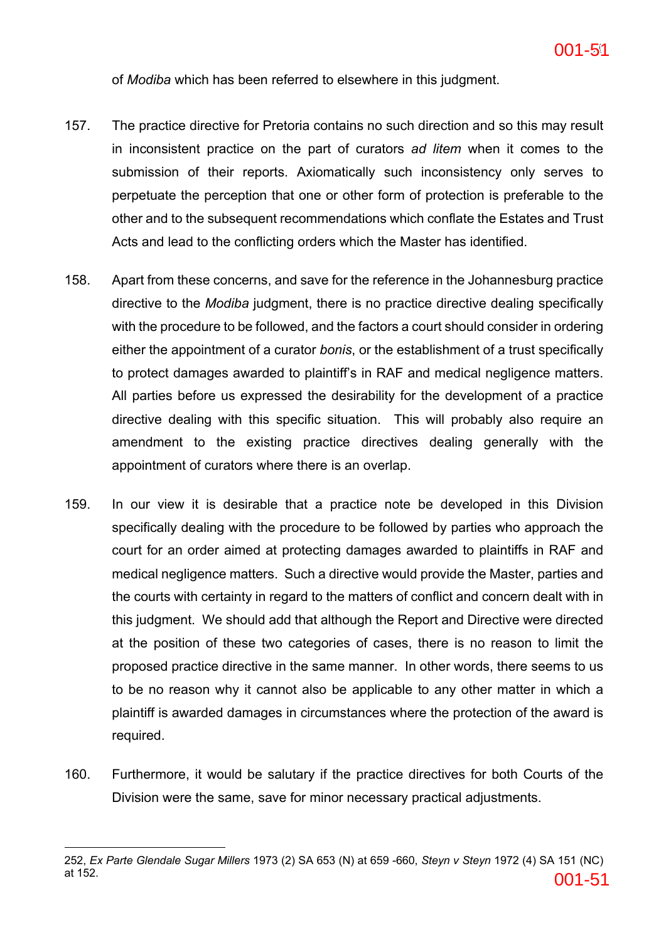of *Modiba* which has been referred to elsewhere in this judgment.

- 157. The practice directive for Pretoria contains no such direction and so this may result in inconsistent practice on the part of curators *ad litem* when it comes to the submission of their reports. Axiomatically such inconsistency only serves to perpetuate the perception that one or other form of protection is preferable to the other and to the subsequent recommendations which conflate the Estates and Trust Acts and lead to the conflicting orders which the Master has identified.
- 158. Apart from these concerns, and save for the reference in the Johannesburg practice directive to the *Modiba* judgment, there is no practice directive dealing specifically with the procedure to be followed, and the factors a court should consider in ordering either the appointment of a curator *bonis*, or the establishment of a trust specifically to protect damages awarded to plaintiff's in RAF and medical negligence matters. All parties before us expressed the desirability for the development of a practice directive dealing with this specific situation. This will probably also require an amendment to the existing practice directives dealing generally with the appointment of curators where there is an overlap.
- 159. In our view it is desirable that a practice note be developed in this Division specifically dealing with the procedure to be followed by parties who approach the court for an order aimed at protecting damages awarded to plaintiffs in RAF and medical negligence matters. Such a directive would provide the Master, parties and the courts with certainty in regard to the matters of conflict and concern dealt with in this judgment. We should add that although the Report and Directive were directed at the position of these two categories of cases, there is no reason to limit the proposed practice directive in the same manner. In other words, there seems to us to be no reason why it cannot also be applicable to any other matter in which a plaintiff is awarded damages in circumstances where the protection of the award is required.
- 160. Furthermore, it would be salutary if the practice directives for both Courts of the Division were the same, save for minor necessary practical adjustments.

<sup>252,</sup> *Ex Parte Glendale Sugar Millers* 1973 (2) SA 653 (N) at 659 -660, *Steyn v Steyn* 1972 (4) SA 151 (NC) at 152.  $001$  –  $51$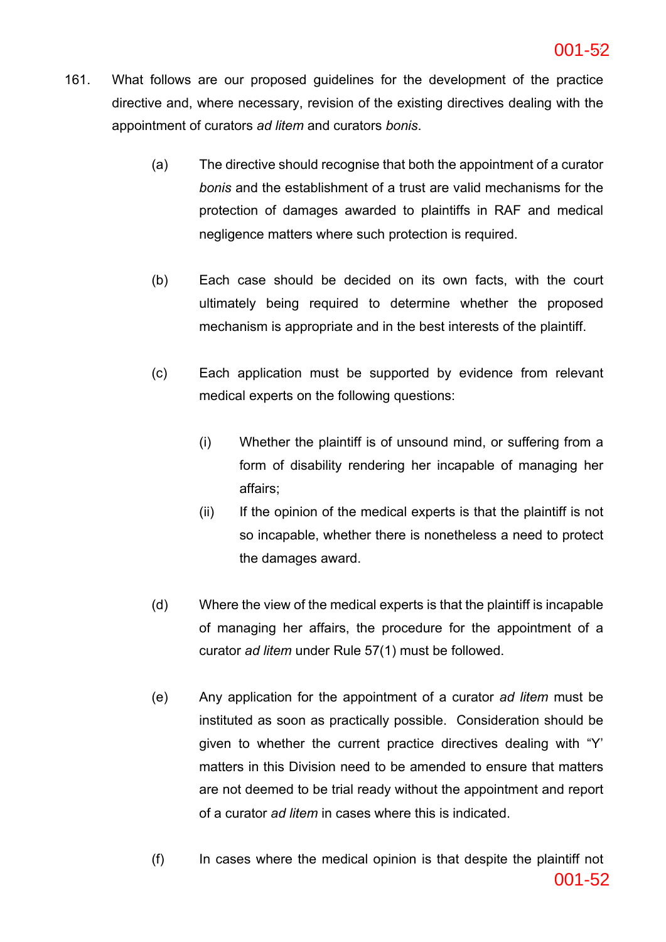- 161. What follows are our proposed guidelines for the development of the practice directive and, where necessary, revision of the existing directives dealing with the appointment of curators *ad litem* and curators *bonis*.
	- (a) The directive should recognise that both the appointment of a curator *bonis* and the establishment of a trust are valid mechanisms for the protection of damages awarded to plaintiffs in RAF and medical negligence matters where such protection is required.
	- (b) Each case should be decided on its own facts, with the court ultimately being required to determine whether the proposed mechanism is appropriate and in the best interests of the plaintiff.
	- (c) Each application must be supported by evidence from relevant medical experts on the following questions:
		- (i) Whether the plaintiff is of unsound mind, or suffering from a form of disability rendering her incapable of managing her affairs;
		- (ii) If the opinion of the medical experts is that the plaintiff is not so incapable, whether there is nonetheless a need to protect the damages award.
	- (d) Where the view of the medical experts is that the plaintiff is incapable of managing her affairs, the procedure for the appointment of a curator *ad litem* under Rule 57(1) must be followed.
	- (e) Any application for the appointment of a curator *ad litem* must be instituted as soon as practically possible. Consideration should be given to whether the current practice directives dealing with "Y' matters in this Division need to be amended to ensure that matters are not deemed to be trial ready without the appointment and report of a curator *ad litem* in cases where this is indicated.
	- (f) In cases where the medical opinion is that despite the plaintiff not 001-52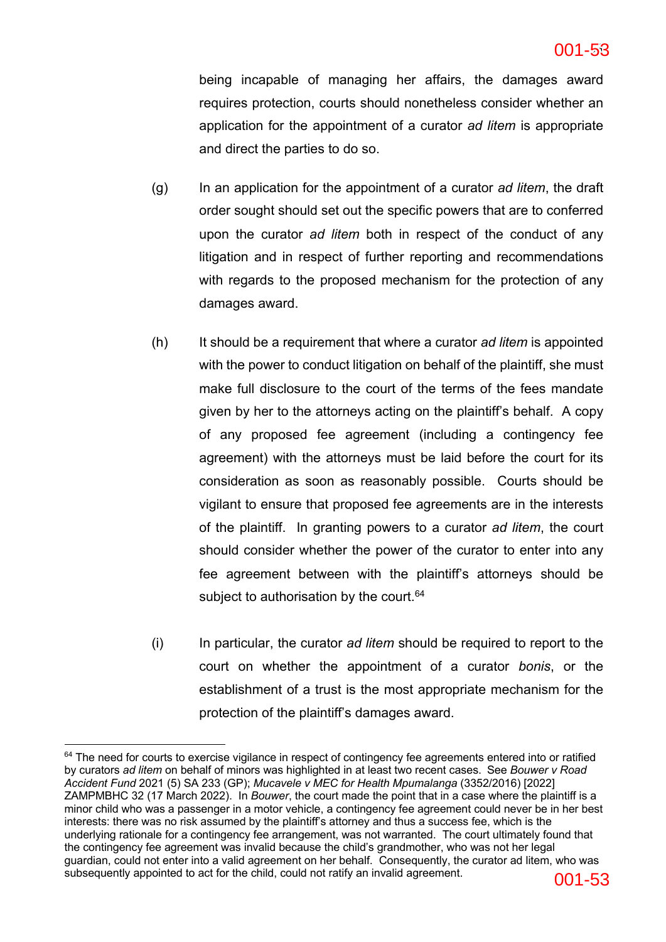#### **ac6c5141bd2642efb389a2a5978fa8b6-53** 53 001-53

being incapable of managing her affairs, the damages award requires protection, courts should nonetheless consider whether an application for the appointment of a curator *ad litem* is appropriate and direct the parties to do so.

- (g) In an application for the appointment of a curator *ad litem*, the draft order sought should set out the specific powers that are to conferred upon the curator *ad litem* both in respect of the conduct of any litigation and in respect of further reporting and recommendations with regards to the proposed mechanism for the protection of any damages award.
- (h) It should be a requirement that where a curator *ad litem* is appointed with the power to conduct litigation on behalf of the plaintiff, she must make full disclosure to the court of the terms of the fees mandate given by her to the attorneys acting on the plaintiff's behalf. A copy of any proposed fee agreement (including a contingency fee agreement) with the attorneys must be laid before the court for its consideration as soon as reasonably possible. Courts should be vigilant to ensure that proposed fee agreements are in the interests of the plaintiff. In granting powers to a curator *ad litem*, the court should consider whether the power of the curator to enter into any fee agreement between with the plaintiff's attorneys should be subject to authorisation by the court.<sup>64</sup>
- (i) In particular, the curator *ad litem* should be required to report to the court on whether the appointment of a curator *bonis*, or the establishment of a trust is the most appropriate mechanism for the protection of the plaintiff's damages award.

 $64$  The need for courts to exercise vigilance in respect of contingency fee agreements entered into or ratified by curators *ad litem* on behalf of minors was highlighted in at least two recent cases. See *Bouwer v Road Accident Fund* 2021 (5) SA 233 (GP); *Mucavele v MEC for Health Mpumalanga* (3352/2016) [2022] ZAMPMBHC 32 (17 March 2022). In *Bouwer*, the court made the point that in a case where the plaintiff is a minor child who was a passenger in a motor vehicle, a contingency fee agreement could never be in her best interests: there was no risk assumed by the plaintiff's attorney and thus a success fee, which is the underlying rationale for a contingency fee arrangement, was not warranted. The court ultimately found that the contingency fee agreement was invalid because the child's grandmother, who was not her legal guardian, could not enter into a valid agreement on her behalf. Consequently, the curator ad litem, who was subsequently appointed to act for the child, could not ratify an invalid agreement.  $001-53$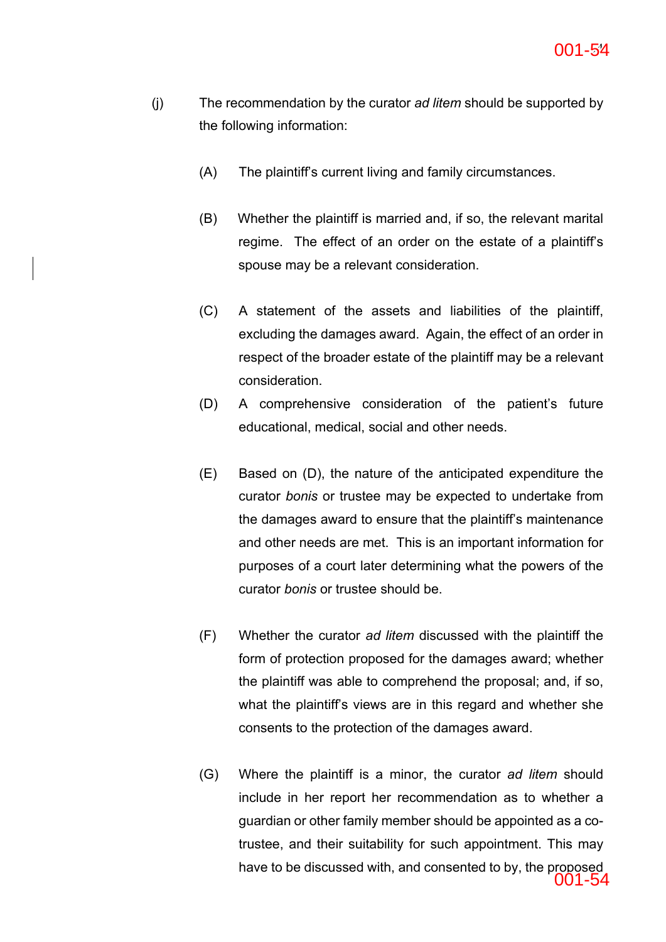- (j) The recommendation by the curator *ad litem* should be supported by the following information:
	- (A) The plaintiff's current living and family circumstances.
	- (B) Whether the plaintiff is married and, if so, the relevant marital regime. The effect of an order on the estate of a plaintiff's spouse may be a relevant consideration.
	- (C) A statement of the assets and liabilities of the plaintiff, excluding the damages award. Again, the effect of an order in respect of the broader estate of the plaintiff may be a relevant consideration.
	- (D) A comprehensive consideration of the patient's future educational, medical, social and other needs.
	- (E) Based on (D), the nature of the anticipated expenditure the curator *bonis* or trustee may be expected to undertake from the damages award to ensure that the plaintiff's maintenance and other needs are met. This is an important information for purposes of a court later determining what the powers of the curator *bonis* or trustee should be.
	- (F) Whether the curator *ad litem* discussed with the plaintiff the form of protection proposed for the damages award; whether the plaintiff was able to comprehend the proposal; and, if so, what the plaintiff's views are in this regard and whether she consents to the protection of the damages award.
	- (G) Where the plaintiff is a minor, the curator *ad litem* should include in her report her recommendation as to whether a guardian or other family member should be appointed as a cotrustee, and their suitability for such appointment. This may have to be discussed with, and consented to by, the proposed 001-54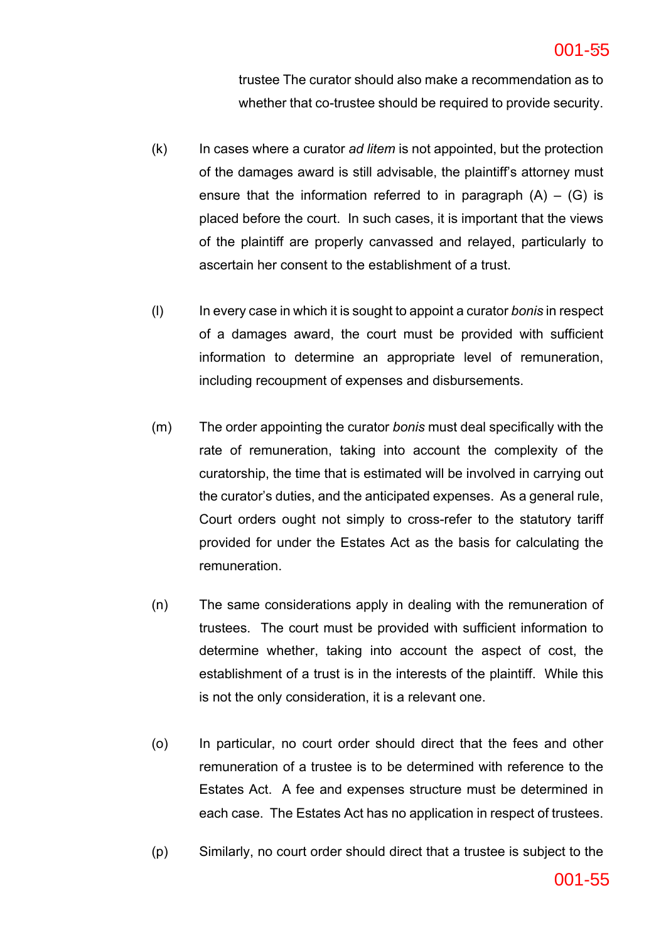#### **ac6c5141bd2642efb389a2a5978fa8b6-55** 55 001-55

trustee The curator should also make a recommendation as to whether that co-trustee should be required to provide security.

- (k) In cases where a curator *ad litem* is not appointed, but the protection of the damages award is still advisable, the plaintiff's attorney must ensure that the information referred to in paragraph  $(A) - (G)$  is placed before the court. In such cases, it is important that the views of the plaintiff are properly canvassed and relayed, particularly to ascertain her consent to the establishment of a trust.
- (l) In every case in which it is sought to appoint a curator *bonis* in respect of a damages award, the court must be provided with sufficient information to determine an appropriate level of remuneration, including recoupment of expenses and disbursements.
- (m) The order appointing the curator *bonis* must deal specifically with the rate of remuneration, taking into account the complexity of the curatorship, the time that is estimated will be involved in carrying out the curator's duties, and the anticipated expenses. As a general rule, Court orders ought not simply to cross-refer to the statutory tariff provided for under the Estates Act as the basis for calculating the remuneration.
- (n) The same considerations apply in dealing with the remuneration of trustees. The court must be provided with sufficient information to determine whether, taking into account the aspect of cost, the establishment of a trust is in the interests of the plaintiff. While this is not the only consideration, it is a relevant one.
- (o) In particular, no court order should direct that the fees and other remuneration of a trustee is to be determined with reference to the Estates Act. A fee and expenses structure must be determined in each case. The Estates Act has no application in respect of trustees.
- (p) Similarly, no court order should direct that a trustee is subject to the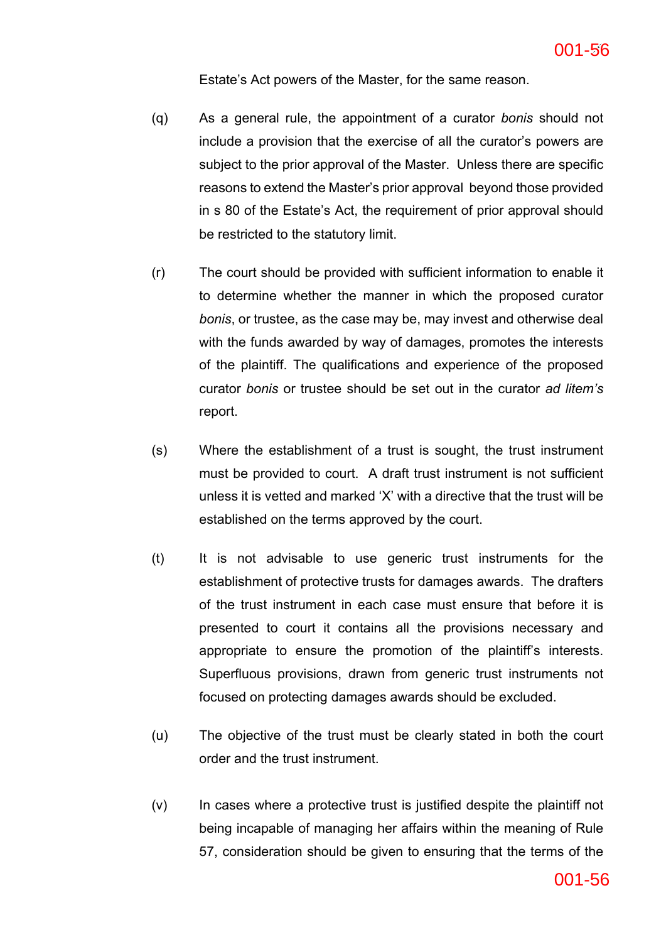Estate's Act powers of the Master, for the same reason.

- (q) As a general rule, the appointment of a curator *bonis* should not include a provision that the exercise of all the curator's powers are subject to the prior approval of the Master. Unless there are specific reasons to extend the Master's prior approval beyond those provided in s 80 of the Estate's Act, the requirement of prior approval should be restricted to the statutory limit.
- (r) The court should be provided with sufficient information to enable it to determine whether the manner in which the proposed curator *bonis*, or trustee, as the case may be, may invest and otherwise deal with the funds awarded by way of damages, promotes the interests of the plaintiff. The qualifications and experience of the proposed curator *bonis* or trustee should be set out in the curator *ad litem's* report.
- (s) Where the establishment of a trust is sought, the trust instrument must be provided to court. A draft trust instrument is not sufficient unless it is vetted and marked 'X' with a directive that the trust will be established on the terms approved by the court.
- (t) It is not advisable to use generic trust instruments for the establishment of protective trusts for damages awards. The drafters of the trust instrument in each case must ensure that before it is presented to court it contains all the provisions necessary and appropriate to ensure the promotion of the plaintiff's interests. Superfluous provisions, drawn from generic trust instruments not focused on protecting damages awards should be excluded.
- (u) The objective of the trust must be clearly stated in both the court order and the trust instrument.
- $(v)$  In cases where a protective trust is justified despite the plaintiff not being incapable of managing her affairs within the meaning of Rule 57, consideration should be given to ensuring that the terms of the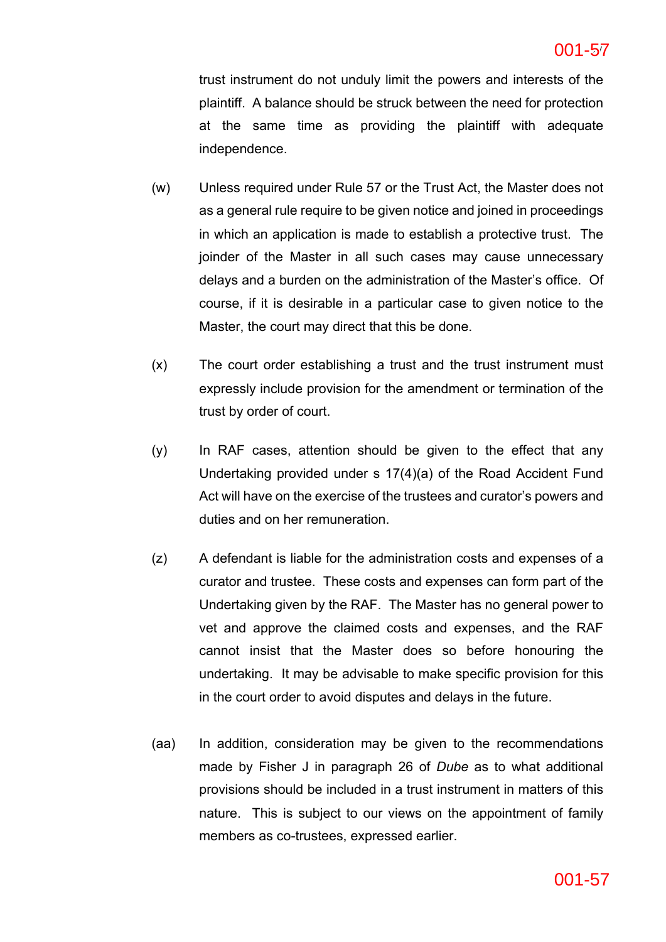trust instrument do not unduly limit the powers and interests of the plaintiff. A balance should be struck between the need for protection at the same time as providing the plaintiff with adequate independence.

- (w) Unless required under Rule 57 or the Trust Act, the Master does not as a general rule require to be given notice and joined in proceedings in which an application is made to establish a protective trust. The joinder of the Master in all such cases may cause unnecessary delays and a burden on the administration of the Master's office. Of course, if it is desirable in a particular case to given notice to the Master, the court may direct that this be done.
- (x) The court order establishing a trust and the trust instrument must expressly include provision for the amendment or termination of the trust by order of court.
- (y) In RAF cases, attention should be given to the effect that any Undertaking provided under s 17(4)(a) of the Road Accident Fund Act will have on the exercise of the trustees and curator's powers and duties and on her remuneration.
- (z) A defendant is liable for the administration costs and expenses of a curator and trustee. These costs and expenses can form part of the Undertaking given by the RAF. The Master has no general power to vet and approve the claimed costs and expenses, and the RAF cannot insist that the Master does so before honouring the undertaking. It may be advisable to make specific provision for this in the court order to avoid disputes and delays in the future.
- (aa) In addition, consideration may be given to the recommendations made by Fisher J in paragraph 26 of *Dube* as to what additional provisions should be included in a trust instrument in matters of this nature. This is subject to our views on the appointment of family members as co-trustees, expressed earlier.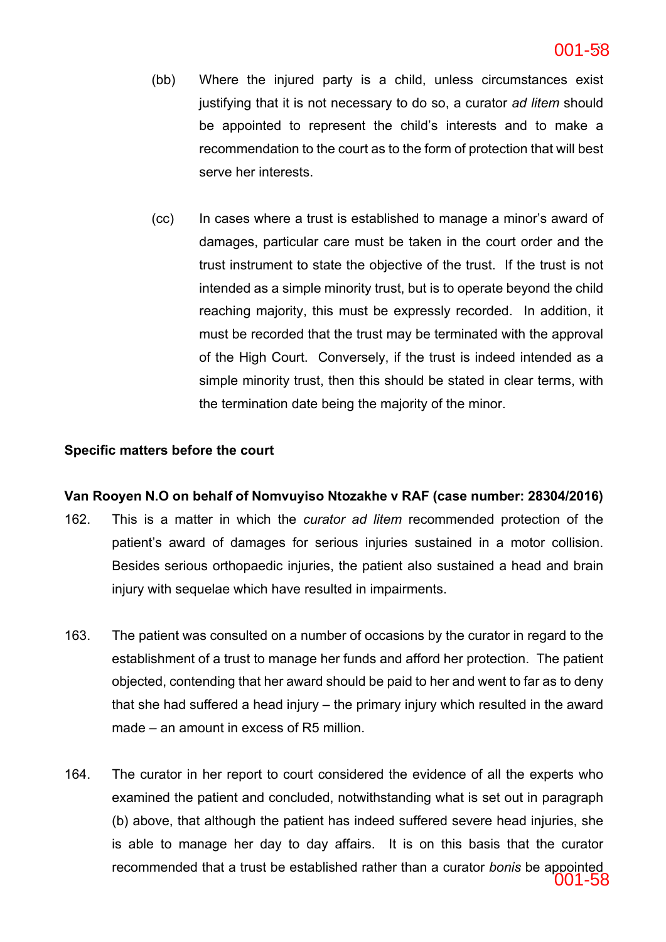- (bb) Where the injured party is a child, unless circumstances exist justifying that it is not necessary to do so, a curator *ad litem* should be appointed to represent the child's interests and to make a recommendation to the court as to the form of protection that will best serve her interests.
- (cc) In cases where a trust is established to manage a minor's award of damages, particular care must be taken in the court order and the trust instrument to state the objective of the trust. If the trust is not intended as a simple minority trust, but is to operate beyond the child reaching majority, this must be expressly recorded. In addition, it must be recorded that the trust may be terminated with the approval of the High Court. Conversely, if the trust is indeed intended as a simple minority trust, then this should be stated in clear terms, with the termination date being the majority of the minor.

## **Specific matters before the court**

## **Van Rooyen N.O on behalf of Nomvuyiso Ntozakhe v RAF (case number: 28304/2016)**

- 162. This is a matter in which the *curator ad litem* recommended protection of the patient's award of damages for serious injuries sustained in a motor collision. Besides serious orthopaedic injuries, the patient also sustained a head and brain injury with sequelae which have resulted in impairments.
- 163. The patient was consulted on a number of occasions by the curator in regard to the establishment of a trust to manage her funds and afford her protection. The patient objected, contending that her award should be paid to her and went to far as to deny that she had suffered a head injury – the primary injury which resulted in the award made – an amount in excess of R5 million.
- 164. The curator in her report to court considered the evidence of all the experts who examined the patient and concluded, notwithstanding what is set out in paragraph (b) above, that although the patient has indeed suffered severe head injuries, she is able to manage her day to day affairs. It is on this basis that the curator recommended that a trust be established rather than a curator *bonis* be appointed 001-58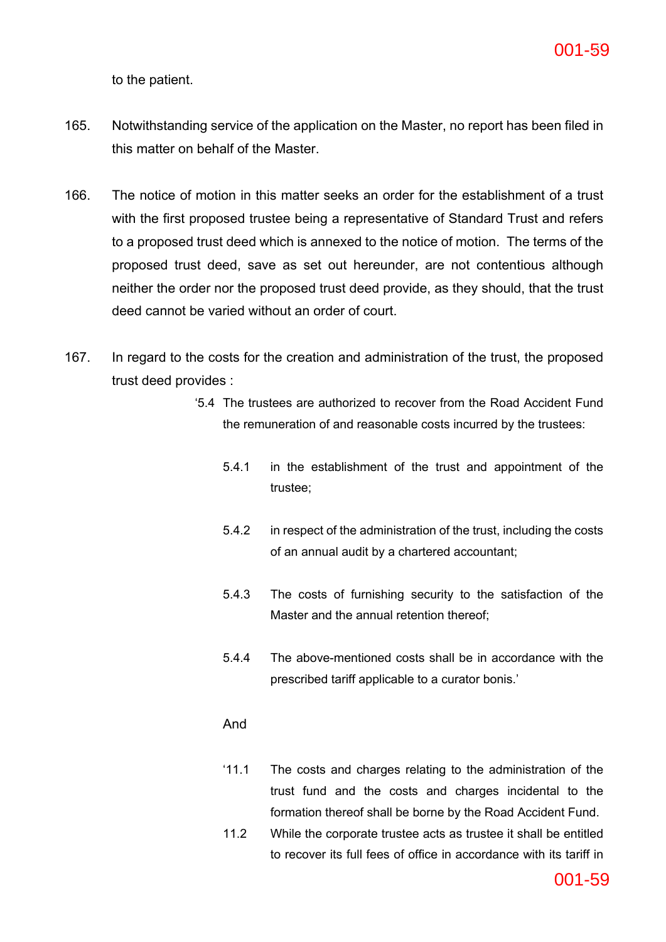to the patient.

- 165. Notwithstanding service of the application on the Master, no report has been filed in this matter on behalf of the Master.
- 166. The notice of motion in this matter seeks an order for the establishment of a trust with the first proposed trustee being a representative of Standard Trust and refers to a proposed trust deed which is annexed to the notice of motion. The terms of the proposed trust deed, save as set out hereunder, are not contentious although neither the order nor the proposed trust deed provide, as they should, that the trust deed cannot be varied without an order of court.
- 167. In regard to the costs for the creation and administration of the trust, the proposed trust deed provides :
	- '5.4 The trustees are authorized to recover from the Road Accident Fund the remuneration of and reasonable costs incurred by the trustees:
		- 5.4.1 in the establishment of the trust and appointment of the trustee;
		- 5.4.2 in respect of the administration of the trust, including the costs of an annual audit by a chartered accountant;
		- 5.4.3 The costs of furnishing security to the satisfaction of the Master and the annual retention thereof;
		- 5.4.4 The above-mentioned costs shall be in accordance with the prescribed tariff applicable to a curator bonis.'

## And

- '11.1 The costs and charges relating to the administration of the trust fund and the costs and charges incidental to the formation thereof shall be borne by the Road Accident Fund.
- 11.2 While the corporate trustee acts as trustee it shall be entitled to recover its full fees of office in accordance with its tariff in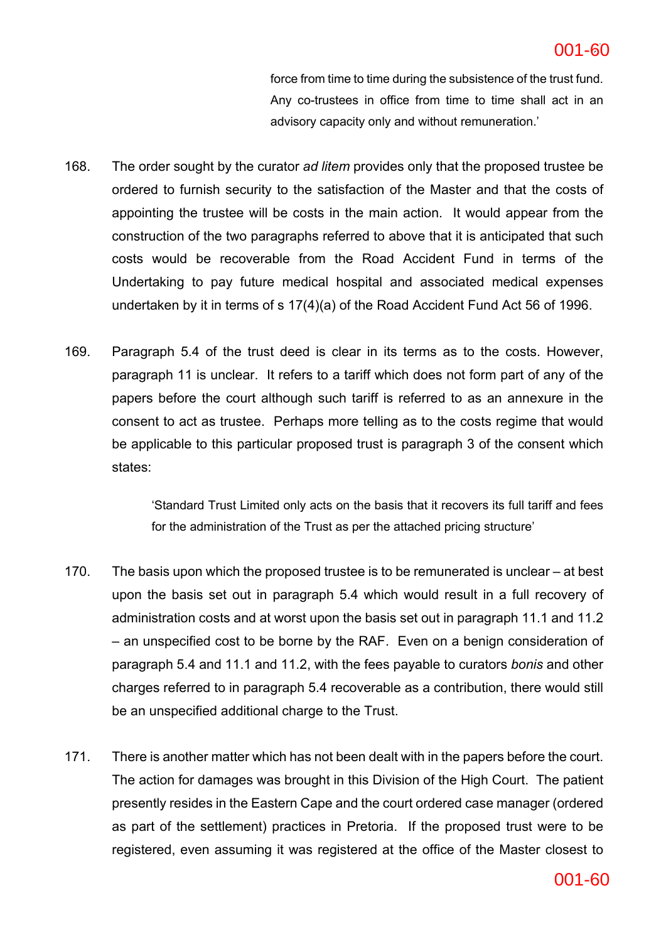force from time to time during the subsistence of the trust fund. Any co-trustees in office from time to time shall act in an advisory capacity only and without remuneration.'

- 168. The order sought by the curator *ad litem* provides only that the proposed trustee be ordered to furnish security to the satisfaction of the Master and that the costs of appointing the trustee will be costs in the main action. It would appear from the construction of the two paragraphs referred to above that it is anticipated that such costs would be recoverable from the Road Accident Fund in terms of the Undertaking to pay future medical hospital and associated medical expenses undertaken by it in terms of s 17(4)(a) of the Road Accident Fund Act 56 of 1996.
- 169. Paragraph 5.4 of the trust deed is clear in its terms as to the costs. However, paragraph 11 is unclear. It refers to a tariff which does not form part of any of the papers before the court although such tariff is referred to as an annexure in the consent to act as trustee. Perhaps more telling as to the costs regime that would be applicable to this particular proposed trust is paragraph 3 of the consent which states:

'Standard Trust Limited only acts on the basis that it recovers its full tariff and fees for the administration of the Trust as per the attached pricing structure'

- 170. The basis upon which the proposed trustee is to be remunerated is unclear at best upon the basis set out in paragraph 5.4 which would result in a full recovery of administration costs and at worst upon the basis set out in paragraph 11.1 and 11.2 – an unspecified cost to be borne by the RAF. Even on a benign consideration of paragraph 5.4 and 11.1 and 11.2, with the fees payable to curators *bonis* and other charges referred to in paragraph 5.4 recoverable as a contribution, there would still be an unspecified additional charge to the Trust.
- 171. There is another matter which has not been dealt with in the papers before the court. The action for damages was brought in this Division of the High Court. The patient presently resides in the Eastern Cape and the court ordered case manager (ordered as part of the settlement) practices in Pretoria. If the proposed trust were to be registered, even assuming it was registered at the office of the Master closest to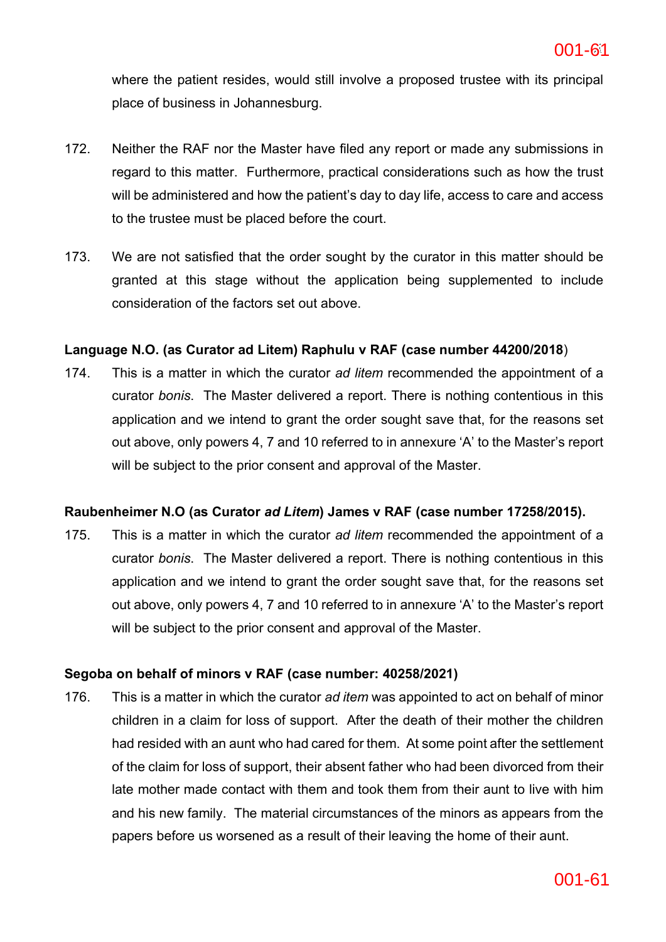where the patient resides, would still involve a proposed trustee with its principal place of business in Johannesburg.

- 172. Neither the RAF nor the Master have filed any report or made any submissions in regard to this matter. Furthermore, practical considerations such as how the trust will be administered and how the patient's day to day life, access to care and access to the trustee must be placed before the court.
- 173. We are not satisfied that the order sought by the curator in this matter should be granted at this stage without the application being supplemented to include consideration of the factors set out above.

## **Language N.O. (as Curator ad Litem) Raphulu v RAF (case number 44200/2018**)

174. This is a matter in which the curator *ad litem* recommended the appointment of a curator *bonis*. The Master delivered a report. There is nothing contentious in this application and we intend to grant the order sought save that, for the reasons set out above, only powers 4, 7 and 10 referred to in annexure 'A' to the Master's report will be subject to the prior consent and approval of the Master.

## **Raubenheimer N.O (as Curator** *ad Litem***) James v RAF (case number 17258/2015).**

175. This is a matter in which the curator *ad litem* recommended the appointment of a curator *bonis*. The Master delivered a report. There is nothing contentious in this application and we intend to grant the order sought save that, for the reasons set out above, only powers 4, 7 and 10 referred to in annexure 'A' to the Master's report will be subject to the prior consent and approval of the Master.

## **Segoba on behalf of minors v RAF (case number: 40258/2021)**

176. This is a matter in which the curator *ad item* was appointed to act on behalf of minor children in a claim for loss of support. After the death of their mother the children had resided with an aunt who had cared for them. At some point after the settlement of the claim for loss of support, their absent father who had been divorced from their late mother made contact with them and took them from their aunt to live with him and his new family. The material circumstances of the minors as appears from the papers before us worsened as a result of their leaving the home of their aunt.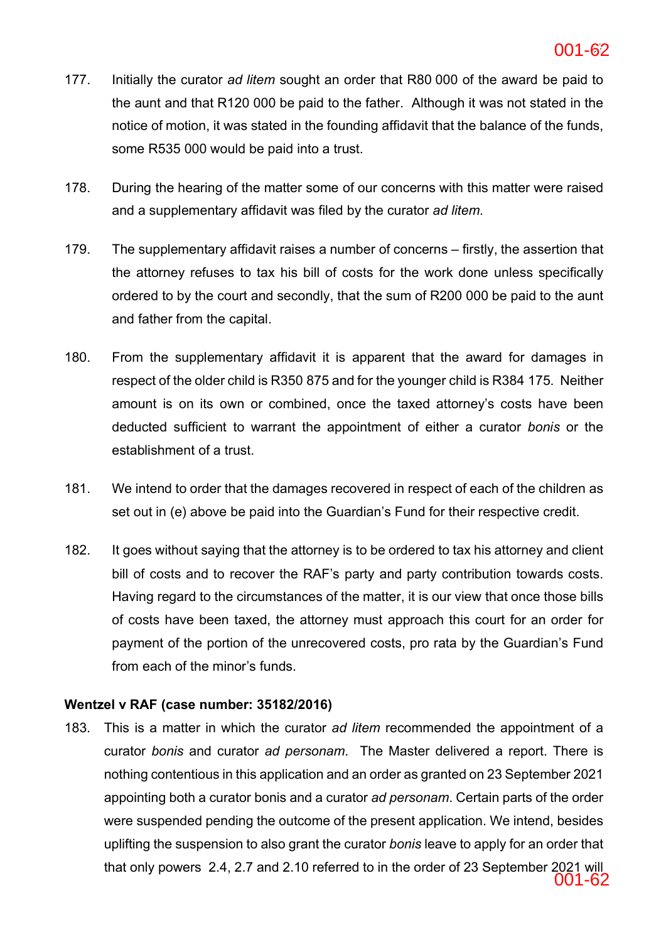### **ac6c5141bd2642efb389a2a5978fa8b6-62** 62 001-62

- 177. Initially the curator *ad litem* sought an order that R80 000 of the award be paid to the aunt and that R120 000 be paid to the father. Although it was not stated in the notice of motion, it was stated in the founding affidavit that the balance of the funds, some R535 000 would be paid into a trust.
- 178. During the hearing of the matter some of our concerns with this matter were raised and a supplementary affidavit was filed by the curator *ad litem.*
- 179. The supplementary affidavit raises a number of concerns firstly, the assertion that the attorney refuses to tax his bill of costs for the work done unless specifically ordered to by the court and secondly, that the sum of R200 000 be paid to the aunt and father from the capital.
- 180. From the supplementary affidavit it is apparent that the award for damages in respect of the older child is R350 875 and for the younger child is R384 175. Neither amount is on its own or combined, once the taxed attorney's costs have been deducted sufficient to warrant the appointment of either a curator *bonis* or the establishment of a trust.
- 181. We intend to order that the damages recovered in respect of each of the children as set out in (e) above be paid into the Guardian's Fund for their respective credit.
- 182. It goes without saying that the attorney is to be ordered to tax his attorney and client bill of costs and to recover the RAF's party and party contribution towards costs. Having regard to the circumstances of the matter, it is our view that once those bills of costs have been taxed, the attorney must approach this court for an order for payment of the portion of the unrecovered costs, pro rata by the Guardian's Fund from each of the minor's funds.

## **Wentzel v RAF (case number: 35182/2016)**

183. This is a matter in which the curator *ad litem* recommended the appointment of a curator *bonis* and curator *ad personam*. The Master delivered a report. There is nothing contentious in this application and an order as granted on 23 September 2021 appointing both a curator bonis and a curator *ad personam*. Certain parts of the order were suspended pending the outcome of the present application. We intend, besides uplifting the suspension to also grant the curator *bonis* leave to apply for an order that that only powers 2.4, 2.7 and 2.10 referred to in the order of 23 September 2021 will 001-62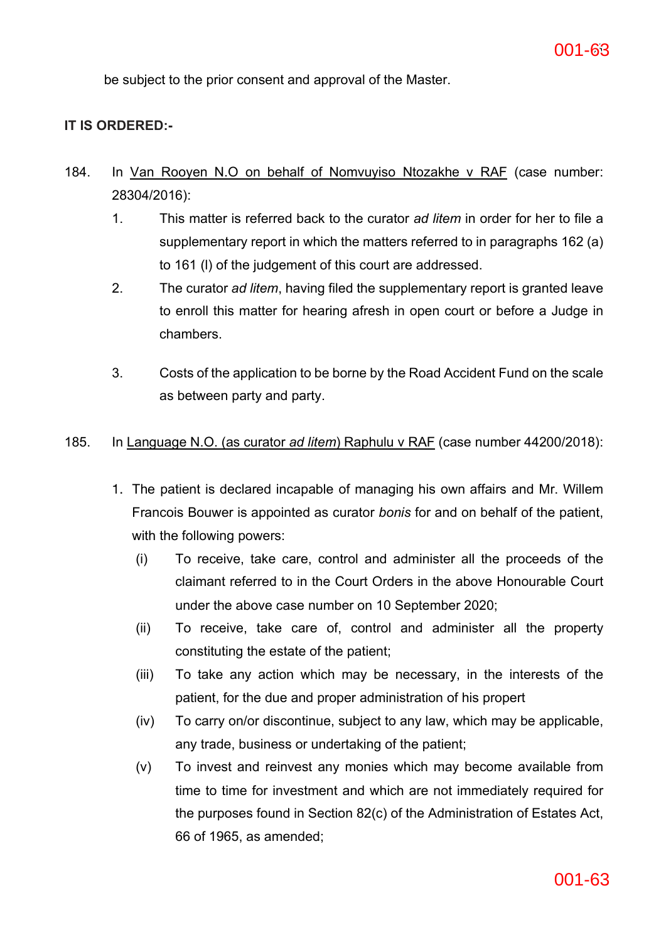be subject to the prior consent and approval of the Master.

## **IT IS ORDERED:-**

- 184. In Van Rooyen N.O on behalf of Nomvuyiso Ntozakhe v RAF (case number: 28304/2016):
	- 1. This matter is referred back to the curator *ad litem* in order for her to file a supplementary report in which the matters referred to in paragraphs 162 (a) to 161 (l) of the judgement of this court are addressed.
	- 2. The curator *ad litem*, having filed the supplementary report is granted leave to enroll this matter for hearing afresh in open court or before a Judge in chambers.
	- 3. Costs of the application to be borne by the Road Accident Fund on the scale as between party and party.

### 185. In Language N.O. (as curator *ad litem*) Raphulu v RAF (case number 44200/2018):

- 1. The patient is declared incapable of managing his own affairs and Mr. Willem Francois Bouwer is appointed as curator *bonis* for and on behalf of the patient, with the following powers:
	- (i) To receive, take care, control and administer all the proceeds of the claimant referred to in the Court Orders in the above Honourable Court under the above case number on 10 September 2020;
	- (ii) To receive, take care of, control and administer all the property constituting the estate of the patient;
	- (iii) To take any action which may be necessary, in the interests of the patient, for the due and proper administration of his propert
	- (iv) To carry on/or discontinue, subject to any law, which may be applicable, any trade, business or undertaking of the patient;
	- (v) To invest and reinvest any monies which may become available from time to time for investment and which are not immediately required for the purposes found in Section 82(c) of the Administration of Estates Act, 66 of 1965, as amended;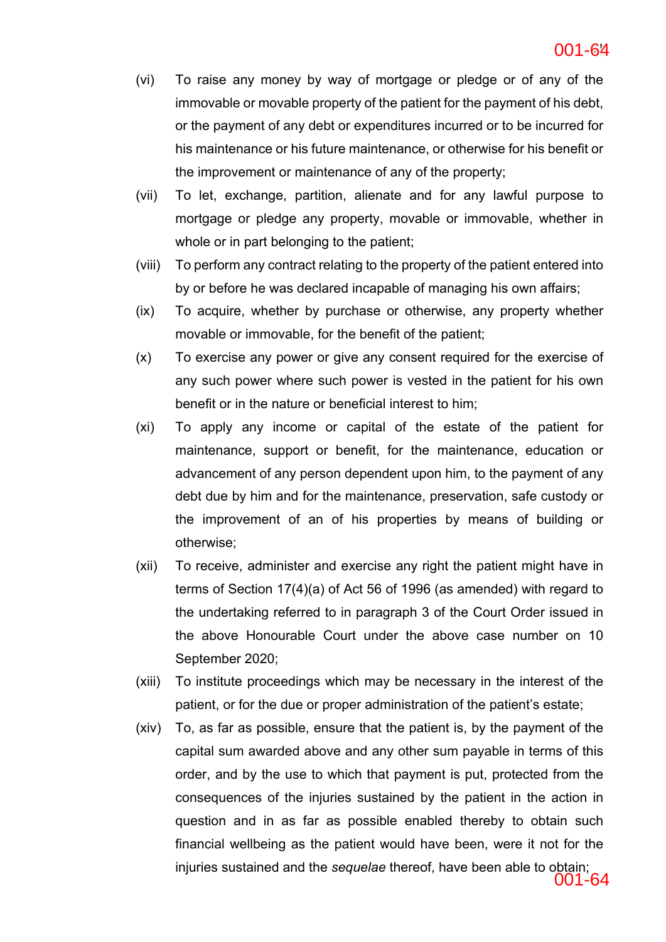- (vi) To raise any money by way of mortgage or pledge or of any of the immovable or movable property of the patient for the payment of his debt, or the payment of any debt or expenditures incurred or to be incurred for his maintenance or his future maintenance, or otherwise for his benefit or the improvement or maintenance of any of the property;
- (vii) To let, exchange, partition, alienate and for any lawful purpose to mortgage or pledge any property, movable or immovable, whether in whole or in part belonging to the patient;
- (viii) To perform any contract relating to the property of the patient entered into by or before he was declared incapable of managing his own affairs;
- (ix) To acquire, whether by purchase or otherwise, any property whether movable or immovable, for the benefit of the patient;
- (x) To exercise any power or give any consent required for the exercise of any such power where such power is vested in the patient for his own benefit or in the nature or beneficial interest to him;
- (xi) To apply any income or capital of the estate of the patient for maintenance, support or benefit, for the maintenance, education or advancement of any person dependent upon him, to the payment of any debt due by him and for the maintenance, preservation, safe custody or the improvement of an of his properties by means of building or otherwise;
- (xii) To receive, administer and exercise any right the patient might have in terms of Section 17(4)(a) of Act 56 of 1996 (as amended) with regard to the undertaking referred to in paragraph 3 of the Court Order issued in the above Honourable Court under the above case number on 10 September 2020;
- (xiii) To institute proceedings which may be necessary in the interest of the patient, or for the due or proper administration of the patient's estate;
- (xiv) To, as far as possible, ensure that the patient is, by the payment of the capital sum awarded above and any other sum payable in terms of this order, and by the use to which that payment is put, protected from the consequences of the injuries sustained by the patient in the action in question and in as far as possible enabled thereby to obtain such financial wellbeing as the patient would have been, were it not for the injuries sustained and the *sequelae* thereof, have been able to obtain; 001-64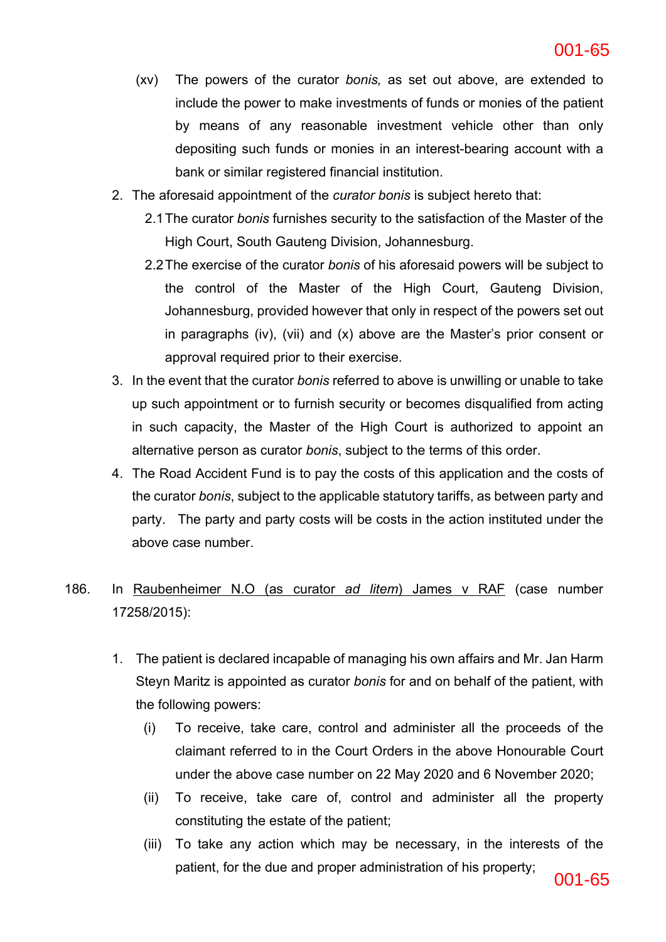- (xv) The powers of the curator *bonis,* as set out above, are extended to include the power to make investments of funds or monies of the patient by means of any reasonable investment vehicle other than only depositing such funds or monies in an interest-bearing account with a bank or similar registered financial institution.
- 2. The aforesaid appointment of the *curator bonis* is subject hereto that:
	- 2.1The curator *bonis* furnishes security to the satisfaction of the Master of the High Court, South Gauteng Division, Johannesburg.
	- 2.2The exercise of the curator *bonis* of his aforesaid powers will be subject to the control of the Master of the High Court, Gauteng Division, Johannesburg, provided however that only in respect of the powers set out in paragraphs (iv), (vii) and (x) above are the Master's prior consent or approval required prior to their exercise.
- 3. In the event that the curator *bonis* referred to above is unwilling or unable to take up such appointment or to furnish security or becomes disqualified from acting in such capacity, the Master of the High Court is authorized to appoint an alternative person as curator *bonis*, subject to the terms of this order.
- 4. The Road Accident Fund is to pay the costs of this application and the costs of the curator *bonis*, subject to the applicable statutory tariffs, as between party and party. The party and party costs will be costs in the action instituted under the above case number.

## 186. In Raubenheimer N.O (as curator *ad litem*) James v RAF (case number 17258/2015):

- 1. The patient is declared incapable of managing his own affairs and Mr. Jan Harm Steyn Maritz is appointed as curator *bonis* for and on behalf of the patient, with the following powers:
	- (i) To receive, take care, control and administer all the proceeds of the claimant referred to in the Court Orders in the above Honourable Court under the above case number on 22 May 2020 and 6 November 2020;
	- (ii) To receive, take care of, control and administer all the property constituting the estate of the patient;
	- (iii) To take any action which may be necessary, in the interests of the patient, for the due and proper administration of his property;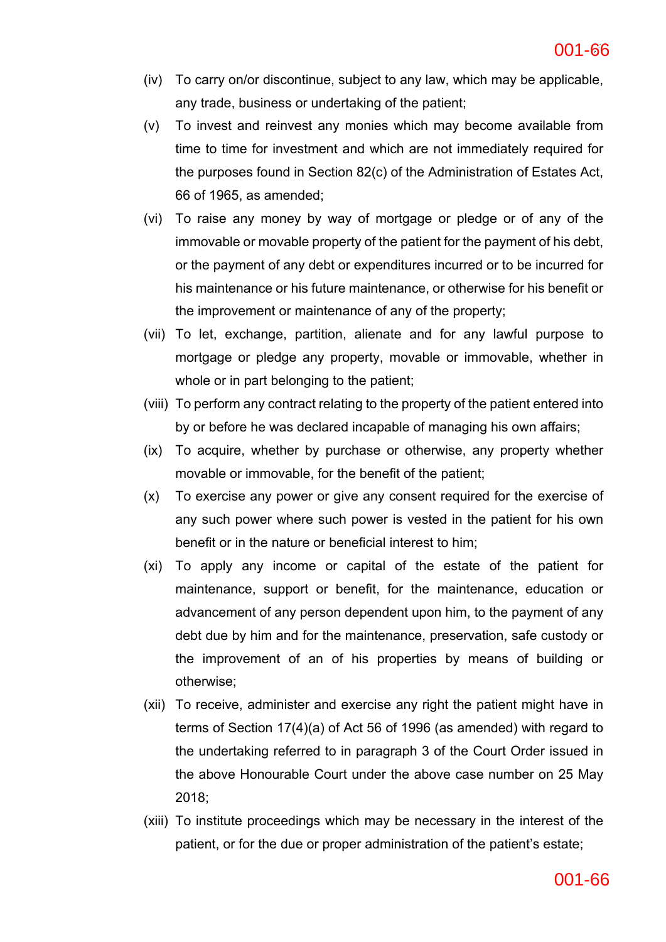- (iv) To carry on/or discontinue, subject to any law, which may be applicable, any trade, business or undertaking of the patient;
- (v) To invest and reinvest any monies which may become available from time to time for investment and which are not immediately required for the purposes found in Section 82(c) of the Administration of Estates Act, 66 of 1965, as amended;
- (vi) To raise any money by way of mortgage or pledge or of any of the immovable or movable property of the patient for the payment of his debt, or the payment of any debt or expenditures incurred or to be incurred for his maintenance or his future maintenance, or otherwise for his benefit or the improvement or maintenance of any of the property;
- (vii) To let, exchange, partition, alienate and for any lawful purpose to mortgage or pledge any property, movable or immovable, whether in whole or in part belonging to the patient;
- (viii) To perform any contract relating to the property of the patient entered into by or before he was declared incapable of managing his own affairs;
- (ix) To acquire, whether by purchase or otherwise, any property whether movable or immovable, for the benefit of the patient;
- (x) To exercise any power or give any consent required for the exercise of any such power where such power is vested in the patient for his own benefit or in the nature or beneficial interest to him;
- (xi) To apply any income or capital of the estate of the patient for maintenance, support or benefit, for the maintenance, education or advancement of any person dependent upon him, to the payment of any debt due by him and for the maintenance, preservation, safe custody or the improvement of an of his properties by means of building or otherwise;
- (xii) To receive, administer and exercise any right the patient might have in terms of Section 17(4)(a) of Act 56 of 1996 (as amended) with regard to the undertaking referred to in paragraph 3 of the Court Order issued in the above Honourable Court under the above case number on 25 May 2018;
- (xiii) To institute proceedings which may be necessary in the interest of the patient, or for the due or proper administration of the patient's estate;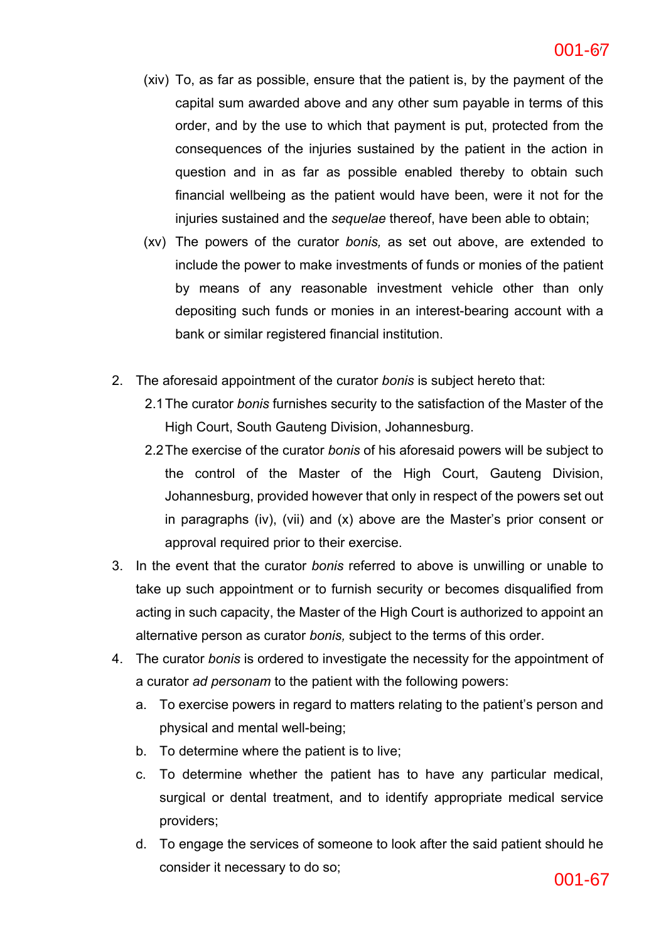- (xiv) To, as far as possible, ensure that the patient is, by the payment of the capital sum awarded above and any other sum payable in terms of this order, and by the use to which that payment is put, protected from the consequences of the injuries sustained by the patient in the action in question and in as far as possible enabled thereby to obtain such financial wellbeing as the patient would have been, were it not for the injuries sustained and the *sequelae* thereof, have been able to obtain;
- (xv) The powers of the curator *bonis,* as set out above, are extended to include the power to make investments of funds or monies of the patient by means of any reasonable investment vehicle other than only depositing such funds or monies in an interest-bearing account with a bank or similar registered financial institution.
- 2. The aforesaid appointment of the curator *bonis* is subject hereto that:
	- 2.1The curator *bonis* furnishes security to the satisfaction of the Master of the High Court, South Gauteng Division, Johannesburg.
	- 2.2The exercise of the curator *bonis* of his aforesaid powers will be subject to the control of the Master of the High Court, Gauteng Division, Johannesburg, provided however that only in respect of the powers set out in paragraphs (iv), (vii) and (x) above are the Master's prior consent or approval required prior to their exercise.
- 3. In the event that the curator *bonis* referred to above is unwilling or unable to take up such appointment or to furnish security or becomes disqualified from acting in such capacity, the Master of the High Court is authorized to appoint an alternative person as curator *bonis,* subject to the terms of this order.
- 4. The curator *bonis* is ordered to investigate the necessity for the appointment of a curator *ad personam* to the patient with the following powers:
	- a. To exercise powers in regard to matters relating to the patient's person and physical and mental well-being;
	- b. To determine where the patient is to live;
	- c. To determine whether the patient has to have any particular medical, surgical or dental treatment, and to identify appropriate medical service providers;
	- d. To engage the services of someone to look after the said patient should he consider it necessary to do so;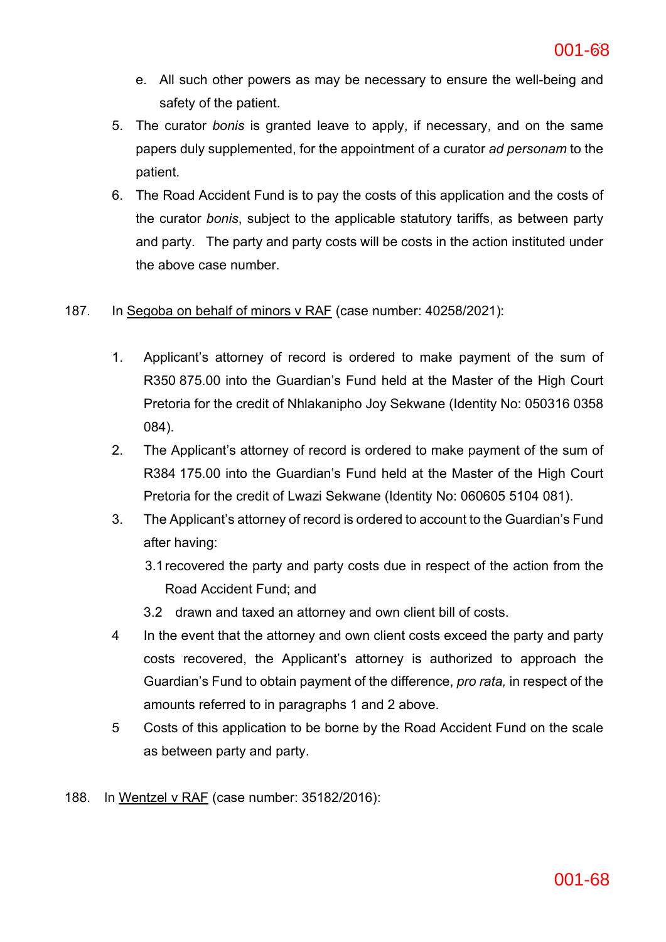- e. All such other powers as may be necessary to ensure the well-being and safety of the patient.
- 5. The curator *bonis* is granted leave to apply, if necessary, and on the same papers duly supplemented, for the appointment of a curator *ad personam* to the patient.
- 6. The Road Accident Fund is to pay the costs of this application and the costs of the curator *bonis*, subject to the applicable statutory tariffs, as between party and party. The party and party costs will be costs in the action instituted under the above case number.

## 187. In Segoba on behalf of minors v RAF (case number: 40258/2021):

- 1. Applicant's attorney of record is ordered to make payment of the sum of R350 875.00 into the Guardian's Fund held at the Master of the High Court Pretoria for the credit of Nhlakanipho Joy Sekwane (Identity No: 050316 0358 084).
- 2. The Applicant's attorney of record is ordered to make payment of the sum of R384 175.00 into the Guardian's Fund held at the Master of the High Court Pretoria for the credit of Lwazi Sekwane (Identity No: 060605 5104 081).
- 3. The Applicant's attorney of record is ordered to account to the Guardian's Fund after having:
	- 3.1recovered the party and party costs due in respect of the action from the Road Accident Fund; and
	- 3.2 drawn and taxed an attorney and own client bill of costs.
- 4 In the event that the attorney and own client costs exceed the party and party costs recovered, the Applicant's attorney is authorized to approach the Guardian's Fund to obtain payment of the difference, *pro rata,* in respect of the amounts referred to in paragraphs 1 and 2 above.
- 5 Costs of this application to be borne by the Road Accident Fund on the scale as between party and party.
- 188. In Wentzel v RAF (case number: 35182/2016):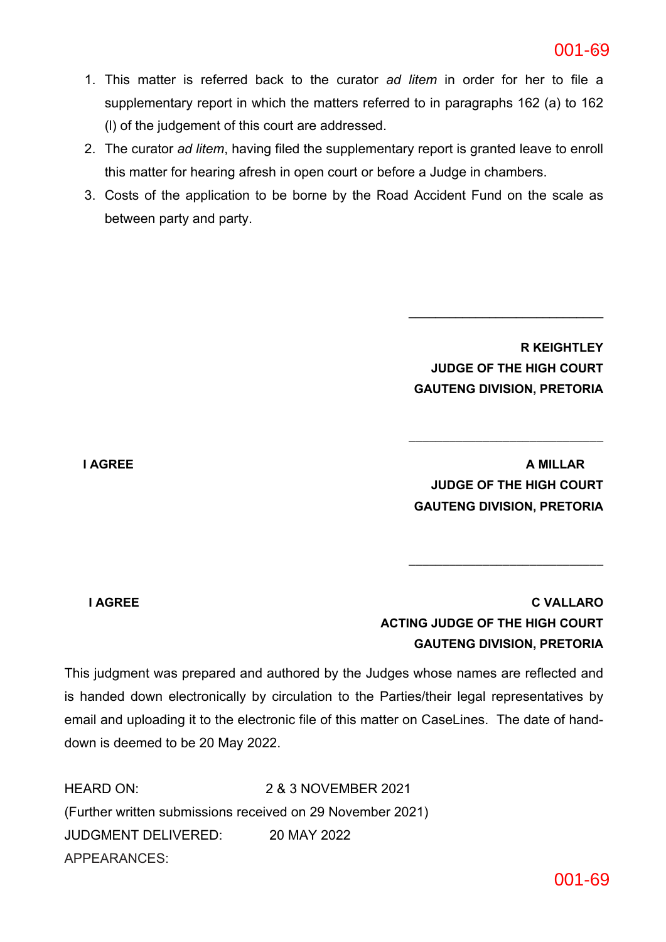- 1. This matter is referred back to the curator *ad litem* in order for her to file a supplementary report in which the matters referred to in paragraphs 162 (a) to 162 (l) of the judgement of this court are addressed.
- 2. The curator *ad litem*, having filed the supplementary report is granted leave to enroll this matter for hearing afresh in open court or before a Judge in chambers.
- 3. Costs of the application to be borne by the Road Accident Fund on the scale as between party and party.

**R KEIGHTLEY JUDGE OF THE HIGH COURT GAUTENG DIVISION, PRETORIA**

**\_\_\_\_\_\_\_\_\_\_\_\_\_\_\_\_\_\_\_\_\_\_\_\_\_\_\_\_\_**

**I AGREE A MILLAR JUDGE OF THE HIGH COURT GAUTENG DIVISION, PRETORIA**

**\_\_\_\_\_\_\_\_\_\_\_\_\_\_\_\_\_\_\_\_\_\_\_\_\_\_\_\_\_**

**\_\_\_\_\_\_\_\_\_\_\_\_\_\_\_\_\_\_\_\_\_\_\_\_\_\_\_\_\_**

**I AGREE C VALLARO ACTING JUDGE OF THE HIGH COURT GAUTENG DIVISION, PRETORIA**

This judgment was prepared and authored by the Judges whose names are reflected and is handed down electronically by circulation to the Parties/their legal representatives by email and uploading it to the electronic file of this matter on CaseLines. The date of handdown is deemed to be 20 May 2022.

HEARD ON: 2 & 3 NOVEMBER 2021 (Further written submissions received on 29 November 2021) JUDGMENT DELIVERED: 20 MAY 2022 APPEARANCES: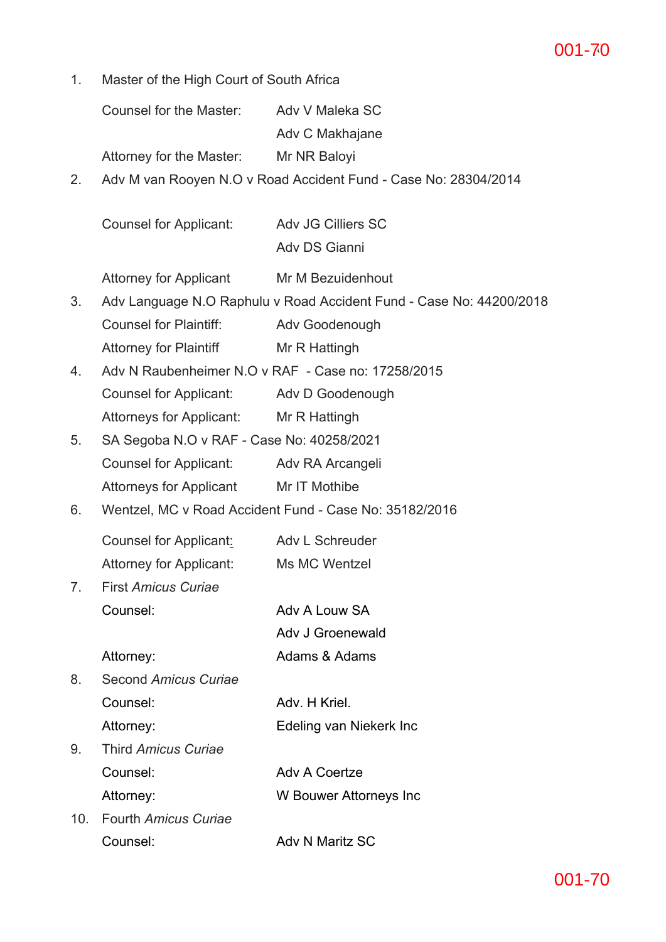### **ac6c5141bd2642efb389a2a5978fa8b6-70** 70 001-70

1. Master of the High Court of South Africa

Counsel for the Master: Adv V Maleka SC Adv C Makhajane

Attorney for the Master: Mr NR Baloyi

2. Adv M van Rooyen N.O v Road Accident Fund - Case No: 28304/2014

Counsel for Applicant: Adv JG Cilliers SC Adv DS Gianni

Attorney for Applicant Mr M Bezuidenhout

- 3. Adv Language N.O Raphulu v Road Accident Fund Case No: 44200/2018 Counsel for Plaintiff: Adv Goodenough Attorney for Plaintiff Mr R Hattingh
- 4. Adv N Raubenheimer N.O v RAF Case no: 17258/2015 Counsel for Applicant: Adv D Goodenough Attorneys for Applicant: Mr R Hattingh
- 5. SA Segoba N.O v RAF Case No: 40258/2021 Counsel for Applicant: Adv RA Arcangeli Attorneys for Applicant Mr IT Mothibe
- 6. Wentzel, MC v Road Accident Fund Case No: 35182/2016

| Counsel for Applicant:         | Adv L Schreuder |
|--------------------------------|-----------------|
| <b>Attorney for Applicant:</b> | Ms MC Wentzel   |

7. First *Amicus Curiae* Counsel: Adv A Louw SA

Adv J Groenewald

Attorney: Adams & Adams

8. Second *Amicus Curiae* Counsel: Adv. H Kriel.

Attorney: Edeling van Niekerk Inc

- 9. Third *Amicus Curiae* Counsel: Adv A Coertze Attorney: W Bouwer Attorneys Inc
- 10. Fourth *Amicus Curiae* Counsel: Adv N Maritz SC